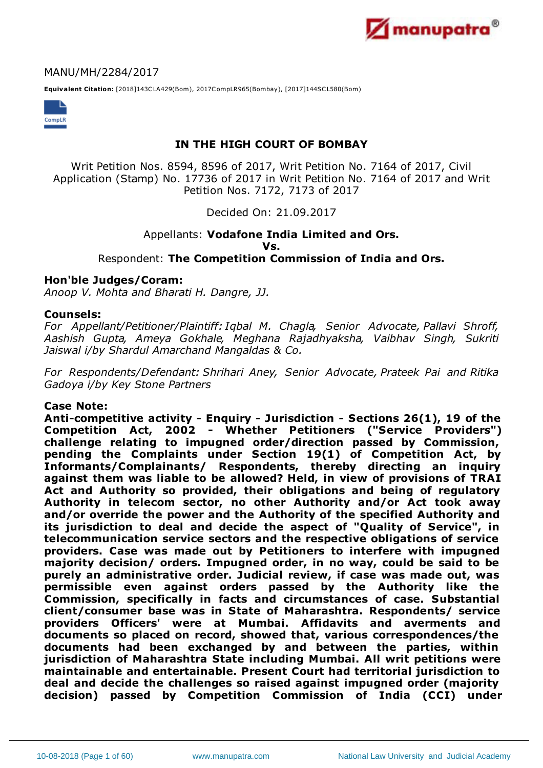

### MANU/MH/2284/2017

**Equivalent Citation:** [2018]143CLA429(Bom), 2017CompLR965(Bombay), [2017]144SCL580(Bom)



# **IN THE HIGH COURT OF BOMBAY**

Writ Petition Nos. 8594, 8596 of 2017, Writ Petition No. 7164 of 2017, Civil Application (Stamp) No. 17736 of 2017 in Writ Petition No. 7164 of 2017 and Writ Petition Nos. 7172, 7173 of 2017

Decided On: 21.09.2017

# Appellants: **Vodafone India Limited and Ors. Vs.** Respondent: **The Competition Commission of India and Ors.**

# **Hon'ble Judges/Coram:**

*Anoop V. Mohta and Bharati H. Dangre, JJ.*

#### **Counsels:**

*For Appellant/Petitioner/Plaintiff:Iqbal M. Chagla, Senior Advocate, Pallavi Shroff, Aashish Gupta, Ameya Gokhale, Meghana Rajadhyaksha, Vaibhav Singh, Sukriti Jaiswal i/by Shardul Amarchand Mangaldas & Co.*

*For Respondents/Defendant: Shrihari Aney, Senior Advocate, Prateek Pai and Ritika Gadoya i/by Key Stone Partners*

#### **Case Note:**

**Anti-competitive activity - Enquiry - Jurisdiction - Sections 26(1), 19 of the Competition Act, 2002 - Whether Petitioners ("Service Providers") challenge relating to impugned order/direction passed by Commission, pending the Complaints under Section 19(1) of Competition Act, by Informants/Complainants/ Respondents, thereby directing an inquiry against them was liable to be allowed? Held, in view of provisions of TRAI Act and Authority so provided, their obligations and being of regulatory Authority in telecom sector, no other Authority and/or Act took away and/or override the power and the Authority of the specified Authority and its jurisdiction to deal and decide the aspect of "Quality of Service", in telecommunication service sectors and the respective obligations of service providers. Case was made out by Petitioners to interfere with impugned majority decision/ orders. Impugned order, in no way, could be said to be purely an administrative order. Judicial review, if case was made out, was permissible even against orders passed by the Authority like the Commission, specifically in facts and circumstances of case. Substantial client/consumer base was in State of Maharashtra. Respondents/ service providers Officers' were at Mumbai. Affidavits and averments and documents so placed on record, showed that, various correspondences/the documents had been exchanged by and between the parties, within jurisdiction of Maharashtra State including Mumbai. All writ petitions were maintainable and entertainable. Present Court had territorial jurisdiction to deal and decide the challenges so raised against impugned order (majority decision) passed by Competition Commission of India (CCI) under**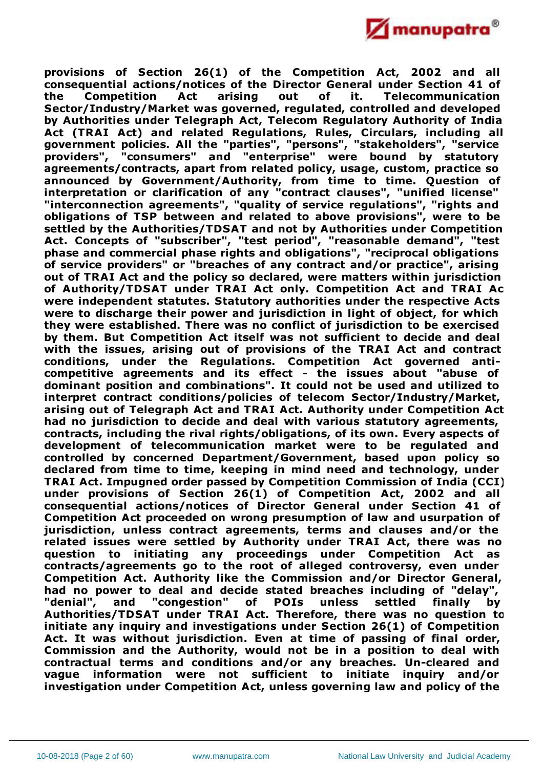

**provisions of Section 26(1) of the Competition Act, 2002 and all consequential actions/notices of the Director General under Section 41 of the Competition Act arising out of it. Telecommunication Sector/Industry/Market was governed, regulated, controlled and developed by Authorities under Telegraph Act, Telecom Regulatory Authority of India Act (TRAI Act) and related Regulations, Rules, Circulars, including all government policies. All the "parties", "persons", "stakeholders", "service providers", "consumers" and "enterprise" were bound by statutory agreements/contracts, apart from related policy, usage, custom, practice so announced by Government/Authority, from time to time. Question of interpretation or clarification of any "contract clauses", "unified license" "interconnection agreements", "quality of service regulations", "rights and obligations of TSP between and related to above provisions", were to be settled by the Authorities/TDSAT and not by Authorities under Competition Act. Concepts of "subscriber", "test period", "reasonable demand", "test phase and commercial phase rights and obligations", "reciprocal obligations of service providers" or "breaches of any contract and/or practice", arising out of TRAI Act and the policy so declared, were matters within jurisdiction of Authority/TDSAT under TRAI Act only. Competition Act and TRAI Act were independent statutes. Statutory authorities under the respective Acts were to discharge their power and jurisdiction in light of object, for which they were established. There was no conflict of jurisdiction to be exercised by them. But Competition Act itself was not sufficient to decide and deal with the issues, arising out of provisions of the TRAI Act and contract conditions, under the Regulations. Competition Act governed anticompetitive agreements and its effect - the issues about "abuse of dominant position and combinations". It could not be used and utilized to interpret contract conditions/policies of telecom Sector/Industry/Market, arising out of Telegraph Act and TRAI Act. Authority under Competition Act had no jurisdiction to decide and deal with various statutory agreements, contracts, including the rival rights/obligations, of its own. Every aspects of development of telecommunication market were to be regulated and controlled by concerned Department/Government, based upon policy so declared from time to time, keeping in mind need and technology, under TRAI Act. Impugned order passed by Competition Commission of India (CCI) under provisions of Section 26(1) of Competition Act, 2002 and all consequential actions/notices of Director General under Section 41 of Competition Act proceeded on wrong presumption of law and usurpation of jurisdiction, unless contract agreements, terms and clauses and/or the related issues were settled by Authority under TRAI Act, there was no question to initiating any proceedings under Competition Act as contracts/agreements go to the root of alleged controversy, even under Competition Act. Authority like the Commission and/or Director General, had no power to deal and decide stated breaches including of "delay", "denial", and "congestion" of POIs unless settled finally by Authorities/TDSAT under TRAI Act. Therefore, there was no question to initiate any inquiry and investigations under Section 26(1) of Competition Act. It was without jurisdiction. Even at time of passing of final order, Commission and the Authority, would not be in a position to deal with contractual terms and conditions and/or any breaches. Un-cleared and vague information were not sufficient to initiate inquiry and/or investigation under Competition Act, unless governing law and policy of the**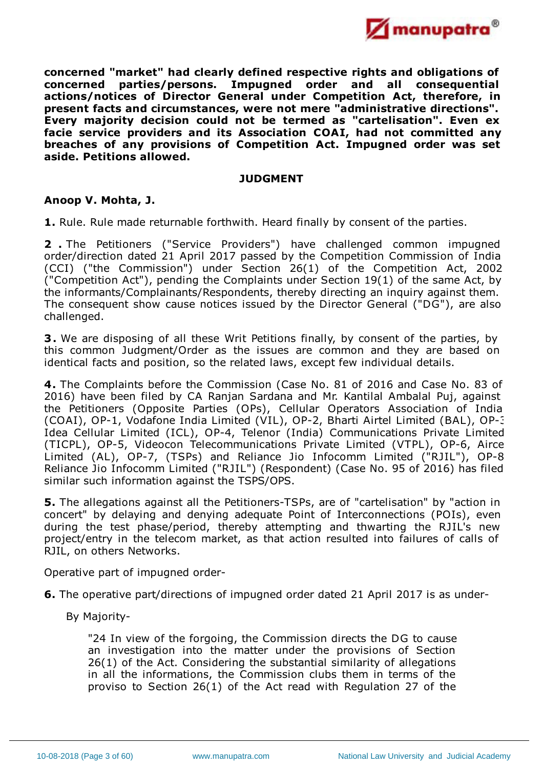

**concerned "market" had clearly defined respective rights and obligations of concerned parties/persons. Impugned order and all consequential actions/notices of Director General under Competition Act, therefore, in present facts and circumstances, were not mere "administrative directions". Every majority decision could not be termed as "cartelisation". Even ex facie service providers and its Association COAI, had not committed any breaches of any provisions of Competition Act. Impugned order was set aside. Petitions allowed.**

### **JUDGMENT**

# **Anoop V. Mohta, J.**

**1.** Rule. Rule made returnable forthwith. Heard finally by consent of the parties.

**2 .** The Petitioners ("Service Providers") have challenged common impugned order/direction dated 21 April 2017 passed by the Competition Commission of India (CCI) ("the Commission") under Section 26(1) of the Competition Act, 2002 ("Competition Act"), pending the Complaints under Section 19(1) of the same Act, by the informants/Complainants/Respondents, thereby directing an inquiry against them. The consequent show cause notices issued by the Director General ("DG"), are also challenged.

**3.** We are disposing of all these Writ Petitions finally, by consent of the parties, by this common Judgment/Order as the issues are common and they are based on identical facts and position, so the related laws, except few individual details.

**4.** The Complaints before the Commission (Case No. 81 of 2016 and Case No. 83 of 2016) have been filed by CA Ranjan Sardana and Mr. Kantilal Ambalal Puj, against the Petitioners (Opposite Parties (OPs), Cellular Operators Association of India (COAI), OP-1, Vodafone India Limited (VIL), OP-2, Bharti Airtel Limited (BAL), OP-3 Idea Cellular Limited (ICL), OP-4, Telenor (India) Communications Private Limited (TICPL), OP-5, Videocon Telecommunications Private Limited (VTPL), OP-6, Aircel Limited (AL), OP-7, (TSPs) and Reliance Jio Infocomm Limited ("RJIL"), OP-8. Reliance Jio Infocomm Limited ("RJIL") (Respondent) (Case No. 95 of 2016) has filed similar such information against the TSPS/OPS.

**5.** The allegations against all the Petitioners-TSPs, are of "cartelisation" by "action in concert" by delaying and denying adequate Point of Interconnections (POIs), even during the test phase/period, thereby attempting and thwarting the RJIL's new project/entry in the telecom market, as that action resulted into failures of calls of RJIL, on others Networks.

Operative part of impugned order-

- **6.** The operative part/directions of impugned order dated 21 April 2017 is as under-
	- By Majority-

"24 In view of the forgoing, the Commission directs the DG to cause an investigation into the matter under the provisions of Section 26(1) of the Act. Considering the substantial similarity of allegations in all the informations, the Commission clubs them in terms of the proviso to Section 26(1) of the Act read with Regulation 27 of the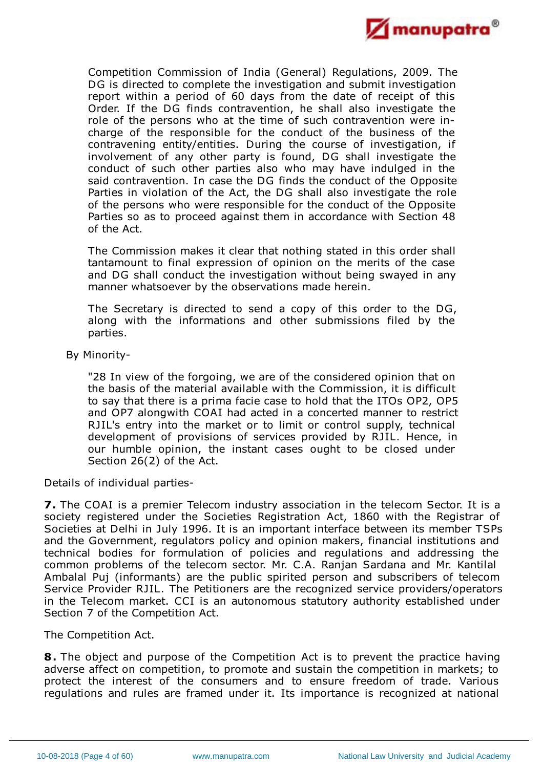

Competition Commission of India (General) Regulations, 2009. The DG is directed to complete the investigation and submit investigation report within a period of 60 days from the date of receipt of this Order. If the DG finds contravention, he shall also investigate the role of the persons who at the time of such contravention were incharge of the responsible for the conduct of the business of the contravening entity/entities. During the course of investigation, if involvement of any other party is found, DG shall investigate the conduct of such other parties also who may have indulged in the said contravention. In case the DG finds the conduct of the Opposite Parties in violation of the Act, the DG shall also investigate the role of the persons who were responsible for the conduct of the Opposite Parties so as to proceed against them in accordance with Section 48 of the Act.

The Commission makes it clear that nothing stated in this order shall tantamount to final expression of opinion on the merits of the case and DG shall conduct the investigation without being swayed in any manner whatsoever by the observations made herein.

The Secretary is directed to send a copy of this order to the DG, along with the informations and other submissions filed by the parties.

By Minority-

"28 In view of the forgoing, we are of the considered opinion that on the basis of the material available with the Commission, it is difficult to say that there is a prima facie case to hold that the ITOs OP2, OP5 and OP7 alongwith COAI had acted in a concerted manner to restrict RJIL's entry into the market or to limit or control supply, technical development of provisions of services provided by RJIL. Hence, in our humble opinion, the instant cases ought to be closed under Section 26(2) of the Act.

Details of individual parties-

**7.** The COAI is a premier Telecom industry association in the telecom Sector. It is a society registered under the Societies Registration Act, 1860 with the Registrar of Societies at Delhi in July 1996. It is an important interface between its member TSPs and the Government, regulators policy and opinion makers, financial institutions and technical bodies for formulation of policies and regulations and addressing the common problems of the telecom sector. Mr. C.A. Ranjan Sardana and Mr. Kantilal Ambalal Puj (informants) are the public spirited person and subscribers of telecom Service Provider RJIL. The Petitioners are the recognized service providers/operators in the Telecom market. CCI is an autonomous statutory authority established under Section 7 of the Competition Act.

The Competition Act.

**8.** The object and purpose of the Competition Act is to prevent the practice having adverse affect on competition, to promote and sustain the competition in markets; to protect the interest of the consumers and to ensure freedom of trade. Various regulations and rules are framed under it. Its importance is recognized at national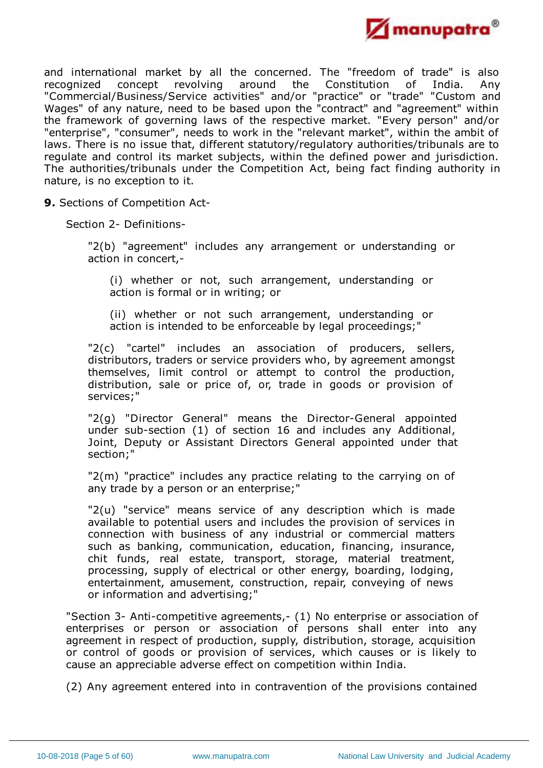

and international market by all the concerned. The "freedom of trade" is also recognized concept revolving around the Constitution of India. Any recognized concept revolving around the Constitution of India. Any "Commercial/Business/Service activities" and/or "practice" or "trade" "Custom and Wages" of any nature, need to be based upon the "contract" and "agreement" within the framework of governing laws of the respective market. "Every person" and/or "enterprise", "consumer", needs to work in the "relevant market", within the ambit of laws. There is no issue that, different statutory/regulatory authorities/tribunals are to regulate and control its market subjects, within the defined power and jurisdiction. The authorities/tribunals under the Competition Act, being fact finding authority in nature, is no exception to it.

**9.** Sections of Competition Act-

Section 2- Definitions-

"2(b) "agreement" includes any arrangement or understanding or action in concert,-

(i) whether or not, such arrangement, understanding or action is formal or in writing; or

(ii) whether or not such arrangement, understanding or action is intended to be enforceable by legal proceedings;"

"2(c) "cartel" includes an association of producers, sellers, distributors, traders or service providers who, by agreement amongst themselves, limit control or attempt to control the production, distribution, sale or price of, or, trade in goods or provision of services;"

"2(g) "Director General" means the Director-General appointed under sub-section (1) of section 16 and includes any Additional, Joint, Deputy or Assistant Directors General appointed under that section;"

"2(m) "practice" includes any practice relating to the carrying on of any trade by a person or an enterprise;"

"2(u) "service" means service of any description which is made available to potential users and includes the provision of services in connection with business of any industrial or commercial matters such as banking, communication, education, financing, insurance, chit funds, real estate, transport, storage, material treatment, processing, supply of electrical or other energy, boarding, lodging, entertainment, amusement, construction, repair, conveying of news or information and advertising;"

"Section 3- Anti-competitive agreements,- (1) No enterprise or association of enterprises or person or association of persons shall enter into any agreement in respect of production, supply, distribution, storage, acquisition or control of goods or provision of services, which causes or is likely to cause an appreciable adverse effect on competition within India.

(2) Any agreement entered into in contravention of the provisions contained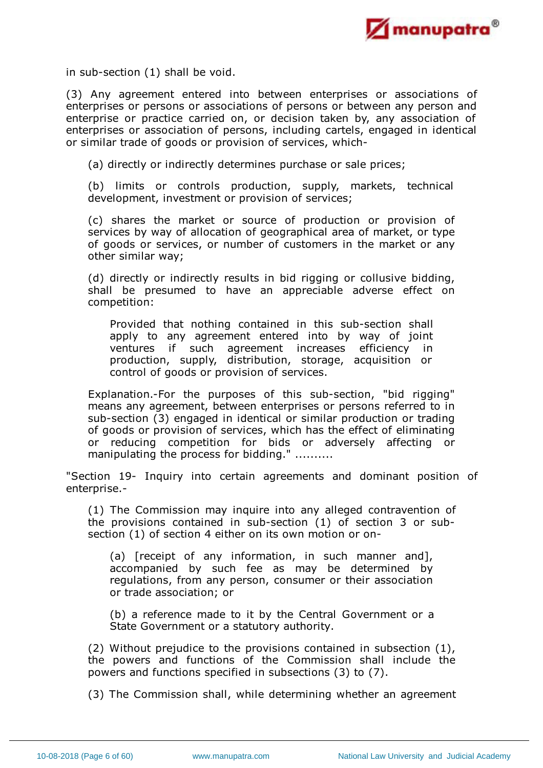

in sub-section (1) shall be void.

(3) Any agreement entered into between enterprises or associations of enterprises or persons or associations of persons or between any person and enterprise or practice carried on, or decision taken by, any association of enterprises or association of persons, including cartels, engaged in identical or similar trade of goods or provision of services, which-

(a) directly or indirectly determines purchase or sale prices;

(b) limits or controls production, supply, markets, technical development, investment or provision of services;

(c) shares the market or source of production or provision of services by way of allocation of geographical area of market, or type of goods or services, or number of customers in the market or any other similar way;

(d) directly or indirectly results in bid rigging or collusive bidding, shall be presumed to have an appreciable adverse effect on competition:

Provided that nothing contained in this sub-section shall apply to any agreement entered into by way of joint ventures if such agreement increases efficiency in production, supply, distribution, storage, acquisition or control of goods or provision of services.

Explanation.-For the purposes of this sub-section, "bid rigging" means any agreement, between enterprises or persons referred to in sub-section (3) engaged in identical or similar production or trading of goods or provision of services, which has the effect of eliminating or reducing competition for bids or adversely affecting or manipulating the process for bidding." ..........

"Section 19- Inquiry into certain agreements and dominant position of enterprise.-

(1) The Commission may inquire into any alleged contravention of the provisions contained in sub-section (1) of section 3 or subsection (1) of section 4 either on its own motion or on-

(a) [receipt of any information, in such manner and], accompanied by such fee as may be determined by regulations, from any person, consumer or their association or trade association; or

(b) a reference made to it by the Central Government or a State Government or a statutory authority.

(2) Without prejudice to the provisions contained in subsection (1), the powers and functions of the Commission shall include the powers and functions specified in subsections (3) to (7).

(3) The Commission shall, while determining whether an agreement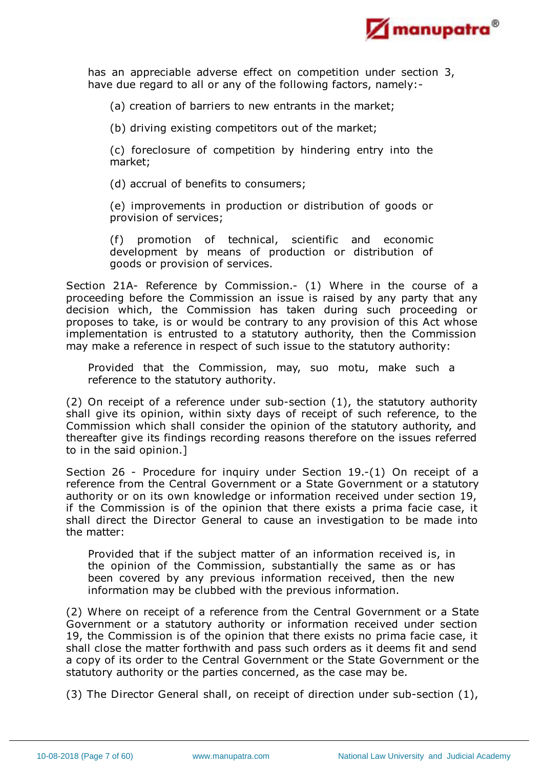

has an appreciable adverse effect on competition under section 3, have due regard to all or any of the following factors, namely:-

(a) creation of barriers to new entrants in the market;

(b) driving existing competitors out of the market;

(c) foreclosure of competition by hindering entry into the market;

(d) accrual of benefits to consumers;

(e) improvements in production or distribution of goods or provision of services;

(f) promotion of technical, scientific and economic development by means of production or distribution of goods or provision of services.

Section 21A- Reference by Commission.- (1) Where in the course of a proceeding before the Commission an issue is raised by any party that any decision which, the Commission has taken during such proceeding or proposes to take, is or would be contrary to any provision of this Act whose implementation is entrusted to a statutory authority, then the Commission may make a reference in respect of such issue to the statutory authority:

Provided that the Commission, may, suo motu, make such a reference to the statutory authority.

(2) On receipt of a reference under sub-section (1), the statutory authority shall give its opinion, within sixty days of receipt of such reference, to the Commission which shall consider the opinion of the statutory authority, and thereafter give its findings recording reasons therefore on the issues referred to in the said opinion.]

Section 26 - Procedure for inquiry under Section 19.-(1) On receipt of a reference from the Central Government or a State Government or a statutory authority or on its own knowledge or information received under section 19, if the Commission is of the opinion that there exists a prima facie case, it shall direct the Director General to cause an investigation to be made into the matter:

Provided that if the subject matter of an information received is, in the opinion of the Commission, substantially the same as or has been covered by any previous information received, then the new information may be clubbed with the previous information.

(2) Where on receipt of a reference from the Central Government or a State Government or a statutory authority or information received under section 19, the Commission is of the opinion that there exists no prima facie case, it shall close the matter forthwith and pass such orders as it deems fit and send a copy of its order to the Central Government or the State Government or the statutory authority or the parties concerned, as the case may be.

(3) The Director General shall, on receipt of direction under sub-section (1),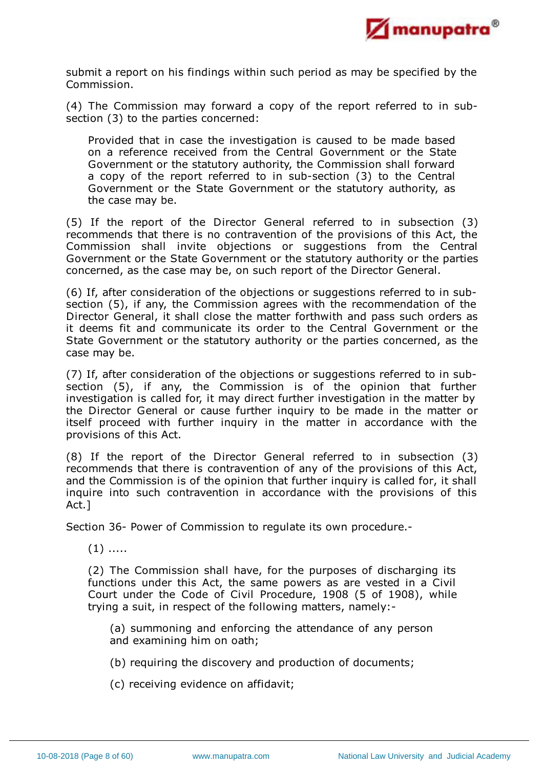

submit a report on his findings within such period as may be specified by the Commission.

(4) The Commission may forward a copy of the report referred to in subsection (3) to the parties concerned:

Provided that in case the investigation is caused to be made based on a reference received from the Central Government or the State Government or the statutory authority, the Commission shall forward a copy of the report referred to in sub-section (3) to the Central Government or the State Government or the statutory authority, as the case may be.

(5) If the report of the Director General referred to in subsection (3) recommends that there is no contravention of the provisions of this Act, the Commission shall invite objections or suggestions from the Central Government or the State Government or the statutory authority or the parties concerned, as the case may be, on such report of the Director General.

(6) If, after consideration of the objections or suggestions referred to in subsection (5), if any, the Commission agrees with the recommendation of the Director General, it shall close the matter forthwith and pass such orders as it deems fit and communicate its order to the Central Government or the State Government or the statutory authority or the parties concerned, as the case may be.

(7) If, after consideration of the objections or suggestions referred to in subsection (5), if any, the Commission is of the opinion that further investigation is called for, it may direct further investigation in the matter by the Director General or cause further inquiry to be made in the matter or itself proceed with further inquiry in the matter in accordance with the provisions of this Act.

(8) If the report of the Director General referred to in subsection (3) recommends that there is contravention of any of the provisions of this Act, and the Commission is of the opinion that further inquiry is called for, it shall inquire into such contravention in accordance with the provisions of this Act.]

Section 36- Power of Commission to regulate its own procedure.-

 $(1)$  .....

(2) The Commission shall have, for the purposes of discharging its functions under this Act, the same powers as are vested in a Civil Court under the Code of Civil Procedure, 1908 (5 of 1908), while trying a suit, in respect of the following matters, namely:-

(a) summoning and enforcing the attendance of any person and examining him on oath;

- (b) requiring the discovery and production of documents;
- (c) receiving evidence on affidavit;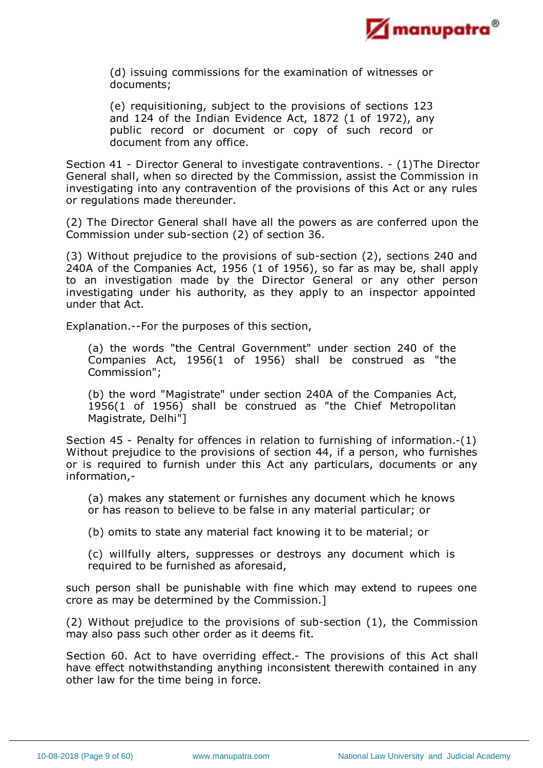

(d) issuing commissions for the examination of witnesses or documents;

(e) requisitioning, subject to the provisions of sections 123 and 124 of the Indian Evidence Act, 1872 (1 of 1972), any public record or document or copy of such record or document from any office.

Section 41 - Director General to investigate contraventions. - (1)The Director General shall, when so directed by the Commission, assist the Commission in investigating into any contravention of the provisions of this Act or any rules or regulations made thereunder.

(2) The Director General shall have all the powers as are conferred upon the Commission under sub-section (2) of section 36.

(3) Without prejudice to the provisions of sub-section (2), sections 240 and 240A of the Companies Act, 1956 (1 of 1956), so far as may be, shall apply to an investigation made by the Director General or any other person investigating under his authority, as they apply to an inspector appointed under that Act.

Explanation.--For the purposes of this section,

(a) the words "the Central Government" under section 240 of the Companies Act, 1956(1 of 1956) shall be construed as "the Commission";

(b) the word "Magistrate" under section 240A of the Companies Act, 1956(1 of 1956) shall be construed as "the Chief Metropolitan Magistrate, Delhi"]

Section 45 - Penalty for offences in relation to furnishing of information.-(1) Without prejudice to the provisions of section 44, if a person, who furnishes or is required to furnish under this Act any particulars, documents or any information,-

(a) makes any statement or furnishes any document which he knows or has reason to believe to be false in any material particular; or

(b) omits to state any material fact knowing it to be material; or

(c) willfully alters, suppresses or destroys any document which is required to be furnished as aforesaid,

such person shall be punishable with fine which may extend to rupees one crore as may be determined by the Commission.]

(2) Without prejudice to the provisions of sub-section (1), the Commission may also pass such other order as it deems fit.

Section 60. Act to have overriding effect.- The provisions of this Act shall have effect notwithstanding anything inconsistent therewith contained in any other law for the time being in force.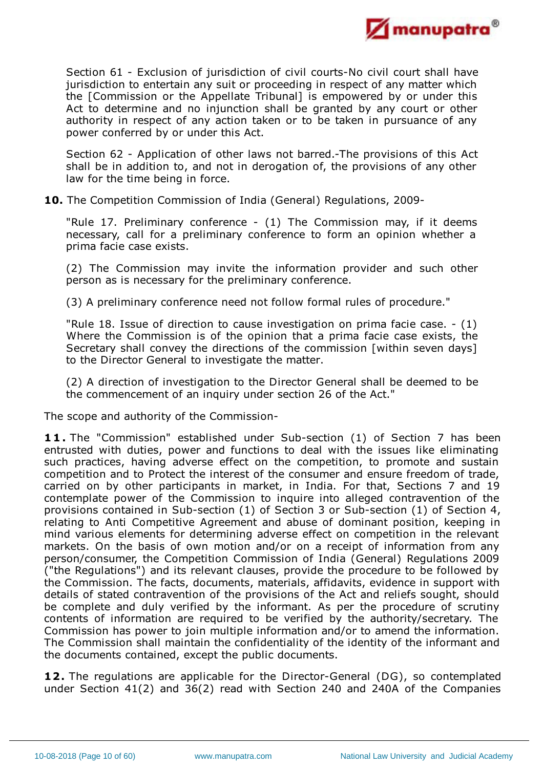

Section 61 - Exclusion of jurisdiction of civil courts-No civil court shall have jurisdiction to entertain any suit or proceeding in respect of any matter which the [Commission or the Appellate Tribunal] is empowered by or under this Act to determine and no injunction shall be granted by any court or other authority in respect of any action taken or to be taken in pursuance of any power conferred by or under this Act.

Section 62 - Application of other laws not barred.-The provisions of this Act shall be in addition to, and not in derogation of, the provisions of any other law for the time being in force.

**10.** The Competition Commission of India (General) Regulations, 2009-

"Rule 17. Preliminary conference - (1) The Commission may, if it deems necessary, call for a preliminary conference to form an opinion whether a prima facie case exists.

(2) The Commission may invite the information provider and such other person as is necessary for the preliminary conference.

(3) A preliminary conference need not follow formal rules of procedure."

"Rule 18. Issue of direction to cause investigation on prima facie case. - (1) Where the Commission is of the opinion that a prima facie case exists, the Secretary shall convey the directions of the commission [within seven days] to the Director General to investigate the matter.

(2) A direction of investigation to the Director General shall be deemed to be the commencement of an inquiry under section 26 of the Act."

The scope and authority of the Commission-

**11.** The "Commission" established under Sub-section (1) of Section 7 has been entrusted with duties, power and functions to deal with the issues like eliminating such practices, having adverse effect on the competition, to promote and sustain competition and to Protect the interest of the consumer and ensure freedom of trade, carried on by other participants in market, in India. For that, Sections 7 and 19 contemplate power of the Commission to inquire into alleged contravention of the provisions contained in Sub-section (1) of Section 3 or Sub-section (1) of Section 4, relating to Anti Competitive Agreement and abuse of dominant position, keeping in mind various elements for determining adverse effect on competition in the relevant markets. On the basis of own motion and/or on a receipt of information from any person/consumer, the Competition Commission of India (General) Regulations 2009 ("the Regulations") and its relevant clauses, provide the procedure to be followed by the Commission. The facts, documents, materials, affidavits, evidence in support with details of stated contravention of the provisions of the Act and reliefs sought, should be complete and duly verified by the informant. As per the procedure of scrutiny contents of information are required to be verified by the authority/secretary. The Commission has power to join multiple information and/or to amend the information. The Commission shall maintain the confidentiality of the identity of the informant and the documents contained, except the public documents.

**12.** The regulations are applicable for the Director-General (DG), so contemplated under Section 41(2) and 36(2) read with Section 240 and 240A of the Companies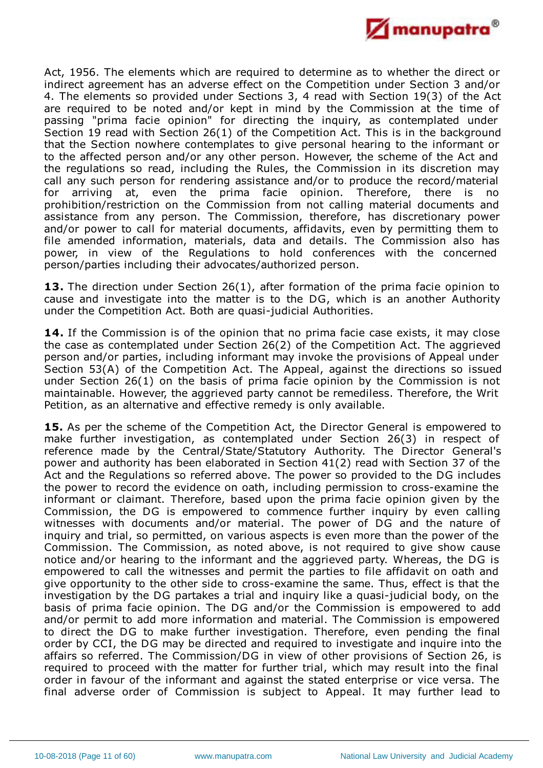

Act, 1956. The elements which are required to determine as to whether the direct or indirect agreement has an adverse effect on the Competition under Section 3 and/or 4. The elements so provided under Sections 3, 4 read with Section 19(3) of the Act are required to be noted and/or kept in mind by the Commission at the time of passing "prima facie opinion" for directing the inquiry, as contemplated under Section 19 read with Section 26(1) of the Competition Act. This is in the background that the Section nowhere contemplates to give personal hearing to the informant or to the affected person and/or any other person. However, the scheme of the Act and the regulations so read, including the Rules, the Commission in its discretion may call any such person for rendering assistance and/or to produce the record/material for arriving at, even the prima facie opinion. Therefore, there is no prohibition/restriction on the Commission from not calling material documents and assistance from any person. The Commission, therefore, has discretionary power and/or power to call for material documents, affidavits, even by permitting them to file amended information, materials, data and details. The Commission also has power, in view of the Regulations to hold conferences with the concerned person/parties including their advocates/authorized person.

13. The direction under Section 26(1), after formation of the prima facie opinion to cause and investigate into the matter is to the DG, which is an another Authority under the Competition Act. Both are quasi-judicial Authorities.

**14.** If the Commission is of the opinion that no prima facie case exists, it may close the case as contemplated under Section 26(2) of the Competition Act. The aggrieved person and/or parties, including informant may invoke the provisions of Appeal under Section 53(A) of the Competition Act. The Appeal, against the directions so issued under Section 26(1) on the basis of prima facie opinion by the Commission is not maintainable. However, the aggrieved party cannot be remediless. Therefore, the Writ Petition, as an alternative and effective remedy is only available.

**15.** As per the scheme of the Competition Act, the Director General is empowered to make further investigation, as contemplated under Section 26(3) in respect of reference made by the Central/State/Statutory Authority. The Director General's power and authority has been elaborated in Section 41(2) read with Section 37 of the Act and the Regulations so referred above. The power so provided to the DG includes the power to record the evidence on oath, including permission to cross-examine the informant or claimant. Therefore, based upon the prima facie opinion given by the Commission, the DG is empowered to commence further inquiry by even calling witnesses with documents and/or material. The power of DG and the nature of inquiry and trial, so permitted, on various aspects is even more than the power of the Commission. The Commission, as noted above, is not required to give show cause notice and/or hearing to the informant and the aggrieved party. Whereas, the DG is empowered to call the witnesses and permit the parties to file affidavit on oath and give opportunity to the other side to cross-examine the same. Thus, effect is that the investigation by the DG partakes a trial and inquiry like a quasi-judicial body, on the basis of prima facie opinion. The DG and/or the Commission is empowered to add and/or permit to add more information and material. The Commission is empowered to direct the DG to make further investigation. Therefore, even pending the final order by CCI, the DG may be directed and required to investigate and inquire into the affairs so referred. The Commission/DG in view of other provisions of Section 26, is required to proceed with the matter for further trial, which may result into the final order in favour of the informant and against the stated enterprise or vice versa. The final adverse order of Commission is subject to Appeal. It may further lead to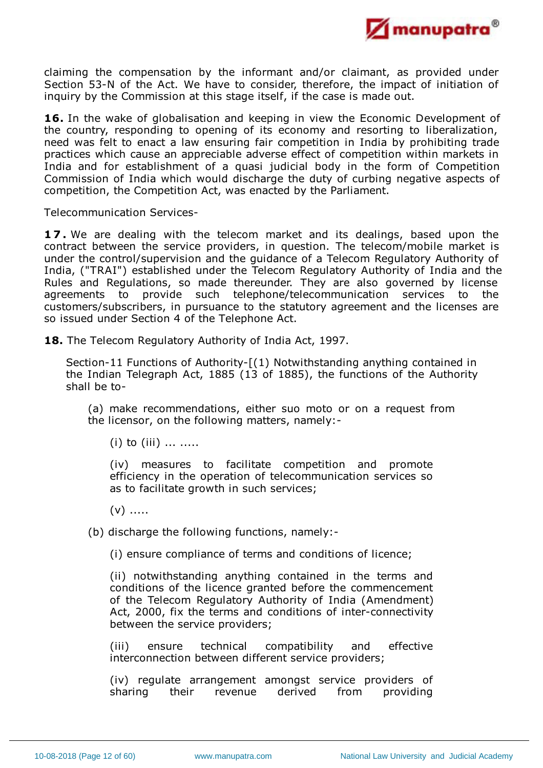

claiming the compensation by the informant and/or claimant, as provided under Section 53-N of the Act. We have to consider, therefore, the impact of initiation of inquiry by the Commission at this stage itself, if the case is made out.

**16.** In the wake of globalisation and keeping in view the Economic Development of the country, responding to opening of its economy and resorting to liberalization, need was felt to enact a law ensuring fair competition in India by prohibiting trade practices which cause an appreciable adverse effect of competition within markets in India and for establishment of a quasi judicial body in the form of Competition Commission of India which would discharge the duty of curbing negative aspects of competition, the Competition Act, was enacted by the Parliament.

Telecommunication Services-

**1 7 .** We are dealing with the telecom market and its dealings, based upon the contract between the service providers, in question. The telecom/mobile market is under the control/supervision and the guidance of a Telecom Regulatory Authority of India, ("TRAI") established under the Telecom Regulatory Authority of India and the Rules and Regulations, so made thereunder. They are also governed by license agreements to provide such telephone/telecommunication services to the customers/subscribers, in pursuance to the statutory agreement and the licenses are so issued under Section 4 of the Telephone Act.

**18.** The Telecom Regulatory Authority of India Act, 1997.

Section-11 Functions of Authority-[(1) Notwithstanding anything contained in the Indian Telegraph Act, 1885 (13 of 1885), the functions of the Authority shall be to-

(a) make recommendations, either suo moto or on a request from the licensor, on the following matters, namely:-

 $(i)$  to  $(iii)$  ... .....

(iv) measures to facilitate competition and promote efficiency in the operation of telecommunication services so as to facilitate growth in such services;

 $(v)$  .....

(b) discharge the following functions, namely:-

(i) ensure compliance of terms and conditions of licence;

(ii) notwithstanding anything contained in the terms and conditions of the licence granted before the commencement of the Telecom Regulatory Authority of India (Amendment) Act, 2000, fix the terms and conditions of inter-connectivity between the service providers;

(iii) ensure technical compatibility and effective interconnection between different service providers;

(iv) regulate arrangement amongst service providers of sharing their revenue derived from providing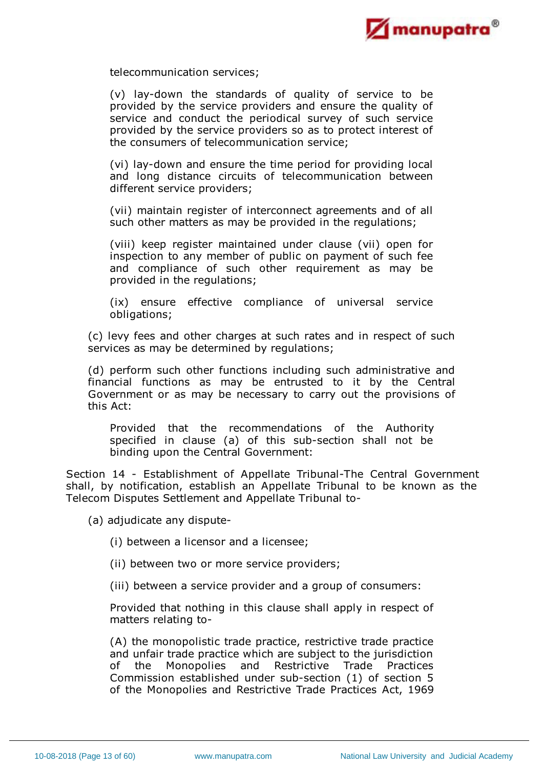

telecommunication services;

(v) lay-down the standards of quality of service to be provided by the service providers and ensure the quality of service and conduct the periodical survey of such service provided by the service providers so as to protect interest of the consumers of telecommunication service;

(vi) lay-down and ensure the time period for providing local and long distance circuits of telecommunication between different service providers;

(vii) maintain register of interconnect agreements and of all such other matters as may be provided in the regulations;

(viii) keep register maintained under clause (vii) open for inspection to any member of public on payment of such fee and compliance of such other requirement as may be provided in the regulations;

(ix) ensure effective compliance of universal service obligations;

(c) levy fees and other charges at such rates and in respect of such services as may be determined by regulations;

(d) perform such other functions including such administrative and financial functions as may be entrusted to it by the Central Government or as may be necessary to carry out the provisions of this Act:

Provided that the recommendations of the Authority specified in clause (a) of this sub-section shall not be binding upon the Central Government:

Section 14 - Establishment of Appellate Tribunal-The Central Government shall, by notification, establish an Appellate Tribunal to be known as the Telecom Disputes Settlement and Appellate Tribunal to-

(a) adjudicate any dispute-

(i) between a licensor and a licensee;

(ii) between two or more service providers;

(iii) between a service provider and a group of consumers:

Provided that nothing in this clause shall apply in respect of matters relating to-

(A) the monopolistic trade practice, restrictive trade practice and unfair trade practice which are subject to the jurisdiction of the Monopolies and Restrictive Trade Practices Commission established under sub-section (1) of section 5 of the Monopolies and Restrictive Trade Practices Act, 1969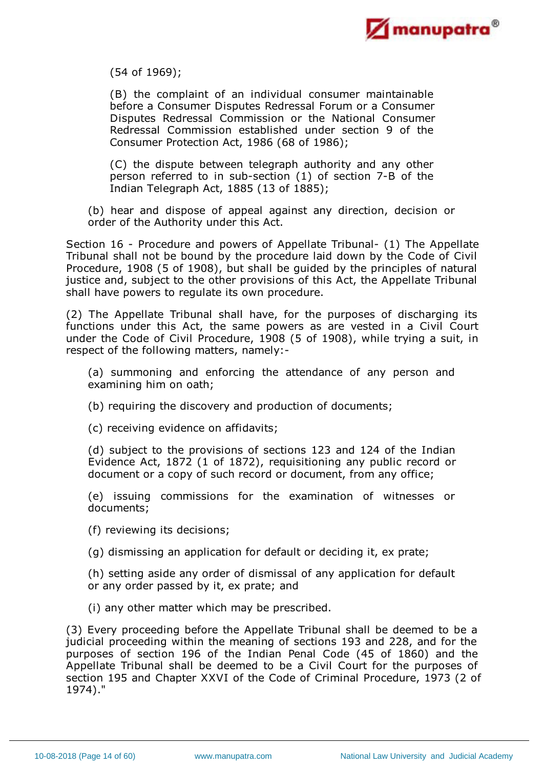

(54 of 1969);

(B) the complaint of an individual consumer maintainable before a Consumer Disputes Redressal Forum or a Consumer Disputes Redressal Commission or the National Consumer Redressal Commission established under section 9 of the Consumer Protection Act, 1986 (68 of 1986);

(C) the dispute between telegraph authority and any other person referred to in sub-section (1) of section 7-B of the Indian Telegraph Act, 1885 (13 of 1885);

(b) hear and dispose of appeal against any direction, decision or order of the Authority under this Act.

Section 16 - Procedure and powers of Appellate Tribunal- (1) The Appellate Tribunal shall not be bound by the procedure laid down by the Code of Civil Procedure, 1908 (5 of 1908), but shall be guided by the principles of natural justice and, subject to the other provisions of this Act, the Appellate Tribunal shall have powers to regulate its own procedure.

(2) The Appellate Tribunal shall have, for the purposes of discharging its functions under this Act, the same powers as are vested in a Civil Court under the Code of Civil Procedure, 1908 (5 of 1908), while trying a suit, in respect of the following matters, namely:-

(a) summoning and enforcing the attendance of any person and examining him on oath;

(b) requiring the discovery and production of documents;

(c) receiving evidence on affidavits;

(d) subject to the provisions of sections 123 and 124 of the Indian Evidence Act, 1872 (1 of 1872), requisitioning any public record or document or a copy of such record or document, from any office;

(e) issuing commissions for the examination of witnesses or documents;

(f) reviewing its decisions;

(g) dismissing an application for default or deciding it, ex prate;

(h) setting aside any order of dismissal of any application for default or any order passed by it, ex prate; and

(i) any other matter which may be prescribed.

(3) Every proceeding before the Appellate Tribunal shall be deemed to be a judicial proceeding within the meaning of sections 193 and 228, and for the purposes of section 196 of the Indian Penal Code (45 of 1860) and the Appellate Tribunal shall be deemed to be a Civil Court for the purposes of section 195 and Chapter XXVI of the Code of Criminal Procedure, 1973 (2 of 1974)."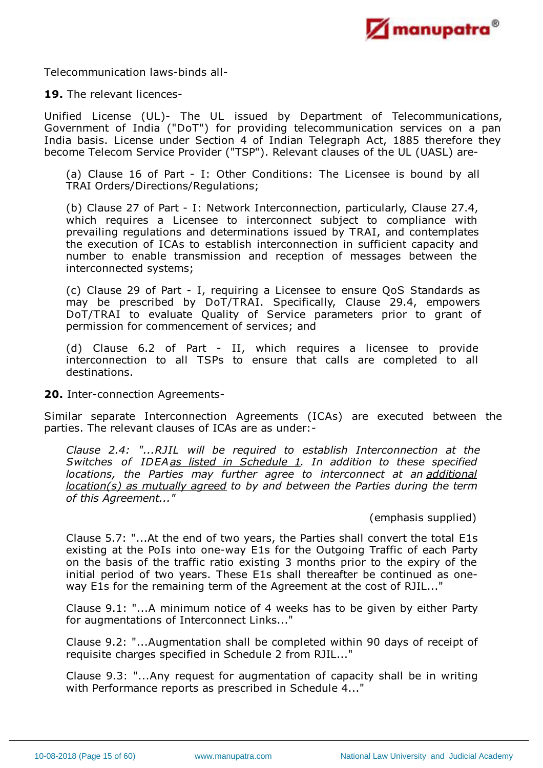

Telecommunication laws-binds all-

### **19.** The relevant licences-

Unified License (UL)- The UL issued by Department of Telecommunications, Government of India ("DoT") for providing telecommunication services on a pan India basis. License under Section 4 of Indian Telegraph Act, 1885 therefore they become Telecom Service Provider ("TSP"). Relevant clauses of the UL (UASL) are-

(a) Clause 16 of Part - I: Other Conditions: The Licensee is bound by all TRAI Orders/Directions/Regulations;

(b) Clause 27 of Part - I: Network Interconnection, particularly, Clause 27.4, which requires a Licensee to interconnect subject to compliance with prevailing regulations and determinations issued by TRAI, and contemplates the execution of ICAs to establish interconnection in sufficient capacity and number to enable transmission and reception of messages between the interconnected systems;

(c) Clause 29 of Part - I, requiring a Licensee to ensure QoS Standards as may be prescribed by DoT/TRAI. Specifically, Clause 29.4, empowers DoT/TRAI to evaluate Quality of Service parameters prior to grant of permission for commencement of services; and

(d) Clause 6.2 of Part - II, which requires a licensee to provide interconnection to all TSPs to ensure that calls are completed to all destinations.

**20.** Inter-connection Agreements-

Similar separate Interconnection Agreements (ICAs) are executed between the parties. The relevant clauses of ICAs are as under:-

*Clause 2.4: "...RJIL will be required to establish Interconnection at the Switches of IDEAas listed in Schedule 1. In addition to these specified locations, the Parties may further agree to interconnect at an additional location(s) as mutually agreed to by and between the Parties during the term of this Agreement..."*

# (emphasis supplied)

Clause 5.7: "...At the end of two years, the Parties shall convert the total E1s existing at the PoIs into one-way E1s for the Outgoing Traffic of each Party on the basis of the traffic ratio existing 3 months prior to the expiry of the initial period of two years. These E1s shall thereafter be continued as oneway E1s for the remaining term of the Agreement at the cost of RJIL..."

Clause 9.1: "...A minimum notice of 4 weeks has to be given by either Party for augmentations of Interconnect Links..."

Clause 9.2: "...Augmentation shall be completed within 90 days of receipt of requisite charges specified in Schedule 2 from RJIL..."

Clause 9.3: "...Any request for augmentation of capacity shall be in writing with Performance reports as prescribed in Schedule 4..."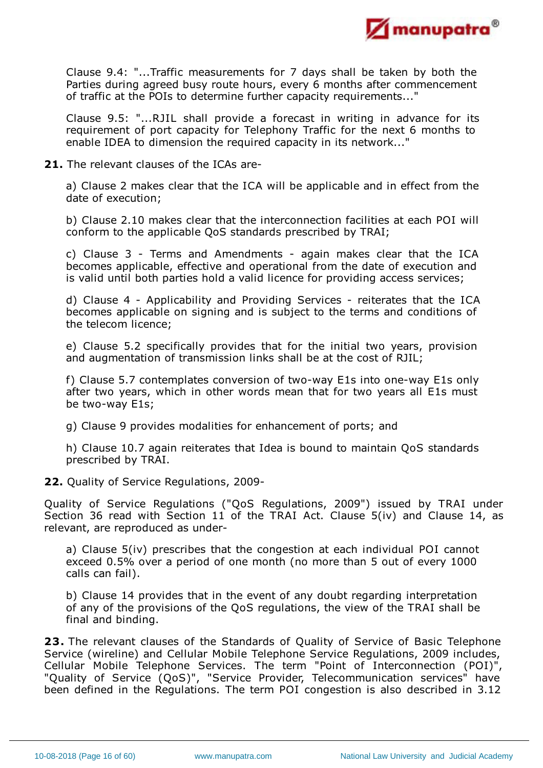

Clause 9.4: "...Traffic measurements for 7 days shall be taken by both the Parties during agreed busy route hours, every 6 months after commencement of traffic at the POIs to determine further capacity requirements..."

Clause 9.5: "...RJIL shall provide a forecast in writing in advance for its requirement of port capacity for Telephony Traffic for the next 6 months to enable IDEA to dimension the required capacity in its network..."

**21.** The relevant clauses of the ICAs are-

a) Clause 2 makes clear that the ICA will be applicable and in effect from the date of execution;

b) Clause 2.10 makes clear that the interconnection facilities at each POI will conform to the applicable QoS standards prescribed by TRAI;

c) Clause 3 - Terms and Amendments - again makes clear that the ICA becomes applicable, effective and operational from the date of execution and is valid until both parties hold a valid licence for providing access services;

d) Clause 4 - Applicability and Providing Services - reiterates that the ICA becomes applicable on signing and is subject to the terms and conditions of the telecom licence;

e) Clause 5.2 specifically provides that for the initial two years, provision and augmentation of transmission links shall be at the cost of RJIL;

f) Clause 5.7 contemplates conversion of two-way E1s into one-way E1s only after two years, which in other words mean that for two years all E1s must be two-way E1s;

g) Clause 9 provides modalities for enhancement of ports; and

h) Clause 10.7 again reiterates that Idea is bound to maintain QoS standards prescribed by TRAI.

**22.** Quality of Service Regulations, 2009-

Quality of Service Regulations ("QoS Regulations, 2009") issued by TRAI under Section 36 read with Section 11 of the TRAI Act. Clause 5(iv) and Clause 14, as relevant, are reproduced as under-

a) Clause 5(iv) prescribes that the congestion at each individual POI cannot exceed 0.5% over a period of one month (no more than 5 out of every 1000 calls can fail).

b) Clause 14 provides that in the event of any doubt regarding interpretation of any of the provisions of the QoS regulations, the view of the TRAI shall be final and binding.

**23.** The relevant clauses of the Standards of Quality of Service of Basic Telephone Service (wireline) and Cellular Mobile Telephone Service Regulations, 2009 includes, Cellular Mobile Telephone Services. The term "Point of Interconnection (POI)", "Quality of Service (QoS)", "Service Provider, Telecommunication services" have been defined in the Regulations. The term POI congestion is also described in 3.12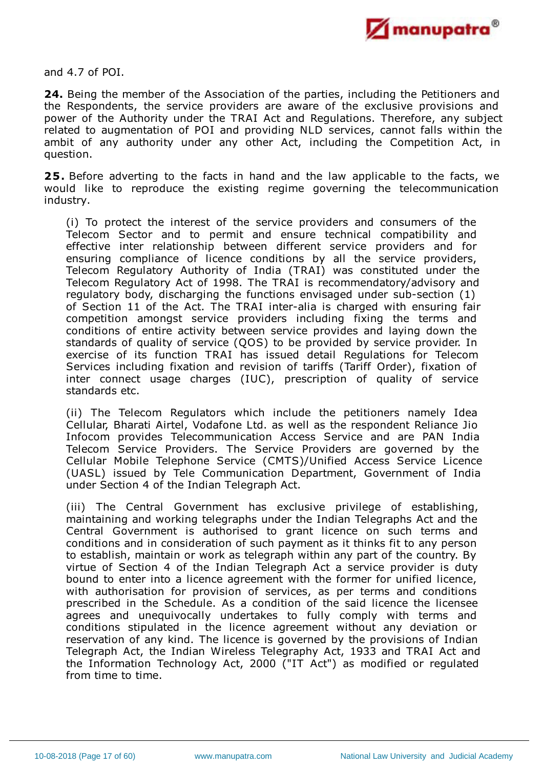

and 4.7 of POI.

**24.** Being the member of the Association of the parties, including the Petitioners and the Respondents, the service providers are aware of the exclusive provisions and power of the Authority under the TRAI Act and Regulations. Therefore, any subject related to augmentation of POI and providing NLD services, cannot falls within the ambit of any authority under any other Act, including the Competition Act, in question.

**25.** Before adverting to the facts in hand and the law applicable to the facts, we would like to reproduce the existing regime governing the telecommunication industry.

(i) To protect the interest of the service providers and consumers of the Telecom Sector and to permit and ensure technical compatibility and effective inter relationship between different service providers and for ensuring compliance of licence conditions by all the service providers, Telecom Regulatory Authority of India (TRAI) was constituted under the Telecom Regulatory Act of 1998. The TRAI is recommendatory/advisory and regulatory body, discharging the functions envisaged under sub-section (1) of Section 11 of the Act. The TRAI inter-alia is charged with ensuring fair competition amongst service providers including fixing the terms and conditions of entire activity between service provides and laying down the standards of quality of service (QOS) to be provided by service provider. In exercise of its function TRAI has issued detail Regulations for Telecom Services including fixation and revision of tariffs (Tariff Order), fixation of inter connect usage charges (IUC), prescription of quality of service standards etc.

(ii) The Telecom Regulators which include the petitioners namely Idea Cellular, Bharati Airtel, Vodafone Ltd. as well as the respondent Reliance Jio Infocom provides Telecommunication Access Service and are PAN India Telecom Service Providers. The Service Providers are governed by the Cellular Mobile Telephone Service (CMTS)/Unified Access Service Licence (UASL) issued by Tele Communication Department, Government of India under Section 4 of the Indian Telegraph Act.

(iii) The Central Government has exclusive privilege of establishing, maintaining and working telegraphs under the Indian Telegraphs Act and the Central Government is authorised to grant licence on such terms and conditions and in consideration of such payment as it thinks fit to any person to establish, maintain or work as telegraph within any part of the country. By virtue of Section 4 of the Indian Telegraph Act a service provider is duty bound to enter into a licence agreement with the former for unified licence, with authorisation for provision of services, as per terms and conditions prescribed in the Schedule. As a condition of the said licence the licensee agrees and unequivocally undertakes to fully comply with terms and conditions stipulated in the licence agreement without any deviation or reservation of any kind. The licence is governed by the provisions of Indian Telegraph Act, the Indian Wireless Telegraphy Act, 1933 and TRAI Act and the Information Technology Act, 2000 ("IT Act") as modified or regulated from time to time.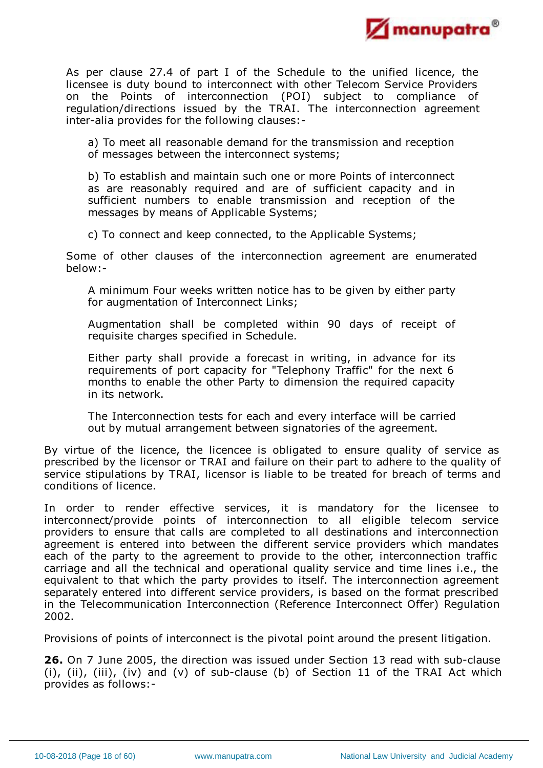

As per clause 27.4 of part I of the Schedule to the unified licence, the licensee is duty bound to interconnect with other Telecom Service Providers on the Points of interconnection (POI) subject to compliance of regulation/directions issued by the TRAI. The interconnection agreement inter-alia provides for the following clauses:-

a) To meet all reasonable demand for the transmission and reception of messages between the interconnect systems;

b) To establish and maintain such one or more Points of interconnect as are reasonably required and are of sufficient capacity and in sufficient numbers to enable transmission and reception of the messages by means of Applicable Systems;

c) To connect and keep connected, to the Applicable Systems;

Some of other clauses of the interconnection agreement are enumerated below:-

A minimum Four weeks written notice has to be given by either party for augmentation of Interconnect Links;

Augmentation shall be completed within 90 days of receipt of requisite charges specified in Schedule.

Either party shall provide a forecast in writing, in advance for its requirements of port capacity for "Telephony Traffic" for the next 6 months to enable the other Party to dimension the required capacity in its network.

The Interconnection tests for each and every interface will be carried out by mutual arrangement between signatories of the agreement.

By virtue of the licence, the licencee is obligated to ensure quality of service as prescribed by the licensor or TRAI and failure on their part to adhere to the quality of service stipulations by TRAI, licensor is liable to be treated for breach of terms and conditions of licence.

In order to render effective services, it is mandatory for the licensee to interconnect/provide points of interconnection to all eligible telecom service providers to ensure that calls are completed to all destinations and interconnection agreement is entered into between the different service providers which mandates each of the party to the agreement to provide to the other, interconnection traffic carriage and all the technical and operational quality service and time lines i.e., the equivalent to that which the party provides to itself. The interconnection agreement separately entered into different service providers, is based on the format prescribed in the Telecommunication Interconnection (Reference Interconnect Offer) Regulation 2002.

Provisions of points of interconnect is the pivotal point around the present litigation.

**26.** On 7 June 2005, the direction was issued under Section 13 read with sub-clause (i), (ii), (iii), (iv) and (v) of sub-clause (b) of Section 11 of the TRAI Act which provides as follows:-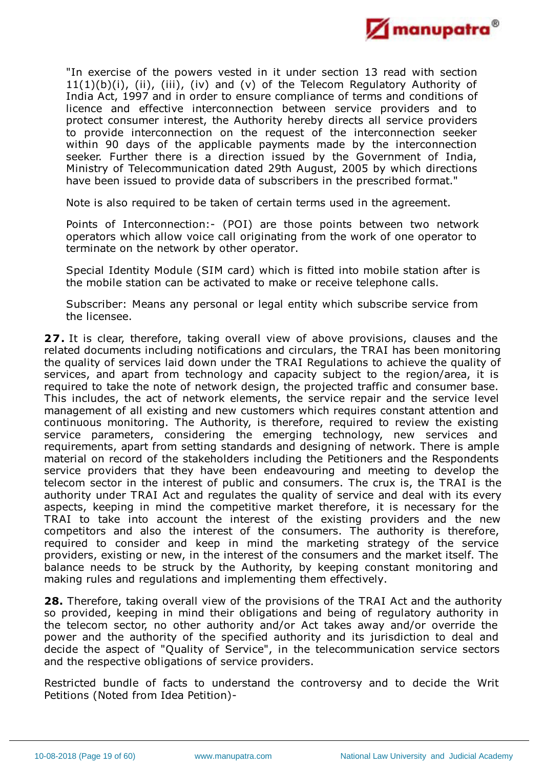

"In exercise of the powers vested in it under section 13 read with section 11(1)(b)(i), (ii), (iii), (iv) and (v) of the Telecom Regulatory Authority of India Act, 1997 and in order to ensure compliance of terms and conditions of licence and effective interconnection between service providers and to protect consumer interest, the Authority hereby directs all service providers to provide interconnection on the request of the interconnection seeker within 90 days of the applicable payments made by the interconnection seeker. Further there is a direction issued by the Government of India, Ministry of Telecommunication dated 29th August, 2005 by which directions have been issued to provide data of subscribers in the prescribed format."

Note is also required to be taken of certain terms used in the agreement.

Points of Interconnection:- (POI) are those points between two network operators which allow voice call originating from the work of one operator to terminate on the network by other operator.

Special Identity Module (SIM card) which is fitted into mobile station after is the mobile station can be activated to make or receive telephone calls.

Subscriber: Means any personal or legal entity which subscribe service from the licensee.

**27.** It is clear, therefore, taking overall view of above provisions, clauses and the related documents including notifications and circulars, the TRAI has been monitoring the quality of services laid down under the TRAI Regulations to achieve the quality of services, and apart from technology and capacity subject to the region/area, it is required to take the note of network design, the projected traffic and consumer base. This includes, the act of network elements, the service repair and the service level management of all existing and new customers which requires constant attention and continuous monitoring. The Authority, is therefore, required to review the existing service parameters, considering the emerging technology, new services and requirements, apart from setting standards and designing of network. There is ample material on record of the stakeholders including the Petitioners and the Respondents service providers that they have been endeavouring and meeting to develop the telecom sector in the interest of public and consumers. The crux is, the TRAI is the authority under TRAI Act and regulates the quality of service and deal with its every aspects, keeping in mind the competitive market therefore, it is necessary for the TRAI to take into account the interest of the existing providers and the new competitors and also the interest of the consumers. The authority is therefore, required to consider and keep in mind the marketing strategy of the service providers, existing or new, in the interest of the consumers and the market itself. The balance needs to be struck by the Authority, by keeping constant monitoring and making rules and regulations and implementing them effectively.

**28.** Therefore, taking overall view of the provisions of the TRAI Act and the authority so provided, keeping in mind their obligations and being of regulatory authority in the telecom sector, no other authority and/or Act takes away and/or override the power and the authority of the specified authority and its jurisdiction to deal and decide the aspect of "Quality of Service", in the telecommunication service sectors and the respective obligations of service providers.

Restricted bundle of facts to understand the controversy and to decide the Writ Petitions (Noted from Idea Petition)-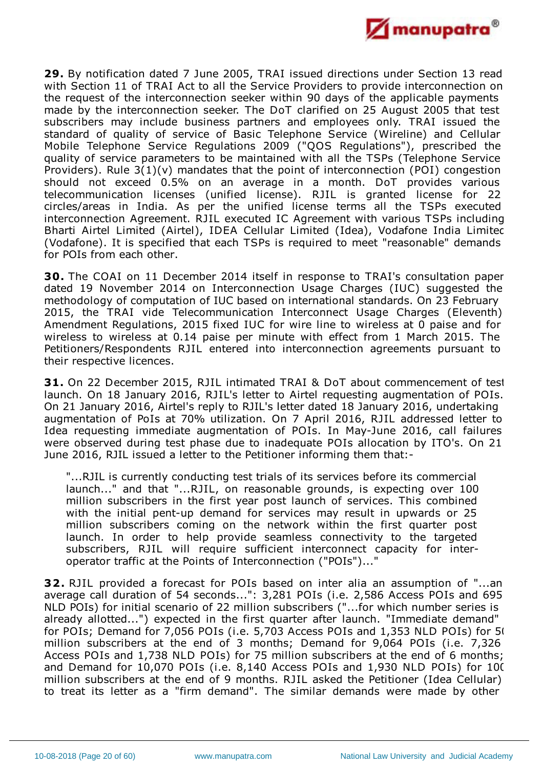

**29.** By notification dated 7 June 2005, TRAI issued directions under Section 13 read with Section 11 of TRAI Act to all the Service Providers to provide interconnection on the request of the interconnection seeker within 90 days of the applicable payments made by the interconnection seeker. The DoT clarified on 25 August 2005 that test subscribers may include business partners and employees only. TRAI issued the standard of quality of service of Basic Telephone Service (Wireline) and Cellular Mobile Telephone Service Regulations 2009 ("QOS Regulations"), prescribed the quality of service parameters to be maintained with all the TSPs (Telephone Service Providers). Rule 3(1)(v) mandates that the point of interconnection (POI) congestion should not exceed 0.5% on an average in a month. DoT provides various telecommunication licenses (unified license). RJIL is granted license for 22 circles/areas in India. As per the unified license terms all the TSPs executed interconnection Agreement. RJIL executed IC Agreement with various TSPs including Bharti Airtel Limited (Airtel), IDEA Cellular Limited (Idea), Vodafone India Limited (Vodafone). It is specified that each TSPs is required to meet "reasonable" demands for POIs from each other.

**30.** The COAI on 11 December 2014 itself in response to TRAI's consultation paper dated 19 November 2014 on Interconnection Usage Charges (IUC) suggested the methodology of computation of IUC based on international standards. On 23 February 2015, the TRAI vide Telecommunication Interconnect Usage Charges (Eleventh) Amendment Regulations, 2015 fixed IUC for wire line to wireless at 0 paise and for wireless to wireless at 0.14 paise per minute with effect from 1 March 2015. The Petitioners/Respondents RJIL entered into interconnection agreements pursuant to their respective licences.

**31.** On 22 December 2015, RJIL intimated TRAI & DoT about commencement of test launch. On 18 January 2016, RJIL's letter to Airtel requesting augmentation of POIs. On 21 January 2016, Airtel's reply to RJIL's letter dated 18 January 2016, undertaking augmentation of PoIs at 70% utilization. On 7 April 2016, RJIL addressed letter to Idea requesting immediate augmentation of POIs. In May-June 2016, call failures were observed during test phase due to inadequate POIs allocation by ITO's. On 21 June 2016, RJIL issued a letter to the Petitioner informing them that:-

"...RJIL is currently conducting test trials of its services before its commercial launch..." and that "...RJIL, on reasonable grounds, is expecting over 100 million subscribers in the first year post launch of services. This combined with the initial pent-up demand for services may result in upwards or 25 million subscribers coming on the network within the first quarter post launch. In order to help provide seamless connectivity to the targeted subscribers, RJIL will require sufficient interconnect capacity for interoperator traffic at the Points of Interconnection ("POIs")..."

**32.** RJIL provided a forecast for POIs based on inter alia an assumption of "...an average call duration of 54 seconds...": 3,281 POIs (i.e. 2,586 Access POIs and 695 NLD POIs) for initial scenario of 22 million subscribers ("...for which number series is already allotted...") expected in the first quarter after launch. "Immediate demand" for POIs; Demand for 7,056 POIs (i.e. 5,703 Access POIs and 1,353 NLD POIs) for 50 million subscribers at the end of 3 months; Demand for 9,064 POIs (i.e. 7,326 Access POIs and 1,738 NLD POIs) for 75 million subscribers at the end of 6 months; and Demand for 10,070 POIs (i.e. 8,140 Access POIs and 1,930 NLD POIs) for 100 million subscribers at the end of 9 months. RJIL asked the Petitioner (Idea Cellular) to treat its letter as a "firm demand". The similar demands were made by other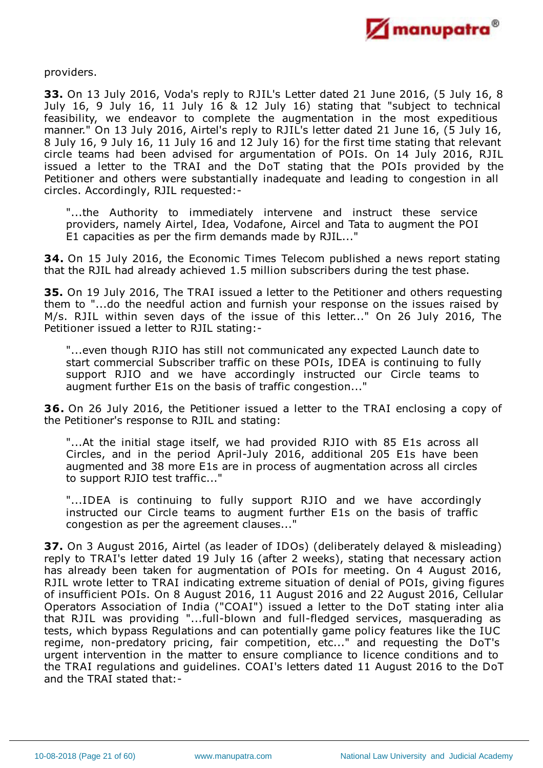

providers.

**33.** On 13 July 2016, Voda's reply to RJIL's Letter dated 21 June 2016, (5 July 16, 8 July 16, 9 July 16, 11 July 16 & 12 July 16) stating that "subject to technical feasibility, we endeavor to complete the augmentation in the most expeditious manner." On 13 July 2016, Airtel's reply to RJIL's letter dated 21 June 16, (5 July 16, 8 July 16, 9 July 16, 11 July 16 and 12 July 16) for the first time stating that relevant circle teams had been advised for argumentation of POIs. On 14 July 2016, RJIL issued a letter to the TRAI and the DoT stating that the POIs provided by the Petitioner and others were substantially inadequate and leading to congestion in all circles. Accordingly, RJIL requested:-

"...the Authority to immediately intervene and instruct these service providers, namely Airtel, Idea, Vodafone, Aircel and Tata to augment the POI E1 capacities as per the firm demands made by RJIL..."

**34.** On 15 July 2016, the Economic Times Telecom published a news report stating that the RJIL had already achieved 1.5 million subscribers during the test phase.

**35.** On 19 July 2016, The TRAI issued a letter to the Petitioner and others requesting them to "...do the needful action and furnish your response on the issues raised by M/s. RJIL within seven days of the issue of this letter..." On 26 July 2016, The Petitioner issued a letter to RJIL stating:-

"...even though RJIO has still not communicated any expected Launch date to start commercial Subscriber traffic on these POIs, IDEA is continuing to fully support RJIO and we have accordingly instructed our Circle teams to augment further E1s on the basis of traffic congestion..."

**36.** On 26 July 2016, the Petitioner issued a letter to the TRAI enclosing a copy of the Petitioner's response to RJIL and stating:

"...At the initial stage itself, we had provided RJIO with 85 E1s across all Circles, and in the period April-July 2016, additional 205 E1s have been augmented and 38 more E1s are in process of augmentation across all circles to support RJIO test traffic..."

"...IDEA is continuing to fully support RJIO and we have accordingly instructed our Circle teams to augment further E1s on the basis of traffic congestion as per the agreement clauses..."

**37.** On 3 August 2016, Airtel (as leader of IDOs) (deliberately delayed & misleading) reply to TRAI's letter dated 19 July 16 (after 2 weeks), stating that necessary action has already been taken for augmentation of POIs for meeting. On 4 August 2016, RJIL wrote letter to TRAI indicating extreme situation of denial of POIs, giving figures of insufficient POIs. On 8 August 2016, 11 August 2016 and 22 August 2016, Cellular Operators Association of India ("COAI") issued a letter to the DoT stating inter alia that RJIL was providing "...full-blown and full-fledged services, masquerading as tests, which bypass Regulations and can potentially game policy features like the IUC regime, non-predatory pricing, fair competition, etc..." and requesting the DoT's urgent intervention in the matter to ensure compliance to licence conditions and to the TRAI regulations and guidelines. COAI's letters dated 11 August 2016 to the DoT and the TRAI stated that:-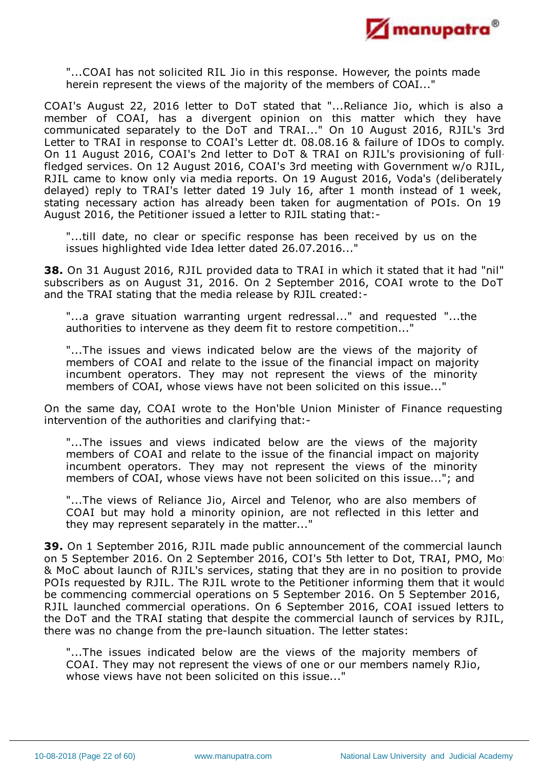

"...COAI has not solicited RIL Jio in this response. However, the points made herein represent the views of the majority of the members of COAI..."

COAI's August 22, 2016 letter to DoT stated that "...Reliance Jio, which is also a member of COAI, has a divergent opinion on this matter which they have communicated separately to the DoT and TRAI..." On 10 August 2016, RJIL's 3rd Letter to TRAI in response to COAI's Letter dt. 08.08.16 & failure of IDOs to comply. On 11 August 2016, COAI's 2nd letter to DoT & TRAI on RJIL's provisioning of fullfledged services. On 12 August 2016, COAI's 3rd meeting with Government w/o RJIL, RJIL came to know only via media reports. On 19 August 2016, Voda's (deliberately delayed) reply to TRAI's letter dated 19 July 16, after 1 month instead of 1 week, stating necessary action has already been taken for augmentation of POIs. On 19 August 2016, the Petitioner issued a letter to RJIL stating that:-

"...till date, no clear or specific response has been received by us on the issues highlighted vide Idea letter dated 26.07.2016..."

**38.** On 31 August 2016, RJIL provided data to TRAI in which it stated that it had "nil" subscribers as on August 31, 2016. On 2 September 2016, COAI wrote to the DoT and the TRAI stating that the media release by RJIL created:-

"...a grave situation warranting urgent redressal..." and requested "...the authorities to intervene as they deem fit to restore competition..."

"...The issues and views indicated below are the views of the majority of members of COAI and relate to the issue of the financial impact on majority incumbent operators. They may not represent the views of the minority members of COAI, whose views have not been solicited on this issue..."

On the same day, COAI wrote to the Hon'ble Union Minister of Finance requesting intervention of the authorities and clarifying that:-

"...The issues and views indicated below are the views of the majority members of COAI and relate to the issue of the financial impact on majority incumbent operators. They may not represent the views of the minority members of COAI, whose views have not been solicited on this issue..."; and

"...The views of Reliance Jio, Aircel and Telenor, who are also members of COAI but may hold a minority opinion, are not reflected in this letter and they may represent separately in the matter..."

**39.** On 1 September 2016, RJIL made public announcement of the commercial launch on 5 September 2016. On 2 September 2016, COI's 5th letter to Dot, TRAI, PMO, Mo & MoC about launch of RJIL's services, stating that they are in no position to provide POIs requested by RJIL. The RJIL wrote to the Petitioner informing them that it would be commencing commercial operations on 5 September 2016. On 5 September 2016, RJIL launched commercial operations. On 6 September 2016, COAI issued letters to the DoT and the TRAI stating that despite the commercial launch of services by RJIL, there was no change from the pre-launch situation. The letter states:

"...The issues indicated below are the views of the majority members of COAI. They may not represent the views of one or our members namely RJio, whose views have not been solicited on this issue..."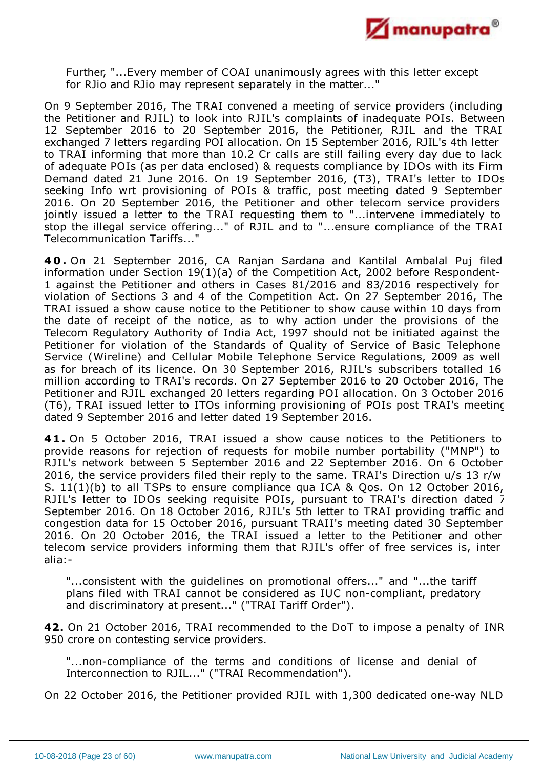

Further, "...Every member of COAI unanimously agrees with this letter except for RJio and RJio may represent separately in the matter..."

On 9 September 2016, The TRAI convened a meeting of service providers (including the Petitioner and RJIL) to look into RJIL's complaints of inadequate POIs. Between 12 September 2016 to 20 September 2016, the Petitioner, RJIL and the TRAI exchanged 7 letters regarding POI allocation. On 15 September 2016, RJIL's 4th letter to TRAI informing that more than 10.2 Cr calls are still failing every day due to lack of adequate POIs (as per data enclosed) & requests compliance by IDOs with its Firm Demand dated 21 June 2016. On 19 September 2016, (T3), TRAI's letter to IDOs seeking Info wrt provisioning of POIs & traffic, post meeting dated 9 September 2016. On 20 September 2016, the Petitioner and other telecom service providers jointly issued a letter to the TRAI requesting them to "...intervene immediately to stop the illegal service offering..." of RJIL and to "...ensure compliance of the TRAI Telecommunication Tariffs..."

**4 0 .** On 21 September 2016, CA Ranjan Sardana and Kantilal Ambalal Puj filed information under Section 19(1)(a) of the Competition Act, 2002 before Respondent-1 against the Petitioner and others in Cases 81/2016 and 83/2016 respectively for violation of Sections 3 and 4 of the Competition Act. On 27 September 2016, The TRAI issued a show cause notice to the Petitioner to show cause within 10 days from the date of receipt of the notice, as to why action under the provisions of the Telecom Regulatory Authority of India Act, 1997 should not be initiated against the Petitioner for violation of the Standards of Quality of Service of Basic Telephone Service (Wireline) and Cellular Mobile Telephone Service Regulations, 2009 as well as for breach of its licence. On 30 September 2016, RJIL's subscribers totalled 16 million according to TRAI's records. On 27 September 2016 to 20 October 2016, The Petitioner and RJIL exchanged 20 letters regarding POI allocation. On 3 October 2016 (T6), TRAI issued letter to ITOs informing provisioning of POIs post TRAI's meeting dated 9 September 2016 and letter dated 19 September 2016.

**41.** On 5 October 2016, TRAI issued a show cause notices to the Petitioners to provide reasons for rejection of requests for mobile number portability ("MNP") to RJIL's network between 5 September 2016 and 22 September 2016. On 6 October 2016, the service providers filed their reply to the same. TRAI's Direction u/s 13 r/w S. 11(1)(b) to all TSPs to ensure compliance qua ICA & Qos. On 12 October 2016, RJIL's letter to IDOs seeking requisite POIs, pursuant to TRAI's direction dated 7 September 2016. On 18 October 2016, RJIL's 5th letter to TRAI providing traffic and congestion data for 15 October 2016, pursuant TRAII's meeting dated 30 September 2016. On 20 October 2016, the TRAI issued a letter to the Petitioner and other telecom service providers informing them that RJIL's offer of free services is, inter alia:-

"...consistent with the guidelines on promotional offers..." and "...the tariff plans filed with TRAI cannot be considered as IUC non-compliant, predatory and discriminatory at present..." ("TRAI Tariff Order").

**42.** On 21 October 2016, TRAI recommended to the DoT to impose a penalty of INR 950 crore on contesting service providers.

"...non-compliance of the terms and conditions of license and denial of Interconnection to RJIL..." ("TRAI Recommendation").

On 22 October 2016, the Petitioner provided RJIL with 1,300 dedicated one-way NLD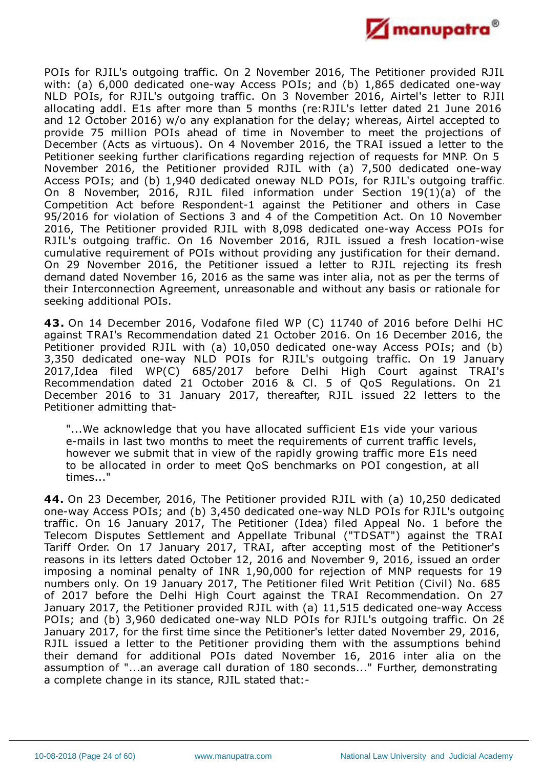

POIs for RJIL's outgoing traffic. On 2 November 2016, The Petitioner provided RJIL with: (a) 6,000 dedicated one-way Access POIs; and (b) 1,865 dedicated one-way NLD POIs, for RJIL's outgoing traffic. On 3 November 2016, Airtel's letter to RJIL allocating addl. E1s after more than 5 months (re:RJIL's letter dated 21 June 2016 and 12 October 2016) w/o any explanation for the delay; whereas, Airtel accepted to provide 75 million POIs ahead of time in November to meet the projections of December (Acts as virtuous). On 4 November 2016, the TRAI issued a letter to the Petitioner seeking further clarifications regarding rejection of requests for MNP. On 5 November 2016, the Petitioner provided RJIL with (a) 7,500 dedicated one-way Access POIs; and (b) 1,940 dedicated oneway NLD POIs, for RJIL's outgoing traffic. On 8 November, 2016, RJIL filed information under Section 19(1)(a) of the Competition Act before Respondent-1 against the Petitioner and others in Case 95/2016 for violation of Sections 3 and 4 of the Competition Act. On 10 November 2016, The Petitioner provided RJIL with 8,098 dedicated one-way Access POIs for RJIL's outgoing traffic. On 16 November 2016, RJIL issued a fresh location-wise cumulative requirement of POIs without providing any justification for their demand. On 29 November 2016, the Petitioner issued a letter to RJIL rejecting its fresh demand dated November 16, 2016 as the same was inter alia, not as per the terms of their Interconnection Agreement, unreasonable and without any basis or rationale for seeking additional POIs.

**43.** On 14 December 2016, Vodafone filed WP (C) 11740 of 2016 before Delhi HC against TRAI's Recommendation dated 21 October 2016. On 16 December 2016, the Petitioner provided RJIL with (a) 10,050 dedicated one-way Access POIs; and (b) 3,350 dedicated one-way NLD POIs for RJIL's outgoing traffic. On 19 January 2017,Idea filed WP(C) 685/2017 before Delhi High Court against TRAI's Recommendation dated 21 October 2016 & Cl. 5 of QoS Regulations. On 21 December 2016 to 31 January 2017, thereafter, RJIL issued 22 letters to the Petitioner admitting that-

"...We acknowledge that you have allocated sufficient E1s vide your various e-mails in last two months to meet the requirements of current traffic levels, however we submit that in view of the rapidly growing traffic more E1s need to be allocated in order to meet QoS benchmarks on POI congestion, at all times..."

**44.** On 23 December, 2016, The Petitioner provided RJIL with (a) 10,250 dedicated one-way Access POIs; and (b) 3,450 dedicated one-way NLD POIs for RJIL's outgoing traffic. On 16 January 2017, The Petitioner (Idea) filed Appeal No. 1 before the Telecom Disputes Settlement and Appellate Tribunal ("TDSAT") against the TRAI Tariff Order. On 17 January 2017, TRAI, after accepting most of the Petitioner's reasons in its letters dated October 12, 2016 and November 9, 2016, issued an order imposing a nominal penalty of INR 1,90,000 for rejection of MNP requests for 19 numbers only. On 19 January 2017, The Petitioner filed Writ Petition (Civil) No. 685 of 2017 before the Delhi High Court against the TRAI Recommendation. On 27 January 2017, the Petitioner provided RJIL with (a) 11,515 dedicated one-way Access POIs; and (b) 3,960 dedicated one-way NLD POIs for RJIL's outgoing traffic. On 28 January 2017, for the first time since the Petitioner's letter dated November 29, 2016, RJIL issued a letter to the Petitioner providing them with the assumptions behind their demand for additional POIs dated November 16, 2016 inter alia on the assumption of "...an average call duration of 180 seconds..." Further, demonstrating a complete change in its stance, RJIL stated that:-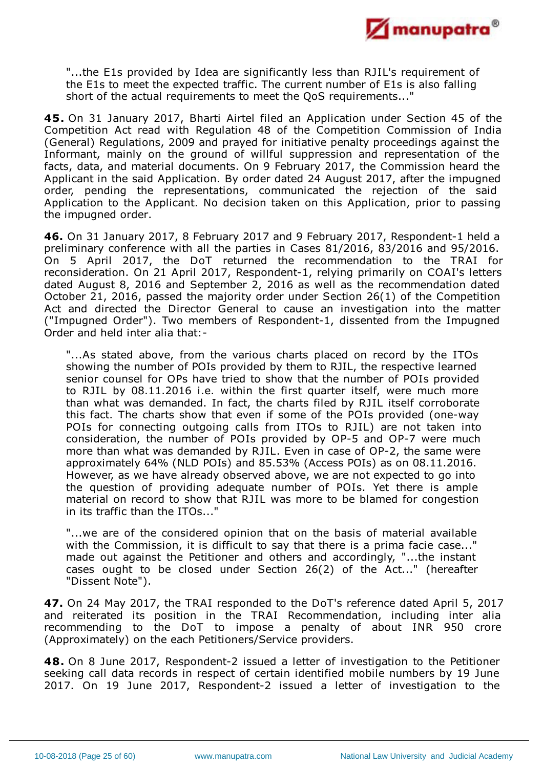

"...the E1s provided by Idea are significantly less than RJIL's requirement of the E1s to meet the expected traffic. The current number of E1s is also falling short of the actual requirements to meet the QoS requirements..."

**45.** On 31 January 2017, Bharti Airtel filed an Application under Section 45 of the Competition Act read with Regulation 48 of the Competition Commission of India (General) Regulations, 2009 and prayed for initiative penalty proceedings against the Informant, mainly on the ground of willful suppression and representation of the facts, data, and material documents. On 9 February 2017, the Commission heard the Applicant in the said Application. By order dated 24 August 2017, after the impugned order, pending the representations, communicated the rejection of the said Application to the Applicant. No decision taken on this Application, prior to passing the impugned order.

**46.** On 31 January 2017, 8 February 2017 and 9 February 2017, Respondent-1 held a preliminary conference with all the parties in Cases 81/2016, 83/2016 and 95/2016. On 5 April 2017, the DoT returned the recommendation to the TRAI for reconsideration. On 21 April 2017, Respondent-1, relying primarily on COAI's letters dated August 8, 2016 and September 2, 2016 as well as the recommendation dated October 21, 2016, passed the majority order under Section 26(1) of the Competition Act and directed the Director General to cause an investigation into the matter ("Impugned Order"). Two members of Respondent-1, dissented from the Impugned Order and held inter alia that:-

"...As stated above, from the various charts placed on record by the ITOs showing the number of POIs provided by them to RJIL, the respective learned senior counsel for OPs have tried to show that the number of POIs provided to RJIL by 08.11.2016 i.e. within the first quarter itself, were much more than what was demanded. In fact, the charts filed by RJIL itself corroborate this fact. The charts show that even if some of the POIs provided (one-way POIs for connecting outgoing calls from ITOs to RJIL) are not taken into consideration, the number of POIs provided by OP-5 and OP-7 were much more than what was demanded by RJIL. Even in case of OP-2, the same were approximately 64% (NLD POIs) and 85.53% (Access POIs) as on 08.11.2016. However, as we have already observed above, we are not expected to go into the question of providing adequate number of POIs. Yet there is ample material on record to show that RJIL was more to be blamed for congestion in its traffic than the ITOs..."

"...we are of the considered opinion that on the basis of material available with the Commission, it is difficult to say that there is a prima facie case..." made out against the Petitioner and others and accordingly, "...the instant cases ought to be closed under Section 26(2) of the Act..." (hereafter "Dissent Note").

**47.** On 24 May 2017, the TRAI responded to the DoT's reference dated April 5, 2017 and reiterated its position in the TRAI Recommendation, including inter alia recommending to the DoT to impose a penalty of about INR 950 crore (Approximately) on the each Petitioners/Service providers.

**48.** On 8 June 2017, Respondent-2 issued a letter of investigation to the Petitioner seeking call data records in respect of certain identified mobile numbers by 19 June 2017. On 19 June 2017, Respondent-2 issued a letter of investigation to the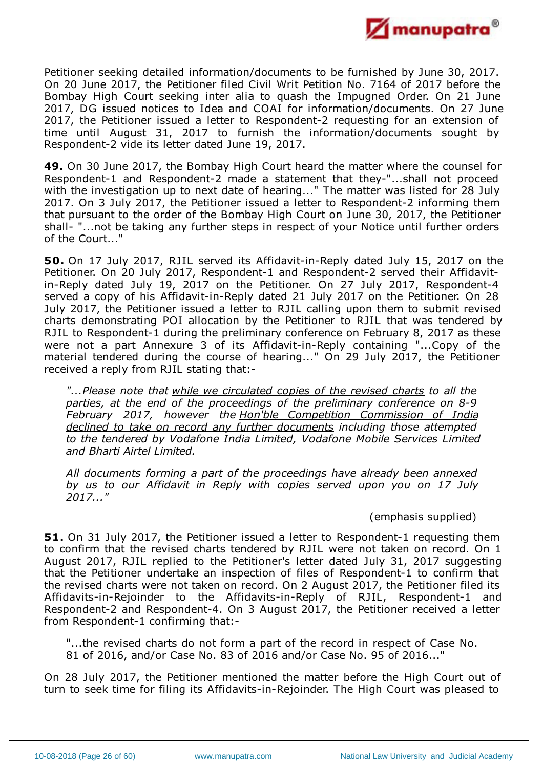

Petitioner seeking detailed information/documents to be furnished by June 30, 2017. On 20 June 2017, the Petitioner filed Civil Writ Petition No. 7164 of 2017 before the Bombay High Court seeking inter alia to quash the Impugned Order. On 21 June 2017, DG issued notices to Idea and COAI for information/documents. On 27 June 2017, the Petitioner issued a letter to Respondent-2 requesting for an extension of time until August 31, 2017 to furnish the information/documents sought by Respondent-2 vide its letter dated June 19, 2017.

**49.** On 30 June 2017, the Bombay High Court heard the matter where the counsel for Respondent-1 and Respondent-2 made a statement that they-"...shall not proceed with the investigation up to next date of hearing..." The matter was listed for 28 July 2017. On 3 July 2017, the Petitioner issued a letter to Respondent-2 informing them that pursuant to the order of the Bombay High Court on June 30, 2017, the Petitioner shall- "...not be taking any further steps in respect of your Notice until further orders of the Court..."

**50.** On 17 July 2017, RJIL served its Affidavit-in-Reply dated July 15, 2017 on the Petitioner. On 20 July 2017, Respondent-1 and Respondent-2 served their Affidavitin-Reply dated July 19, 2017 on the Petitioner. On 27 July 2017, Respondent-4 served a copy of his Affidavit-in-Reply dated 21 July 2017 on the Petitioner. On 28 July 2017, the Petitioner issued a letter to RJIL calling upon them to submit revised charts demonstrating POI allocation by the Petitioner to RJIL that was tendered by RJIL to Respondent-1 during the preliminary conference on February 8, 2017 as these were not a part Annexure 3 of its Affidavit-in-Reply containing "...Copy of the material tendered during the course of hearing..." On 29 July 2017, the Petitioner received a reply from RJIL stating that:-

*"...Please note that while we circulated copies of the revised charts to all the parties, at the end of the proceedings of the preliminary conference on 8-9 February 2017, however the Hon'ble Competition Commission of India declined to take on record any further documents including those attempted to the tendered by Vodafone India Limited, Vodafone Mobile Services Limited and Bharti Airtel Limited.*

*All documents forming a part of the proceedings have already been annexed by us to our Affidavit in Reply with copies served upon you on 17 July 2017..."*

# (emphasis supplied)

**51.** On 31 July 2017, the Petitioner issued a letter to Respondent-1 requesting them to confirm that the revised charts tendered by RJIL were not taken on record. On 1 August 2017, RJIL replied to the Petitioner's letter dated July 31, 2017 suggesting that the Petitioner undertake an inspection of files of Respondent-1 to confirm that the revised charts were not taken on record. On 2 August 2017, the Petitioner filed its Affidavits-in-Rejoinder to the Affidavits-in-Reply of RJIL, Respondent-1 and Respondent-2 and Respondent-4. On 3 August 2017, the Petitioner received a letter from Respondent-1 confirming that:-

"...the revised charts do not form a part of the record in respect of Case No. 81 of 2016, and/or Case No. 83 of 2016 and/or Case No. 95 of 2016..."

On 28 July 2017, the Petitioner mentioned the matter before the High Court out of turn to seek time for filing its Affidavits-in-Rejoinder. The High Court was pleased to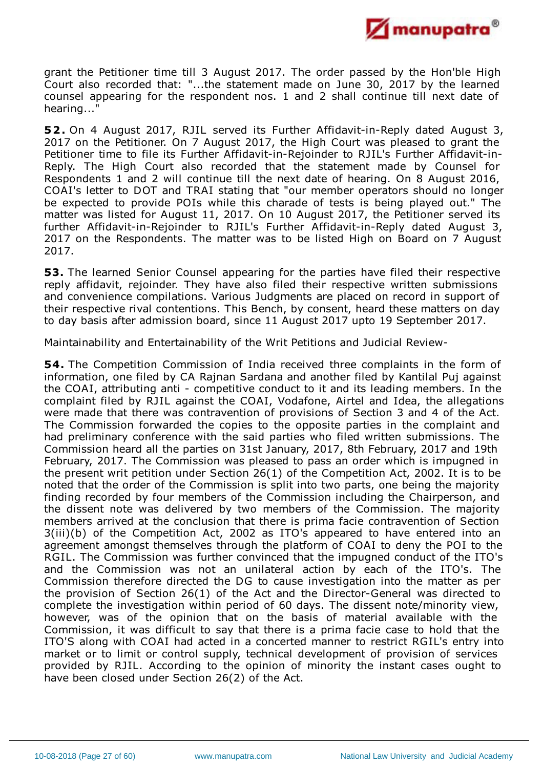

grant the Petitioner time till 3 August 2017. The order passed by the Hon'ble High Court also recorded that: "...the statement made on June 30, 2017 by the learned counsel appearing for the respondent nos. 1 and 2 shall continue till next date of hearing..."

**52.** On 4 August 2017, RJIL served its Further Affidavit-in-Reply dated August 3, 2017 on the Petitioner. On 7 August 2017, the High Court was pleased to grant the Petitioner time to file its Further Affidavit-in-Rejoinder to RJIL's Further Affidavit-in-Reply. The High Court also recorded that the statement made by Counsel for Respondents 1 and 2 will continue till the next date of hearing. On 8 August 2016, COAI's letter to DOT and TRAI stating that "our member operators should no longer be expected to provide POIs while this charade of tests is being played out." The matter was listed for August 11, 2017. On 10 August 2017, the Petitioner served its further Affidavit-in-Rejoinder to RJIL's Further Affidavit-in-Reply dated August 3, 2017 on the Respondents. The matter was to be listed High on Board on 7 August 2017.

**53.** The learned Senior Counsel appearing for the parties have filed their respective reply affidavit, rejoinder. They have also filed their respective written submissions and convenience compilations. Various Judgments are placed on record in support of their respective rival contentions. This Bench, by consent, heard these matters on day to day basis after admission board, since 11 August 2017 upto 19 September 2017.

Maintainability and Entertainability of the Writ Petitions and Judicial Review-

**54.** The Competition Commission of India received three complaints in the form of information, one filed by CA Rajnan Sardana and another filed by Kantilal Puj against the COAI, attributing anti - competitive conduct to it and its leading members. In the complaint filed by RJIL against the COAI, Vodafone, Airtel and Idea, the allegations were made that there was contravention of provisions of Section 3 and 4 of the Act. The Commission forwarded the copies to the opposite parties in the complaint and had preliminary conference with the said parties who filed written submissions. The Commission heard all the parties on 31st January, 2017, 8th February, 2017 and 19th February, 2017. The Commission was pleased to pass an order which is impugned in the present writ petition under Section 26(1) of the Competition Act, 2002. It is to be noted that the order of the Commission is split into two parts, one being the majority finding recorded by four members of the Commission including the Chairperson, and the dissent note was delivered by two members of the Commission. The majority members arrived at the conclusion that there is prima facie contravention of Section 3(iii)(b) of the Competition Act, 2002 as ITO's appeared to have entered into an agreement amongst themselves through the platform of COAI to deny the POI to the RGIL. The Commission was further convinced that the impugned conduct of the ITO's and the Commission was not an unilateral action by each of the ITO's. The Commission therefore directed the DG to cause investigation into the matter as per the provision of Section 26(1) of the Act and the Director-General was directed to complete the investigation within period of 60 days. The dissent note/minority view, however, was of the opinion that on the basis of material available with the Commission, it was difficult to say that there is a prima facie case to hold that the ITO'S along with COAI had acted in a concerted manner to restrict RGIL's entry into market or to limit or control supply, technical development of provision of services provided by RJIL. According to the opinion of minority the instant cases ought to have been closed under Section 26(2) of the Act.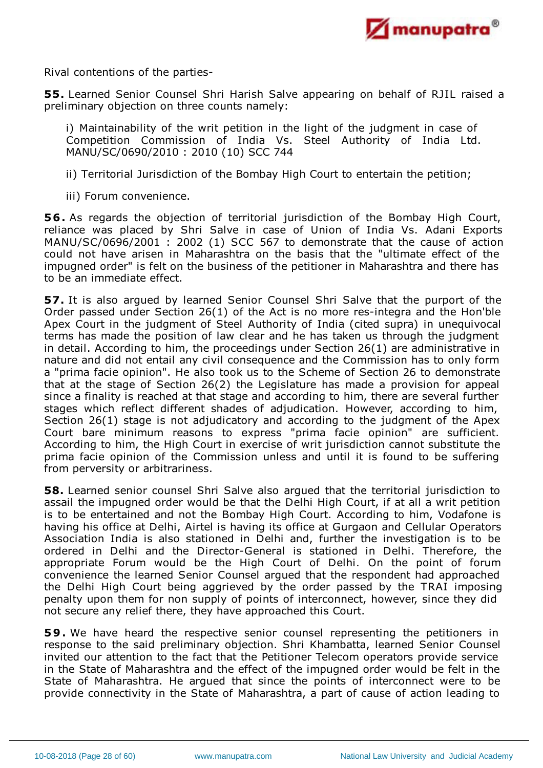

Rival contentions of the parties-

**55.** Learned Senior Counsel Shri Harish Salve appearing on behalf of RJIL raised a preliminary objection on three counts namely:

i) Maintainability of the writ petition in the light of the judgment in case of Competition Commission of India Vs. Steel Authority of India Ltd. MANU/SC/0690/2010 : 2010 (10) SCC 744

ii) Territorial Jurisdiction of the Bombay High Court to entertain the petition;

iii) Forum convenience.

**56.** As regards the objection of territorial jurisdiction of the Bombay High Court, reliance was placed by Shri Salve in case of Union of India Vs. Adani Exports MANU/SC/0696/2001 : 2002 (1) SCC 567 to demonstrate that the cause of action could not have arisen in Maharashtra on the basis that the "ultimate effect of the impugned order" is felt on the business of the petitioner in Maharashtra and there has to be an immediate effect.

**57.** It is also argued by learned Senior Counsel Shri Salve that the purport of the Order passed under Section 26(1) of the Act is no more res-integra and the Hon'ble Apex Court in the judgment of Steel Authority of India (cited supra) in unequivocal terms has made the position of law clear and he has taken us through the judgment in detail. According to him, the proceedings under Section 26(1) are administrative in nature and did not entail any civil consequence and the Commission has to only form a "prima facie opinion". He also took us to the Scheme of Section 26 to demonstrate that at the stage of Section 26(2) the Legislature has made a provision for appeal since a finality is reached at that stage and according to him, there are several further stages which reflect different shades of adjudication. However, according to him, Section 26(1) stage is not adjudicatory and according to the judgment of the Apex Court bare minimum reasons to express "prima facie opinion" are sufficient. According to him, the High Court in exercise of writ jurisdiction cannot substitute the prima facie opinion of the Commission unless and until it is found to be suffering from perversity or arbitrariness.

**58.** Learned senior counsel Shri Salve also argued that the territorial jurisdiction to assail the impugned order would be that the Delhi High Court, if at all a writ petition is to be entertained and not the Bombay High Court. According to him, Vodafone is having his office at Delhi, Airtel is having its office at Gurgaon and Cellular Operators Association India is also stationed in Delhi and, further the investigation is to be ordered in Delhi and the Director-General is stationed in Delhi. Therefore, the appropriate Forum would be the High Court of Delhi. On the point of forum convenience the learned Senior Counsel argued that the respondent had approached the Delhi High Court being aggrieved by the order passed by the TRAI imposing penalty upon them for non supply of points of interconnect, however, since they did not secure any relief there, they have approached this Court.

**59.** We have heard the respective senior counsel representing the petitioners in response to the said preliminary objection. Shri Khambatta, learned Senior Counsel invited our attention to the fact that the Petitioner Telecom operators provide service in the State of Maharashtra and the effect of the impugned order would be felt in the State of Maharashtra. He argued that since the points of interconnect were to be provide connectivity in the State of Maharashtra, a part of cause of action leading to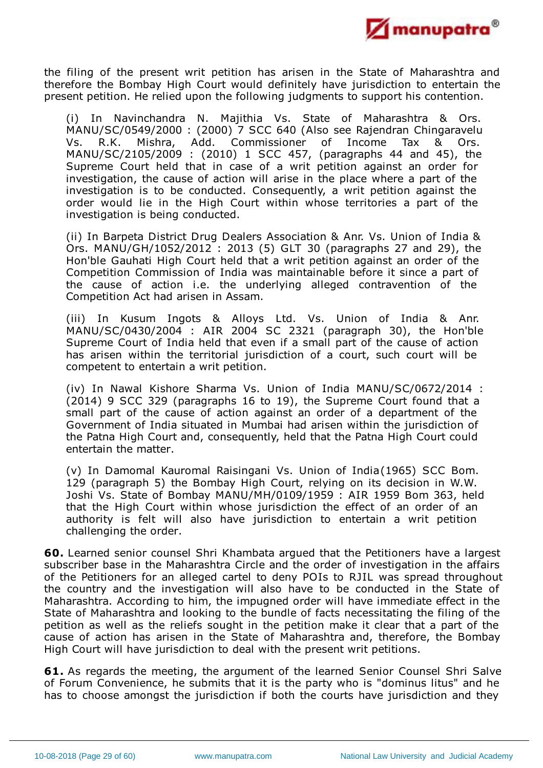

the filing of the present writ petition has arisen in the State of Maharashtra and therefore the Bombay High Court would definitely have jurisdiction to entertain the present petition. He relied upon the following judgments to support his contention.

(i) In Navinchandra N. Majithia Vs. State of Maharashtra & Ors. MANU/SC/0549/2000 : (2000) 7 SCC 640 (Also see Rajendran Chingaravelu Vs. R.K. Mishra, Add. Commissioner of Income Tax & Ors. MANU/SC/2105/2009 : (2010) 1 SCC 457, (paragraphs 44 and 45), the Supreme Court held that in case of a writ petition against an order for investigation, the cause of action will arise in the place where a part of the investigation is to be conducted. Consequently, a writ petition against the order would lie in the High Court within whose territories a part of the investigation is being conducted.

(ii) In Barpeta District Drug Dealers Association & Anr. Vs. Union of India & Ors. MANU/GH/1052/2012 : 2013 (5) GLT 30 (paragraphs 27 and 29), the Hon'ble Gauhati High Court held that a writ petition against an order of the Competition Commission of India was maintainable before it since a part of the cause of action i.e. the underlying alleged contravention of the Competition Act had arisen in Assam.

(iii) In Kusum Ingots & Alloys Ltd. Vs. Union of India & Anr. MANU/SC/0430/2004 : AIR 2004 SC 2321 (paragraph 30), the Hon'ble Supreme Court of India held that even if a small part of the cause of action has arisen within the territorial jurisdiction of a court, such court will be competent to entertain a writ petition.

(iv) In Nawal Kishore Sharma Vs. Union of India MANU/SC/0672/2014 : (2014) 9 SCC 329 (paragraphs 16 to 19), the Supreme Court found that a small part of the cause of action against an order of a department of the Government of India situated in Mumbai had arisen within the jurisdiction of the Patna High Court and, consequently, held that the Patna High Court could entertain the matter.

(v) In Damomal Kauromal Raisingani Vs. Union of India(1965) SCC Bom. 129 (paragraph 5) the Bombay High Court, relying on its decision in W.W. Joshi Vs. State of Bombay MANU/MH/0109/1959 : AIR 1959 Bom 363, held that the High Court within whose jurisdiction the effect of an order of an authority is felt will also have jurisdiction to entertain a writ petition challenging the order.

**60.** Learned senior counsel Shri Khambata argued that the Petitioners have a largest subscriber base in the Maharashtra Circle and the order of investigation in the affairs of the Petitioners for an alleged cartel to deny POIs to RJIL was spread throughout the country and the investigation will also have to be conducted in the State of Maharashtra. According to him, the impugned order will have immediate effect in the State of Maharashtra and looking to the bundle of facts necessitating the filing of the petition as well as the reliefs sought in the petition make it clear that a part of the cause of action has arisen in the State of Maharashtra and, therefore, the Bombay High Court will have jurisdiction to deal with the present writ petitions.

**61.** As regards the meeting, the argument of the learned Senior Counsel Shri Salve of Forum Convenience, he submits that it is the party who is "dominus litus" and he has to choose amongst the jurisdiction if both the courts have jurisdiction and they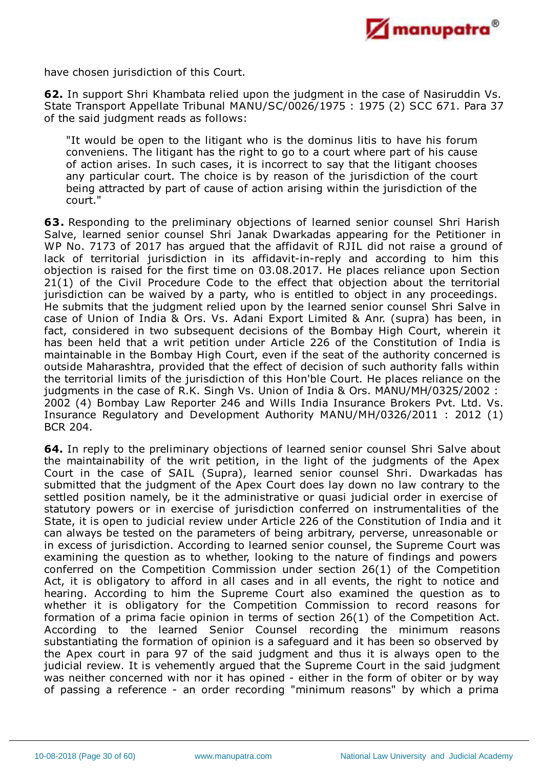

have chosen jurisdiction of this Court.

**62.** In support Shri Khambata relied upon the judgment in the case of Nasiruddin Vs. State Transport Appellate Tribunal MANU/SC/0026/1975 : 1975 (2) SCC 671. Para 37 of the said judgment reads as follows:

"It would be open to the litigant who is the dominus litis to have his forum conveniens. The litigant has the right to go to a court where part of his cause of action arises. In such cases, it is incorrect to say that the litigant chooses any particular court. The choice is by reason of the jurisdiction of the court being attracted by part of cause of action arising within the jurisdiction of the court."

**63.** Responding to the preliminary objections of learned senior counsel Shri Harish Salve, learned senior counsel Shri Janak Dwarkadas appearing for the Petitioner in WP No. 7173 of 2017 has argued that the affidavit of RJIL did not raise a ground of lack of territorial jurisdiction in its affidavit-in-reply and according to him this objection is raised for the first time on 03.08.2017. He places reliance upon Section 21(1) of the Civil Procedure Code to the effect that objection about the territorial jurisdiction can be waived by a party, who is entitled to object in any proceedings. He submits that the judgment relied upon by the learned senior counsel Shri Salve in case of Union of India & Ors. Vs. Adani Export Limited & Anr. (supra) has been, in fact, considered in two subsequent decisions of the Bombay High Court, wherein it has been held that a writ petition under Article 226 of the Constitution of India is maintainable in the Bombay High Court, even if the seat of the authority concerned is outside Maharashtra, provided that the effect of decision of such authority falls within the territorial limits of the jurisdiction of this Hon'ble Court. He places reliance on the judgments in the case of R.K. Singh Vs. Union of India & Ors. MANU/MH/0325/2002 : 2002 (4) Bombay Law Reporter 246 and Wills India Insurance Brokers Pvt. Ltd. Vs. Insurance Regulatory and Development Authority MANU/MH/0326/2011 : 2012 (1) BCR 204.

**64.** In reply to the preliminary objections of learned senior counsel Shri Salve about the maintainability of the writ petition, in the light of the judgments of the Apex Court in the case of SAIL (Supra), learned senior counsel Shri. Dwarkadas has submitted that the judgment of the Apex Court does lay down no law contrary to the settled position namely, be it the administrative or quasi judicial order in exercise of statutory powers or in exercise of jurisdiction conferred on instrumentalities of the State, it is open to judicial review under Article 226 of the Constitution of India and it can always be tested on the parameters of being arbitrary, perverse, unreasonable or in excess of jurisdiction. According to learned senior counsel, the Supreme Court was examining the question as to whether, looking to the nature of findings and powers conferred on the Competition Commission under section 26(1) of the Competition Act, it is obligatory to afford in all cases and in all events, the right to notice and hearing. According to him the Supreme Court also examined the question as to whether it is obligatory for the Competition Commission to record reasons for formation of a prima facie opinion in terms of section 26(1) of the Competition Act. According to the learned Senior Counsel recording the minimum reasons substantiating the formation of opinion is a safeguard and it has been so observed by the Apex court in para 97 of the said judgment and thus it is always open to the judicial review. It is vehemently argued that the Supreme Court in the said judgment was neither concerned with nor it has opined - either in the form of obiter or by way of passing a reference - an order recording "minimum reasons" by which a prima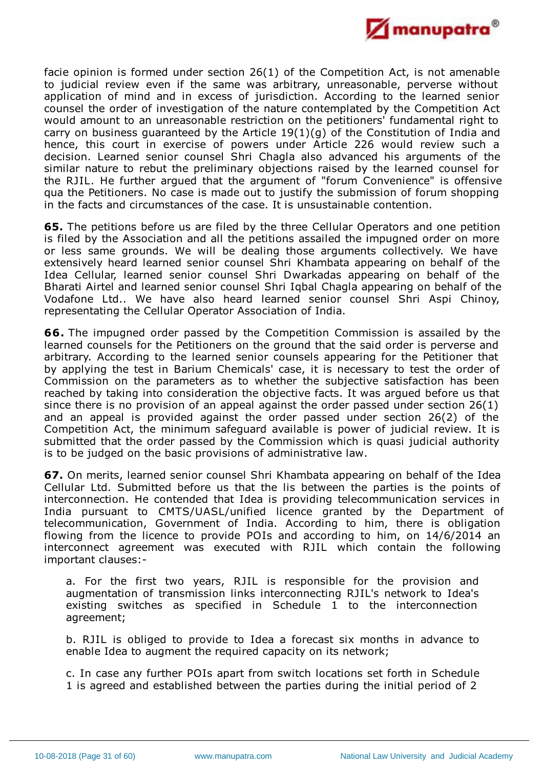

facie opinion is formed under section 26(1) of the Competition Act, is not amenable to judicial review even if the same was arbitrary, unreasonable, perverse without application of mind and in excess of jurisdiction. According to the learned senior counsel the order of investigation of the nature contemplated by the Competition Act would amount to an unreasonable restriction on the petitioners' fundamental right to carry on business guaranteed by the Article 19(1)(g) of the Constitution of India and hence, this court in exercise of powers under Article 226 would review such a decision. Learned senior counsel Shri Chagla also advanced his arguments of the similar nature to rebut the preliminary objections raised by the learned counsel for the RJIL. He further argued that the argument of "forum Convenience" is offensive qua the Petitioners. No case is made out to justify the submission of forum shopping in the facts and circumstances of the case. It is unsustainable contention.

**65.** The petitions before us are filed by the three Cellular Operators and one petition is filed by the Association and all the petitions assailed the impugned order on more or less same grounds. We will be dealing those arguments collectively. We have extensively heard learned senior counsel Shri Khambata appearing on behalf of the Idea Cellular, learned senior counsel Shri Dwarkadas appearing on behalf of the Bharati Airtel and learned senior counsel Shri Iqbal Chagla appearing on behalf of the Vodafone Ltd.. We have also heard learned senior counsel Shri Aspi Chinoy, representating the Cellular Operator Association of India.

**66.** The impugned order passed by the Competition Commission is assailed by the learned counsels for the Petitioners on the ground that the said order is perverse and arbitrary. According to the learned senior counsels appearing for the Petitioner that by applying the test in Barium Chemicals' case, it is necessary to test the order of Commission on the parameters as to whether the subjective satisfaction has been reached by taking into consideration the objective facts. It was argued before us that since there is no provision of an appeal against the order passed under section 26(1) and an appeal is provided against the order passed under section 26(2) of the Competition Act, the minimum safeguard available is power of judicial review. It is submitted that the order passed by the Commission which is quasi judicial authority is to be judged on the basic provisions of administrative law.

**67.** On merits, learned senior counsel Shri Khambata appearing on behalf of the Idea Cellular Ltd. Submitted before us that the lis between the parties is the points of interconnection. He contended that Idea is providing telecommunication services in India pursuant to CMTS/UASL/unified licence granted by the Department of telecommunication, Government of India. According to him, there is obligation flowing from the licence to provide POIs and according to him, on 14/6/2014 an interconnect agreement was executed with RJIL which contain the following important clauses:-

a. For the first two years, RJIL is responsible for the provision and augmentation of transmission links interconnecting RJIL's network to Idea's existing switches as specified in Schedule 1 to the interconnection agreement;

b. RJIL is obliged to provide to Idea a forecast six months in advance to enable Idea to augment the required capacity on its network;

c. In case any further POIs apart from switch locations set forth in Schedule 1 is agreed and established between the parties during the initial period of 2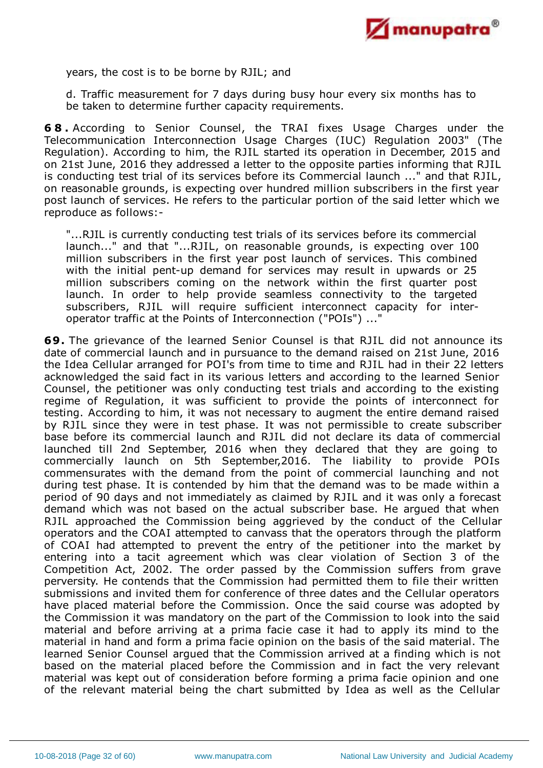

years, the cost is to be borne by RJIL; and

d. Traffic measurement for 7 days during busy hour every six months has to be taken to determine further capacity requirements.

**6 8 .** According to Senior Counsel, the TRAI fixes Usage Charges under the Telecommunication Interconnection Usage Charges (IUC) Regulation 2003" (The Regulation). According to him, the RJIL started its operation in December, 2015 and on 21st June, 2016 they addressed a letter to the opposite parties informing that RJIL is conducting test trial of its services before its Commercial launch ..." and that RJIL, on reasonable grounds, is expecting over hundred million subscribers in the first year post launch of services. He refers to the particular portion of the said letter which we reproduce as follows:-

"...RJIL is currently conducting test trials of its services before its commercial launch..." and that "...RJIL, on reasonable grounds, is expecting over 100 million subscribers in the first year post launch of services. This combined with the initial pent-up demand for services may result in upwards or 25 million subscribers coming on the network within the first quarter post launch. In order to help provide seamless connectivity to the targeted subscribers, RJIL will require sufficient interconnect capacity for interoperator traffic at the Points of Interconnection ("POIs") ..."

**69.** The grievance of the learned Senior Counsel is that RJIL did not announce its date of commercial launch and in pursuance to the demand raised on 21st June, 2016 the Idea Cellular arranged for POI's from time to time and RJIL had in their 22 letters acknowledged the said fact in its various letters and according to the learned Senior Counsel, the petitioner was only conducting test trials and according to the existing regime of Regulation, it was sufficient to provide the points of interconnect for testing. According to him, it was not necessary to augment the entire demand raised by RJIL since they were in test phase. It was not permissible to create subscriber base before its commercial launch and RJIL did not declare its data of commercial launched till 2nd September, 2016 when they declared that they are going to commercially launch on 5th September,2016. The liability to provide POIs commensurates with the demand from the point of commercial launching and not during test phase. It is contended by him that the demand was to be made within a period of 90 days and not immediately as claimed by RJIL and it was only a forecast demand which was not based on the actual subscriber base. He argued that when RJIL approached the Commission being aggrieved by the conduct of the Cellular operators and the COAI attempted to canvass that the operators through the platform of COAI had attempted to prevent the entry of the petitioner into the market by entering into a tacit agreement which was clear violation of Section 3 of the Competition Act, 2002. The order passed by the Commission suffers from grave perversity. He contends that the Commission had permitted them to file their written submissions and invited them for conference of three dates and the Cellular operators have placed material before the Commission. Once the said course was adopted by the Commission it was mandatory on the part of the Commission to look into the said material and before arriving at a prima facie case it had to apply its mind to the material in hand and form a prima facie opinion on the basis of the said material. The learned Senior Counsel argued that the Commission arrived at a finding which is not based on the material placed before the Commission and in fact the very relevant material was kept out of consideration before forming a prima facie opinion and one of the relevant material being the chart submitted by Idea as well as the Cellular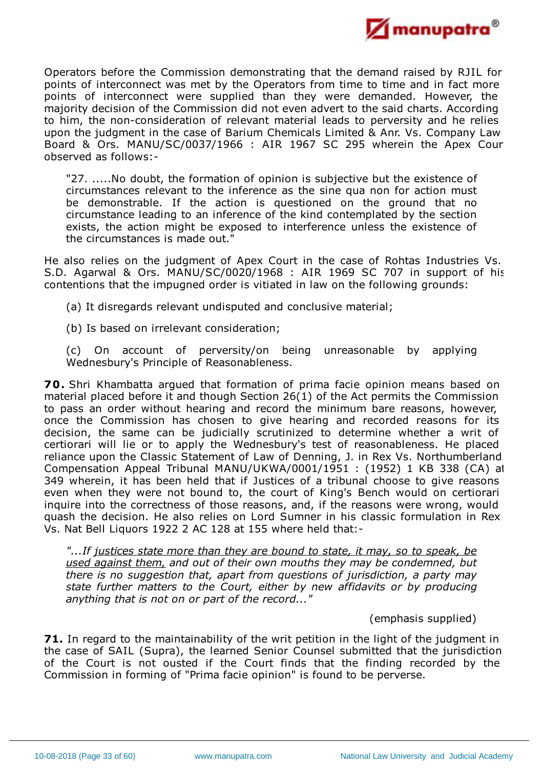

Operators before the Commission demonstrating that the demand raised by RJIL for points of interconnect was met by the Operators from time to time and in fact more points of interconnect were supplied than they were demanded. However, the majority decision of the Commission did not even advert to the said charts. According to him, the non-consideration of relevant material leads to perversity and he relies upon the judgment in the case of Barium Chemicals Limited & Anr. Vs. Company Law Board & Ors. MANU/SC/0037/1966 : AIR 1967 SC 295 wherein the Apex Cour observed as follows:-

"27. .....No doubt, the formation of opinion is subjective but the existence of circumstances relevant to the inference as the sine qua non for action must be demonstrable. If the action is questioned on the ground that no circumstance leading to an inference of the kind contemplated by the section exists, the action might be exposed to interference unless the existence of the circumstances is made out."

He also relies on the judgment of Apex Court in the case of Rohtas Industries Vs. S.D. Agarwal & Ors. MANU/SC/0020/1968 : AIR 1969 SC 707 in support of his contentions that the impugned order is vitiated in law on the following grounds:

(a) It disregards relevant undisputed and conclusive material;

(b) Is based on irrelevant consideration;

(c) On account of perversity/on being unreasonable by applying Wednesbury's Principle of Reasonableness.

**70.** Shri Khambatta argued that formation of prima facie opinion means based on material placed before it and though Section 26(1) of the Act permits the Commission to pass an order without hearing and record the minimum bare reasons, however, once the Commission has chosen to give hearing and recorded reasons for its decision, the same can be judicially scrutinized to determine whether a writ of certiorari will lie or to apply the Wednesbury's test of reasonableness. He placed reliance upon the Classic Statement of Law of Denning, J. in Rex Vs. Northumberland Compensation Appeal Tribunal MANU/UKWA/0001/1951 : (1952) 1 KB 338 (CA) at 349 wherein, it has been held that if Justices of a tribunal choose to give reasons even when they were not bound to, the court of King's Bench would on certiorari inquire into the correctness of those reasons, and, if the reasons were wrong, would quash the decision. He also relies on Lord Sumner in his classic formulation in Rex Vs. Nat Bell Liquors 1922 2 AC 128 at 155 where held that:-

*"...If justices state more than they are bound to state, it may, so to speak, be used against them, and out of their own mouths they may be condemned, but there is no suggestion that, apart from questions of jurisdiction, a party may state further matters to the Court, either by new affidavits or by producing anything that is not on or part of the record..."*

(emphasis supplied)

**71.** In regard to the maintainability of the writ petition in the light of the judgment in the case of SAIL (Supra), the learned Senior Counsel submitted that the jurisdiction of the Court is not ousted if the Court finds that the finding recorded by the Commission in forming of "Prima facie opinion" is found to be perverse.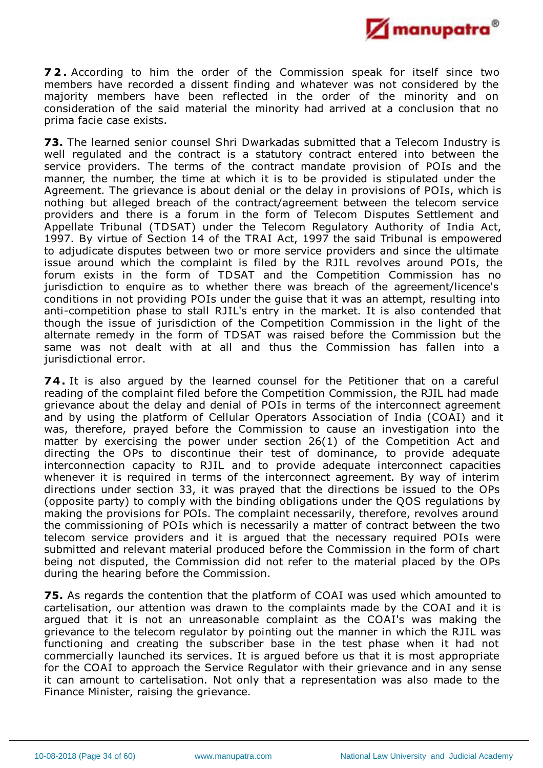

**7 2 .** According to him the order of the Commission speak for itself since two members have recorded a dissent finding and whatever was not considered by the majority members have been reflected in the order of the minority and on consideration of the said material the minority had arrived at a conclusion that no prima facie case exists.

**73.** The learned senior counsel Shri Dwarkadas submitted that a Telecom Industry is well regulated and the contract is a statutory contract entered into between the service providers. The terms of the contract mandate provision of POIs and the manner, the number, the time at which it is to be provided is stipulated under the Agreement. The grievance is about denial or the delay in provisions of POIs, which is nothing but alleged breach of the contract/agreement between the telecom service providers and there is a forum in the form of Telecom Disputes Settlement and Appellate Tribunal (TDSAT) under the Telecom Regulatory Authority of India Act, 1997. By virtue of Section 14 of the TRAI Act, 1997 the said Tribunal is empowered to adjudicate disputes between two or more service providers and since the ultimate issue around which the complaint is filed by the RJIL revolves around POIs, the forum exists in the form of TDSAT and the Competition Commission has no jurisdiction to enquire as to whether there was breach of the agreement/licence's conditions in not providing POIs under the guise that it was an attempt, resulting into anti-competition phase to stall RJIL's entry in the market. It is also contended that though the issue of jurisdiction of the Competition Commission in the light of the alternate remedy in the form of TDSAT was raised before the Commission but the same was not dealt with at all and thus the Commission has fallen into a jurisdictional error.

**74.** It is also argued by the learned counsel for the Petitioner that on a careful reading of the complaint filed before the Competition Commission, the RJIL had made grievance about the delay and denial of POIs in terms of the interconnect agreement and by using the platform of Cellular Operators Association of India (COAI) and it was, therefore, prayed before the Commission to cause an investigation into the matter by exercising the power under section 26(1) of the Competition Act and directing the OPs to discontinue their test of dominance, to provide adequate interconnection capacity to RJIL and to provide adequate interconnect capacities whenever it is required in terms of the interconnect agreement. By way of interim directions under section 33, it was prayed that the directions be issued to the OPs (opposite party) to comply with the binding obligations under the QOS regulations by making the provisions for POIs. The complaint necessarily, therefore, revolves around the commissioning of POIs which is necessarily a matter of contract between the two telecom service providers and it is argued that the necessary required POIs were submitted and relevant material produced before the Commission in the form of chart being not disputed, the Commission did not refer to the material placed by the OPs during the hearing before the Commission.

**75.** As regards the contention that the platform of COAI was used which amounted to cartelisation, our attention was drawn to the complaints made by the COAI and it is argued that it is not an unreasonable complaint as the COAI's was making the grievance to the telecom regulator by pointing out the manner in which the RJIL was functioning and creating the subscriber base in the test phase when it had not commercially launched its services. It is argued before us that it is most appropriate for the COAI to approach the Service Regulator with their grievance and in any sense it can amount to cartelisation. Not only that a representation was also made to the Finance Minister, raising the grievance.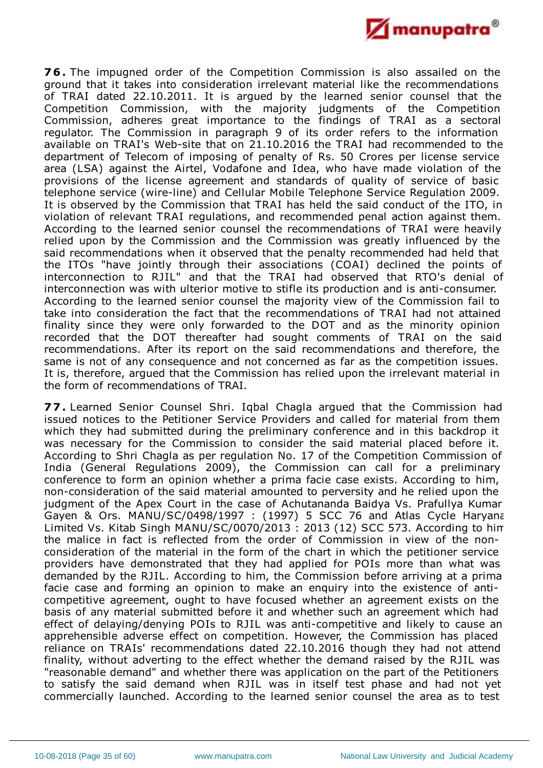

**76.** The impugned order of the Competition Commission is also assailed on the ground that it takes into consideration irrelevant material like the recommendations of TRAI dated 22.10.2011. It is argued by the learned senior counsel that the Competition Commission, with the majority judgments of the Competition Commission, adheres great importance to the findings of TRAI as a sectoral regulator. The Commission in paragraph 9 of its order refers to the information available on TRAI's Web-site that on 21.10.2016 the TRAI had recommended to the department of Telecom of imposing of penalty of Rs. 50 Crores per license service area (LSA) against the Airtel, Vodafone and Idea, who have made violation of the provisions of the license agreement and standards of quality of service of basic telephone service (wire-line) and Cellular Mobile Telephone Service Regulation 2009. It is observed by the Commission that TRAI has held the said conduct of the ITO, in violation of relevant TRAI regulations, and recommended penal action against them. According to the learned senior counsel the recommendations of TRAI were heavily relied upon by the Commission and the Commission was greatly influenced by the said recommendations when it observed that the penalty recommended had held that the ITOs "have jointly through their associations (COAI) declined the points of interconnection to RJIL" and that the TRAI had observed that RTO's denial of interconnection was with ulterior motive to stifle its production and is anti-consumer. According to the learned senior counsel the majority view of the Commission fail to take into consideration the fact that the recommendations of TRAI had not attained finality since they were only forwarded to the DOT and as the minority opinion recorded that the DOT thereafter had sought comments of TRAI on the said recommendations. After its report on the said recommendations and therefore, the same is not of any consequence and not concerned as far as the competition issues. It is, therefore, argued that the Commission has relied upon the irrelevant material in the form of recommendations of TRAI.

**77.** Learned Senior Counsel Shri. Iqbal Chagla argued that the Commission had issued notices to the Petitioner Service Providers and called for material from them which they had submitted during the preliminary conference and in this backdrop it was necessary for the Commission to consider the said material placed before it. According to Shri Chagla as per regulation No. 17 of the Competition Commission of India (General Regulations 2009), the Commission can call for a preliminary conference to form an opinion whether a prima facie case exists. According to him, non-consideration of the said material amounted to perversity and he relied upon the judgment of the Apex Court in the case of Achutananda Baidya Vs. Prafullya Kumar Gayen & Ors. MANU/SC/0498/1997 : (1997) 5 SCC 76 and Atlas Cycle Haryana Limited Vs. Kitab Singh MANU/SC/0070/2013 : 2013 (12) SCC 573. According to him the malice in fact is reflected from the order of Commission in view of the nonconsideration of the material in the form of the chart in which the petitioner service providers have demonstrated that they had applied for POIs more than what was demanded by the RJIL. According to him, the Commission before arriving at a prima facie case and forming an opinion to make an enquiry into the existence of anticompetitive agreement, ought to have focused whether an agreement exists on the basis of any material submitted before it and whether such an agreement which had effect of delaying/denying POIs to RJIL was anti-competitive and likely to cause an apprehensible adverse effect on competition. However, the Commission has placed reliance on TRAIs' recommendations dated 22.10.2016 though they had not attend finality, without adverting to the effect whether the demand raised by the RJIL was "reasonable demand" and whether there was application on the part of the Petitioners to satisfy the said demand when RJIL was in itself test phase and had not yet commercially launched. According to the learned senior counsel the area as to test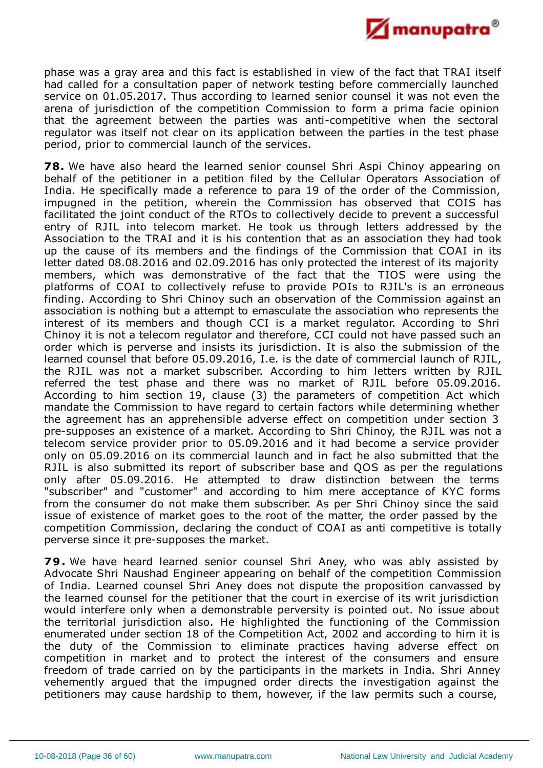

phase was a gray area and this fact is established in view of the fact that TRAI itself had called for a consultation paper of network testing before commercially launched service on 01.05.2017. Thus according to learned senior counsel it was not even the arena of jurisdiction of the competition Commission to form a prima facie opinion that the agreement between the parties was anti-competitive when the sectoral regulator was itself not clear on its application between the parties in the test phase period, prior to commercial launch of the services.

**78.** We have also heard the learned senior counsel Shri Aspi Chinoy appearing on behalf of the petitioner in a petition filed by the Cellular Operators Association of India. He specifically made a reference to para 19 of the order of the Commission, impugned in the petition, wherein the Commission has observed that COIS has facilitated the joint conduct of the RTOs to collectively decide to prevent a successful entry of RJIL into telecom market. He took us through letters addressed by the Association to the TRAI and it is his contention that as an association they had took up the cause of its members and the findings of the Commission that COAI in its letter dated 08.08.2016 and 02.09.2016 has only protected the interest of its majority members, which was demonstrative of the fact that the TIOS were using the platforms of COAI to collectively refuse to provide POIs to RJIL's is an erroneous finding. According to Shri Chinoy such an observation of the Commission against an association is nothing but a attempt to emasculate the association who represents the interest of its members and though CCI is a market regulator. According to Shri Chinoy it is not a telecom regulator and therefore, CCI could not have passed such an order which is perverse and insists its jurisdiction. It is also the submission of the learned counsel that before 05.09.2016, I.e. is the date of commercial launch of RJIL, the RJIL was not a market subscriber. According to him letters written by RJIL referred the test phase and there was no market of RJIL before 05.09.2016. According to him section 19, clause (3) the parameters of competition Act which mandate the Commission to have regard to certain factors while determining whether the agreement has an apprehensible adverse effect on competition under section 3 pre-supposes an existence of a market. According to Shri Chinoy, the RJIL was not a telecom service provider prior to 05.09.2016 and it had become a service provider only on 05.09.2016 on its commercial launch and in fact he also submitted that the RJIL is also submitted its report of subscriber base and QOS as per the regulations only after 05.09.2016. He attempted to draw distinction between the terms "subscriber" and "customer" and according to him mere acceptance of KYC forms from the consumer do not make them subscriber. As per Shri Chinoy since the said issue of existence of market goes to the root of the matter, the order passed by the competition Commission, declaring the conduct of COAI as anti competitive is totally perverse since it pre-supposes the market.

**79.** We have heard learned senior counsel Shri Aney, who was ably assisted by Advocate Shri Naushad Engineer appearing on behalf of the competition Commission of India. Learned counsel Shri Aney does not dispute the proposition canvassed by the learned counsel for the petitioner that the court in exercise of its writ jurisdiction would interfere only when a demonstrable perversity is pointed out. No issue about the territorial jurisdiction also. He highlighted the functioning of the Commission enumerated under section 18 of the Competition Act, 2002 and according to him it is the duty of the Commission to eliminate practices having adverse effect on competition in market and to protect the interest of the consumers and ensure freedom of trade carried on by the participants in the markets in India. Shri Anney vehemently argued that the impugned order directs the investigation against the petitioners may cause hardship to them, however, if the law permits such a course,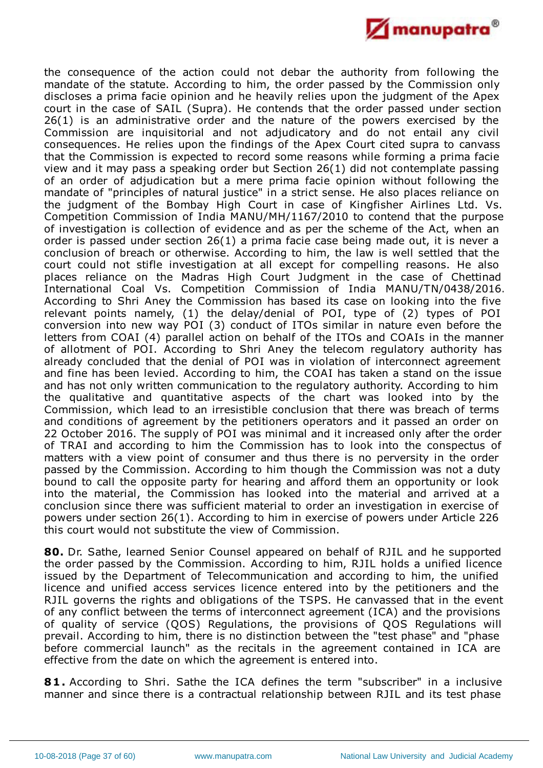

the consequence of the action could not debar the authority from following the mandate of the statute. According to him, the order passed by the Commission only discloses a prima facie opinion and he heavily relies upon the judgment of the Apex court in the case of SAIL (Supra). He contends that the order passed under section 26(1) is an administrative order and the nature of the powers exercised by the Commission are inquisitorial and not adjudicatory and do not entail any civil consequences. He relies upon the findings of the Apex Court cited supra to canvass that the Commission is expected to record some reasons while forming a prima facie view and it may pass a speaking order but Section 26(1) did not contemplate passing of an order of adjudication but a mere prima facie opinion without following the mandate of "principles of natural justice" in a strict sense. He also places reliance on the judgment of the Bombay High Court in case of Kingfisher Airlines Ltd. Vs. Competition Commission of India MANU/MH/1167/2010 to contend that the purpose of investigation is collection of evidence and as per the scheme of the Act, when an order is passed under section 26(1) a prima facie case being made out, it is never a conclusion of breach or otherwise. According to him, the law is well settled that the court could not stifle investigation at all except for compelling reasons. He also places reliance on the Madras High Court Judgment in the case of Chettinad International Coal Vs. Competition Commission of India MANU/TN/0438/2016. According to Shri Aney the Commission has based its case on looking into the five relevant points namely, (1) the delay/denial of POI, type of (2) types of POI conversion into new way POI (3) conduct of ITOs similar in nature even before the letters from COAI (4) parallel action on behalf of the ITOs and COAIs in the manner of allotment of POI. According to Shri Aney the telecom regulatory authority has already concluded that the denial of POI was in violation of interconnect agreement and fine has been levied. According to him, the COAI has taken a stand on the issue and has not only written communication to the regulatory authority. According to him the qualitative and quantitative aspects of the chart was looked into by the Commission, which lead to an irresistible conclusion that there was breach of terms and conditions of agreement by the petitioners operators and it passed an order on 22 October 2016. The supply of POI was minimal and it increased only after the order of TRAI and according to him the Commission has to look into the conspectus of matters with a view point of consumer and thus there is no perversity in the order passed by the Commission. According to him though the Commission was not a duty bound to call the opposite party for hearing and afford them an opportunity or look into the material, the Commission has looked into the material and arrived at a conclusion since there was sufficient material to order an investigation in exercise of powers under section 26(1). According to him in exercise of powers under Article 226 this court would not substitute the view of Commission.

**80.** Dr. Sathe, learned Senior Counsel appeared on behalf of RJIL and he supported the order passed by the Commission. According to him, RJIL holds a unified licence issued by the Department of Telecommunication and according to him, the unified licence and unified access services licence entered into by the petitioners and the RJIL governs the rights and obligations of the TSPS. He canvassed that in the event of any conflict between the terms of interconnect agreement (ICA) and the provisions of quality of service (QOS) Regulations, the provisions of QOS Regulations will prevail. According to him, there is no distinction between the "test phase" and "phase before commercial launch" as the recitals in the agreement contained in ICA are effective from the date on which the agreement is entered into.

**81.** According to Shri. Sathe the ICA defines the term "subscriber" in a inclusive manner and since there is a contractual relationship between RJIL and its test phase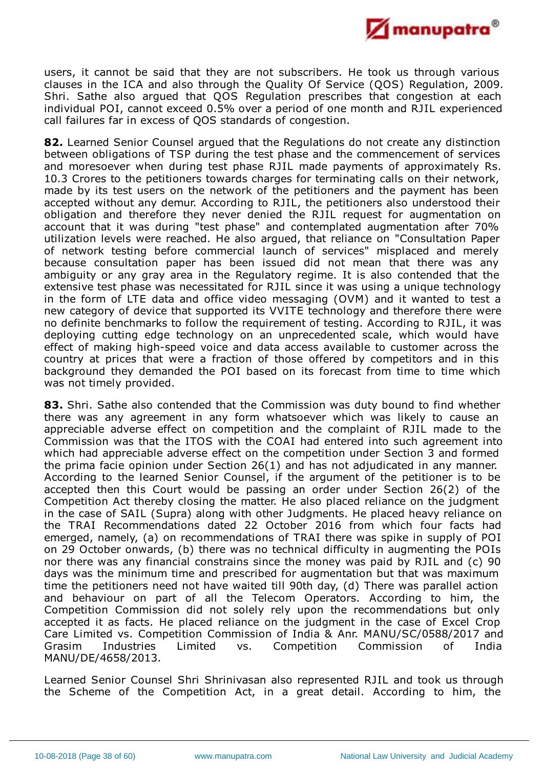

users, it cannot be said that they are not subscribers. He took us through various clauses in the ICA and also through the Quality Of Service (QOS) Regulation, 2009. Shri. Sathe also argued that QOS Regulation prescribes that congestion at each individual POI, cannot exceed 0.5% over a period of one month and RJIL experienced call failures far in excess of QOS standards of congestion.

**82.** Learned Senior Counsel argued that the Regulations do not create any distinction between obligations of TSP during the test phase and the commencement of services and moresoever when during test phase RJIL made payments of approximately Rs. 10.3 Crores to the petitioners towards charges for terminating calls on their network, made by its test users on the network of the petitioners and the payment has been accepted without any demur. According to RJIL, the petitioners also understood their obligation and therefore they never denied the RJIL request for augmentation on account that it was during "test phase" and contemplated augmentation after 70% utilization levels were reached. He also argued, that reliance on "Consultation Paper of network testing before commercial launch of services" misplaced and merely because consultation paper has been issued did not mean that there was any ambiguity or any gray area in the Regulatory regime. It is also contended that the extensive test phase was necessitated for RJIL since it was using a unique technology in the form of LTE data and office video messaging (OVM) and it wanted to test a new category of device that supported its VVITE technology and therefore there were no definite benchmarks to follow the requirement of testing. According to RJIL, it was deploying cutting edge technology on an unprecedented scale, which would have effect of making high-speed voice and data access available to customer across the country at prices that were a fraction of those offered by competitors and in this background they demanded the POI based on its forecast from time to time which was not timely provided.

**83.** Shri. Sathe also contended that the Commission was duty bound to find whether there was any agreement in any form whatsoever which was likely to cause an appreciable adverse effect on competition and the complaint of RJIL made to the Commission was that the ITOS with the COAI had entered into such agreement into which had appreciable adverse effect on the competition under Section 3 and formed the prima facie opinion under Section 26(1) and has not adjudicated in any manner. According to the learned Senior Counsel, if the argument of the petitioner is to be accepted then this Court would be passing an order under Section 26(2) of the Competition Act thereby closing the matter. He also placed reliance on the judgment in the case of SAIL (Supra) along with other Judgments. He placed heavy reliance on the TRAI Recommendations dated 22 October 2016 from which four facts had emerged, namely, (a) on recommendations of TRAI there was spike in supply of POI on 29 October onwards, (b) there was no technical difficulty in augmenting the POIs nor there was any financial constrains since the money was paid by RJIL and (c) 90 days was the minimum time and prescribed for augmentation but that was maximum time the petitioners need not have waited till 90th day, (d) There was parallel action and behaviour on part of all the Telecom Operators. According to him, the Competition Commission did not solely rely upon the recommendations but only accepted it as facts. He placed reliance on the judgment in the case of Excel Crop Care Limited vs. Competition Commission of India & Anr. MANU/SC/0588/2017 and Grasim Industries Limited vs. Competition Commission of India MANU/DE/4658/2013.

Learned Senior Counsel Shri Shrinivasan also represented RJIL and took us through the Scheme of the Competition Act, in a great detail. According to him, the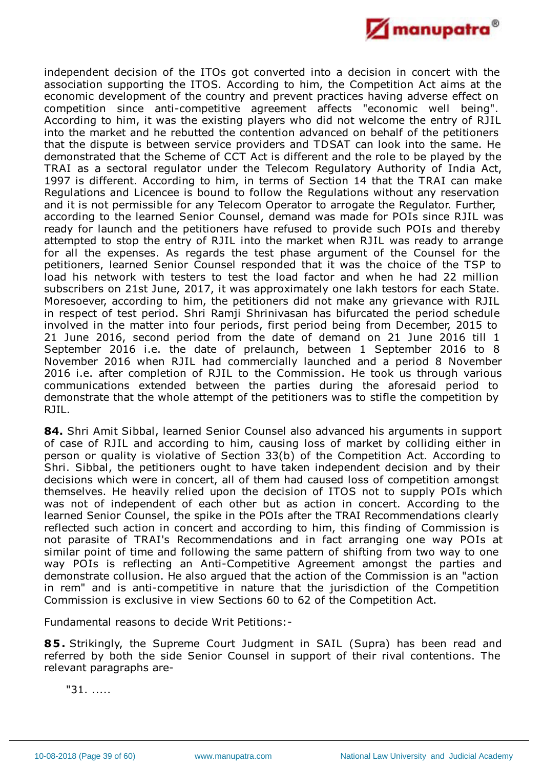

independent decision of the ITOs got converted into a decision in concert with the association supporting the ITOS. According to him, the Competition Act aims at the economic development of the country and prevent practices having adverse effect on competition since anti-competitive agreement affects "economic well being". According to him, it was the existing players who did not welcome the entry of RJIL into the market and he rebutted the contention advanced on behalf of the petitioners that the dispute is between service providers and TDSAT can look into the same. He demonstrated that the Scheme of CCT Act is different and the role to be played by the TRAI as a sectoral regulator under the Telecom Regulatory Authority of India Act, 1997 is different. According to him, in terms of Section 14 that the TRAI can make Regulations and Licencee is bound to follow the Regulations without any reservation and it is not permissible for any Telecom Operator to arrogate the Regulator. Further, according to the learned Senior Counsel, demand was made for POIs since RJIL was ready for launch and the petitioners have refused to provide such POIs and thereby attempted to stop the entry of RJIL into the market when RJIL was ready to arrange for all the expenses. As regards the test phase argument of the Counsel for the petitioners, learned Senior Counsel responded that it was the choice of the TSP to load his network with testers to test the load factor and when he had 22 million subscribers on 21st June, 2017, it was approximately one lakh testors for each State. Moresoever, according to him, the petitioners did not make any grievance with RJIL in respect of test period. Shri Ramji Shrinivasan has bifurcated the period schedule involved in the matter into four periods, first period being from December, 2015 to 21 June 2016, second period from the date of demand on 21 June 2016 till 1 September 2016 i.e. the date of prelaunch, between 1 September 2016 to 8 November 2016 when RJIL had commercially launched and a period 8 November 2016 i.e. after completion of RJIL to the Commission. He took us through various communications extended between the parties during the aforesaid period to demonstrate that the whole attempt of the petitioners was to stifle the competition by RJIL.

**84.** Shri Amit Sibbal, learned Senior Counsel also advanced his arguments in support of case of RJIL and according to him, causing loss of market by colliding either in person or quality is violative of Section 33(b) of the Competition Act. According to Shri. Sibbal, the petitioners ought to have taken independent decision and by their decisions which were in concert, all of them had caused loss of competition amongst themselves. He heavily relied upon the decision of ITOS not to supply POIs which was not of independent of each other but as action in concert. According to the learned Senior Counsel, the spike in the POIs after the TRAI Recommendations clearly reflected such action in concert and according to him, this finding of Commission is not parasite of TRAI's Recommendations and in fact arranging one way POIs at similar point of time and following the same pattern of shifting from two way to one way POIs is reflecting an Anti-Competitive Agreement amongst the parties and demonstrate collusion. He also argued that the action of the Commission is an "action in rem" and is anti-competitive in nature that the jurisdiction of the Competition Commission is exclusive in view Sections 60 to 62 of the Competition Act.

Fundamental reasons to decide Writ Petitions:-

**85.** Strikingly, the Supreme Court Judgment in SAIL (Supra) has been read and referred by both the side Senior Counsel in support of their rival contentions. The relevant paragraphs are-

"31. .....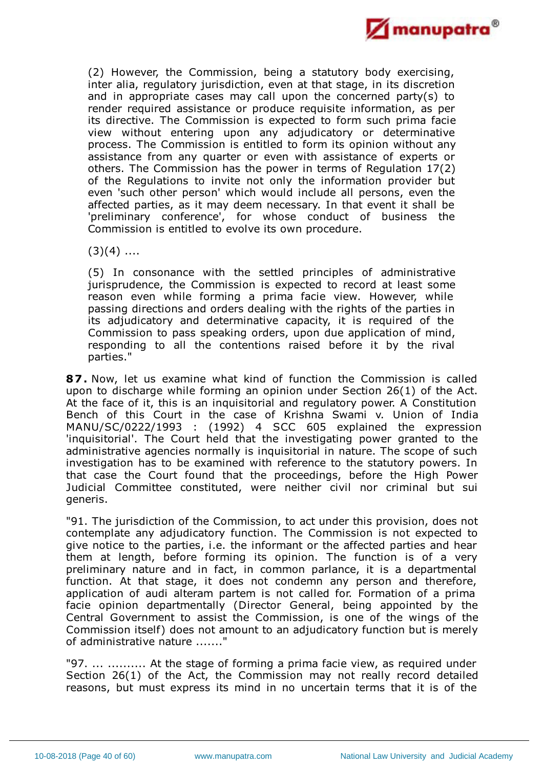

(2) However, the Commission, being a statutory body exercising, inter alia, regulatory jurisdiction, even at that stage, in its discretion and in appropriate cases may call upon the concerned party(s) to render required assistance or produce requisite information, as per its directive. The Commission is expected to form such prima facie view without entering upon any adjudicatory or determinative process. The Commission is entitled to form its opinion without any assistance from any quarter or even with assistance of experts or others. The Commission has the power in terms of Regulation 17(2) of the Regulations to invite not only the information provider but even 'such other person' which would include all persons, even the affected parties, as it may deem necessary. In that event it shall be 'preliminary conference', for whose conduct of business the Commission is entitled to evolve its own procedure.

 $(3)(4)$  ....

(5) In consonance with the settled principles of administrative jurisprudence, the Commission is expected to record at least some reason even while forming a prima facie view. However, while passing directions and orders dealing with the rights of the parties in its adjudicatory and determinative capacity, it is required of the Commission to pass speaking orders, upon due application of mind, responding to all the contentions raised before it by the rival parties."

**87.** Now, let us examine what kind of function the Commission is called upon to discharge while forming an opinion under Section 26(1) of the Act. At the face of it, this is an inquisitorial and regulatory power. A Constitution Bench of this Court in the case of Krishna Swami v. Union of India MANU/SC/0222/1993 : (1992) 4 SCC 605 explained the expression 'inquisitorial'. The Court held that the investigating power granted to the administrative agencies normally is inquisitorial in nature. The scope of such investigation has to be examined with reference to the statutory powers. In that case the Court found that the proceedings, before the High Power Judicial Committee constituted, were neither civil nor criminal but sui generis.

"91. The jurisdiction of the Commission, to act under this provision, does not contemplate any adjudicatory function. The Commission is not expected to give notice to the parties, i.e. the informant or the affected parties and hear them at length, before forming its opinion. The function is of a very preliminary nature and in fact, in common parlance, it is a departmental function. At that stage, it does not condemn any person and therefore, application of audi alteram partem is not called for. Formation of a prima facie opinion departmentally (Director General, being appointed by the Central Government to assist the Commission, is one of the wings of the Commission itself) does not amount to an adjudicatory function but is merely of administrative nature ......."

"97. ... .......... At the stage of forming a prima facie view, as required under Section 26(1) of the Act, the Commission may not really record detailed reasons, but must express its mind in no uncertain terms that it is of the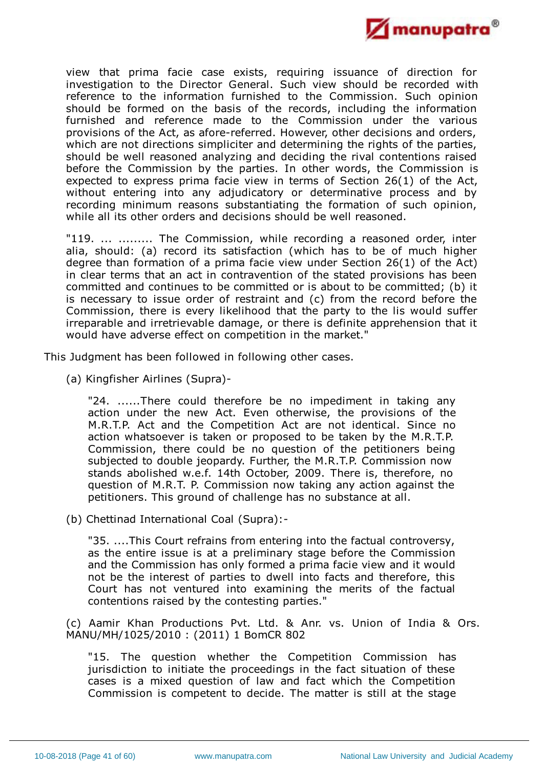

view that prima facie case exists, requiring issuance of direction for investigation to the Director General. Such view should be recorded with reference to the information furnished to the Commission. Such opinion should be formed on the basis of the records, including the information furnished and reference made to the Commission under the various provisions of the Act, as afore-referred. However, other decisions and orders, which are not directions simpliciter and determining the rights of the parties, should be well reasoned analyzing and deciding the rival contentions raised before the Commission by the parties. In other words, the Commission is expected to express prima facie view in terms of Section 26(1) of the Act, without entering into any adjudicatory or determinative process and by recording minimum reasons substantiating the formation of such opinion, while all its other orders and decisions should be well reasoned.

"119. ... ......... The Commission, while recording a reasoned order, inter alia, should: (a) record its satisfaction (which has to be of much higher degree than formation of a prima facie view under Section 26(1) of the Act) in clear terms that an act in contravention of the stated provisions has been committed and continues to be committed or is about to be committed; (b) it is necessary to issue order of restraint and (c) from the record before the Commission, there is every likelihood that the party to the lis would suffer irreparable and irretrievable damage, or there is definite apprehension that it would have adverse effect on competition in the market."

This Judgment has been followed in following other cases.

(a) Kingfisher Airlines (Supra)-

"24. ......There could therefore be no impediment in taking any action under the new Act. Even otherwise, the provisions of the M.R.T.P. Act and the Competition Act are not identical. Since no action whatsoever is taken or proposed to be taken by the M.R.T.P. Commission, there could be no question of the petitioners being subjected to double jeopardy. Further, the M.R.T.P. Commission now stands abolished w.e.f. 14th October, 2009. There is, therefore, no question of M.R.T. P. Commission now taking any action against the petitioners. This ground of challenge has no substance at all.

(b) Chettinad International Coal (Supra):-

"35. ....This Court refrains from entering into the factual controversy, as the entire issue is at a preliminary stage before the Commission and the Commission has only formed a prima facie view and it would not be the interest of parties to dwell into facts and therefore, this Court has not ventured into examining the merits of the factual contentions raised by the contesting parties."

(c) Aamir Khan Productions Pvt. Ltd. & Anr. vs. Union of India & Ors. MANU/MH/1025/2010 : (2011) 1 BomCR 802

"15. The question whether the Competition Commission has jurisdiction to initiate the proceedings in the fact situation of these cases is a mixed question of law and fact which the Competition Commission is competent to decide. The matter is still at the stage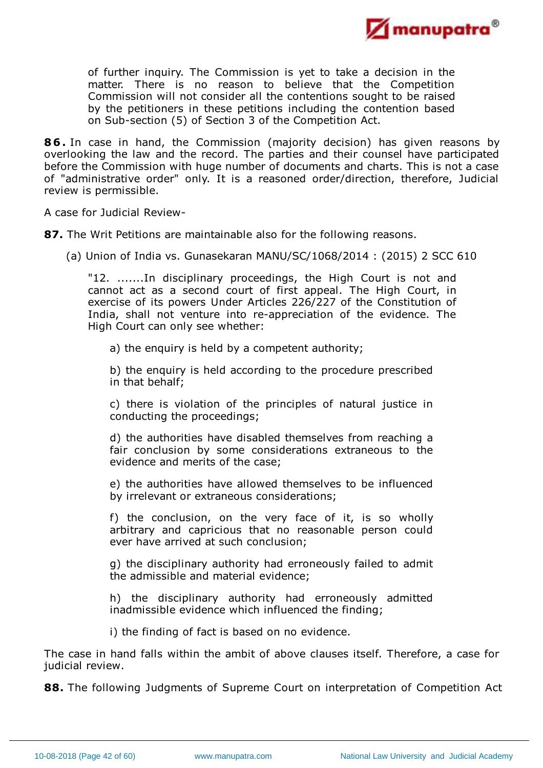

of further inquiry. The Commission is yet to take a decision in the matter. There is no reason to believe that the Competition Commission will not consider all the contentions sought to be raised by the petitioners in these petitions including the contention based on Sub-section (5) of Section 3 of the Competition Act.

**86.** In case in hand, the Commission (majority decision) has given reasons by overlooking the law and the record. The parties and their counsel have participated before the Commission with huge number of documents and charts. This is not a case of "administrative order" only. It is a reasoned order/direction, therefore, Judicial review is permissible.

A case for Judicial Review-

**87.** The Writ Petitions are maintainable also for the following reasons.

(a) Union of India vs. Gunasekaran MANU/SC/1068/2014 : (2015) 2 SCC 610

"12. .......In disciplinary proceedings, the High Court is not and cannot act as a second court of first appeal. The High Court, in exercise of its powers Under Articles 226/227 of the Constitution of India, shall not venture into re-appreciation of the evidence. The High Court can only see whether:

a) the enquiry is held by a competent authority;

b) the enquiry is held according to the procedure prescribed in that behalf;

c) there is violation of the principles of natural justice in conducting the proceedings;

d) the authorities have disabled themselves from reaching a fair conclusion by some considerations extraneous to the evidence and merits of the case;

e) the authorities have allowed themselves to be influenced by irrelevant or extraneous considerations;

f) the conclusion, on the very face of it, is so wholly arbitrary and capricious that no reasonable person could ever have arrived at such conclusion;

g) the disciplinary authority had erroneously failed to admit the admissible and material evidence;

h) the disciplinary authority had erroneously admitted inadmissible evidence which influenced the finding;

i) the finding of fact is based on no evidence.

The case in hand falls within the ambit of above clauses itself. Therefore, a case for judicial review.

**88.** The following Judgments of Supreme Court on interpretation of Competition Act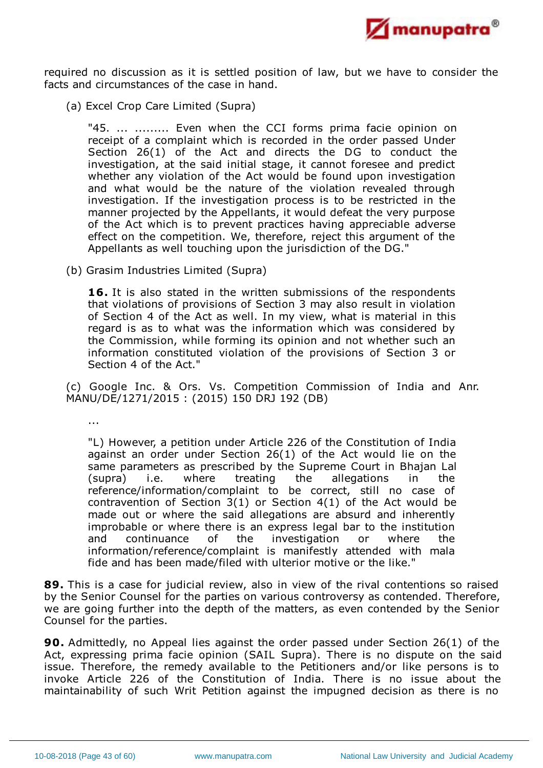

required no discussion as it is settled position of law, but we have to consider the facts and circumstances of the case in hand.

(a) Excel Crop Care Limited (Supra)

"45. ... ......... Even when the CCI forms prima facie opinion on receipt of a complaint which is recorded in the order passed Under Section 26(1) of the Act and directs the DG to conduct the investigation, at the said initial stage, it cannot foresee and predict whether any violation of the Act would be found upon investigation and what would be the nature of the violation revealed through investigation. If the investigation process is to be restricted in the manner projected by the Appellants, it would defeat the very purpose of the Act which is to prevent practices having appreciable adverse effect on the competition. We, therefore, reject this argument of the Appellants as well touching upon the jurisdiction of the DG."

(b) Grasim Industries Limited (Supra)

**16.** It is also stated in the written submissions of the respondents that violations of provisions of Section 3 may also result in violation of Section 4 of the Act as well. In my view, what is material in this regard is as to what was the information which was considered by the Commission, while forming its opinion and not whether such an information constituted violation of the provisions of Section 3 or Section 4 of the Act."

(c) Google Inc. & Ors. Vs. Competition Commission of India and Anr. MANU/DE/1271/2015 : (2015) 150 DRJ 192 (DB)

...

"L) However, a petition under Article 226 of the Constitution of India against an order under Section 26(1) of the Act would lie on the same parameters as prescribed by the Supreme Court in Bhajan Lal (supra) i.e. where treating the allegations in the reference/information/complaint to be correct, still no case of contravention of Section 3(1) or Section 4(1) of the Act would be made out or where the said allegations are absurd and inherently improbable or where there is an express legal bar to the institution and continuance of the investigation or where the information/reference/complaint is manifestly attended with mala fide and has been made/filed with ulterior motive or the like."

**89.** This is a case for judicial review, also in view of the rival contentions so raised by the Senior Counsel for the parties on various controversy as contended. Therefore, we are going further into the depth of the matters, as even contended by the Senior Counsel for the parties.

**90.** Admittedly, no Appeal lies against the order passed under Section 26(1) of the Act, expressing prima facie opinion (SAIL Supra). There is no dispute on the said issue. Therefore, the remedy available to the Petitioners and/or like persons is to invoke Article 226 of the Constitution of India. There is no issue about the maintainability of such Writ Petition against the impugned decision as there is no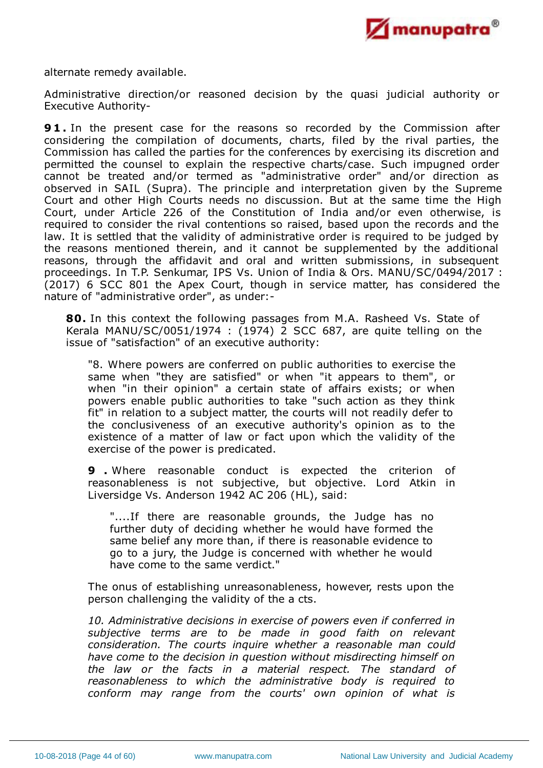

alternate remedy available.

Administrative direction/or reasoned decision by the quasi judicial authority or Executive Authority-

**9 1 .** In the present case for the reasons so recorded by the Commission after considering the compilation of documents, charts, filed by the rival parties, the Commission has called the parties for the conferences by exercising its discretion and permitted the counsel to explain the respective charts/case. Such impugned order cannot be treated and/or termed as "administrative order" and/or direction as observed in SAIL (Supra). The principle and interpretation given by the Supreme Court and other High Courts needs no discussion. But at the same time the High Court, under Article 226 of the Constitution of India and/or even otherwise, is required to consider the rival contentions so raised, based upon the records and the law. It is settled that the validity of administrative order is required to be judged by the reasons mentioned therein, and it cannot be supplemented by the additional reasons, through the affidavit and oral and written submissions, in subsequent proceedings. In T.P. Senkumar, IPS Vs. Union of India & Ors. MANU/SC/0494/2017 : (2017) 6 SCC 801 the Apex Court, though in service matter, has considered the nature of "administrative order", as under:-

**80.** In this context the following passages from M.A. Rasheed Vs. State of Kerala MANU/SC/0051/1974 : (1974) 2 SCC 687, are quite telling on the issue of "satisfaction" of an executive authority:

"8. Where powers are conferred on public authorities to exercise the same when "they are satisfied" or when "it appears to them", or when "in their opinion" a certain state of affairs exists; or when powers enable public authorities to take "such action as they think fit" in relation to a subject matter, the courts will not readily defer to the conclusiveness of an executive authority's opinion as to the existence of a matter of law or fact upon which the validity of the exercise of the power is predicated.

**9 .** Where reasonable conduct is expected the criterion of reasonableness is not subjective, but objective. Lord Atkin in Liversidge Vs. Anderson 1942 AC 206 (HL), said:

"....If there are reasonable grounds, the Judge has no further duty of deciding whether he would have formed the same belief any more than, if there is reasonable evidence to go to a jury, the Judge is concerned with whether he would have come to the same verdict."

The onus of establishing unreasonableness, however, rests upon the person challenging the validity of the a cts.

*10. Administrative decisions in exercise of powers even if conferred in subjective terms are to be made in good faith on relevant consideration. The courts inquire whether a reasonable man could have come to the decision in question without misdirecting himself on the law or the facts in a material respect. The standard of reasonableness to which the administrative body is required to conform may range from the courts' own opinion of what is*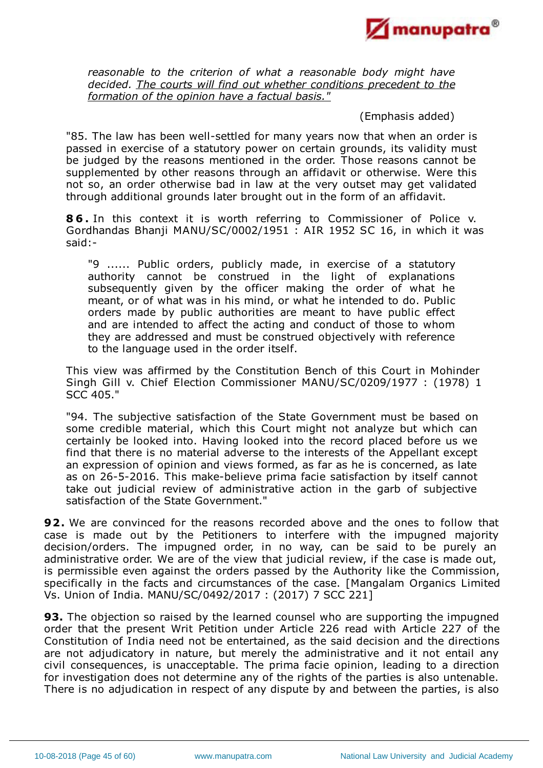

*reasonable to the criterion of what a reasonable body might have decided. The courts will find out whether conditions precedent to the formation of the opinion have a factual basis."*

(Emphasis added)

"85. The law has been well-settled for many years now that when an order is passed in exercise of a statutory power on certain grounds, its validity must be judged by the reasons mentioned in the order. Those reasons cannot be supplemented by other reasons through an affidavit or otherwise. Were this not so, an order otherwise bad in law at the very outset may get validated through additional grounds later brought out in the form of an affidavit.

**8 6 .** In this context it is worth referring to Commissioner of Police v. Gordhandas Bhanji MANU/SC/0002/1951 : AIR 1952 SC 16, in which it was said:-

"9 ...... Public orders, publicly made, in exercise of a statutory authority cannot be construed in the light of explanations subsequently given by the officer making the order of what he meant, or of what was in his mind, or what he intended to do. Public orders made by public authorities are meant to have public effect and are intended to affect the acting and conduct of those to whom they are addressed and must be construed objectively with reference to the language used in the order itself.

This view was affirmed by the Constitution Bench of this Court in Mohinder Singh Gill v. Chief Election Commissioner MANU/SC/0209/1977 : (1978) 1 SCC 405."

"94. The subjective satisfaction of the State Government must be based on some credible material, which this Court might not analyze but which can certainly be looked into. Having looked into the record placed before us we find that there is no material adverse to the interests of the Appellant except an expression of opinion and views formed, as far as he is concerned, as late as on 26-5-2016. This make-believe prima facie satisfaction by itself cannot take out judicial review of administrative action in the garb of subjective satisfaction of the State Government."

**92.** We are convinced for the reasons recorded above and the ones to follow that case is made out by the Petitioners to interfere with the impugned majority decision/orders. The impugned order, in no way, can be said to be purely an administrative order. We are of the view that judicial review, if the case is made out, is permissible even against the orders passed by the Authority like the Commission, specifically in the facts and circumstances of the case. [Mangalam Organics Limited Vs. Union of India. MANU/SC/0492/2017 : (2017) 7 SCC 221]

**93.** The objection so raised by the learned counsel who are supporting the impugned order that the present Writ Petition under Article 226 read with Article 227 of the Constitution of India need not be entertained, as the said decision and the directions are not adjudicatory in nature, but merely the administrative and it not entail any civil consequences, is unacceptable. The prima facie opinion, leading to a direction for investigation does not determine any of the rights of the parties is also untenable. There is no adjudication in respect of any dispute by and between the parties, is also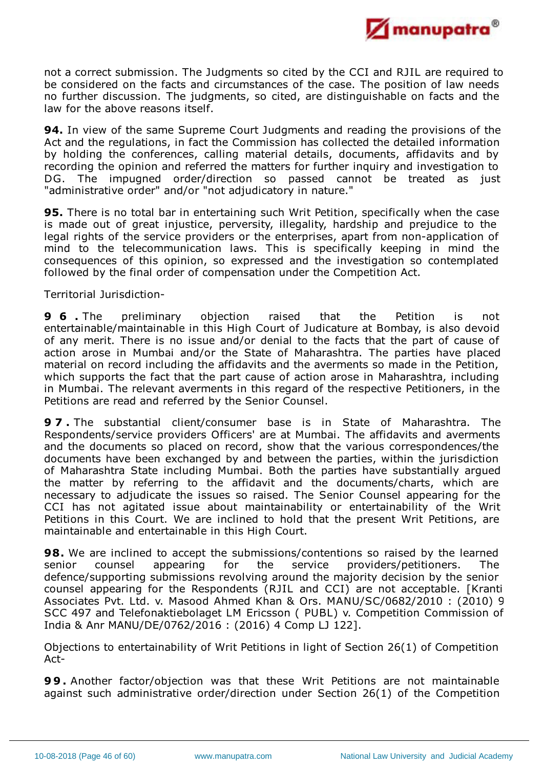

not a correct submission. The Judgments so cited by the CCI and RJIL are required to be considered on the facts and circumstances of the case. The position of law needs no further discussion. The judgments, so cited, are distinguishable on facts and the law for the above reasons itself.

**94.** In view of the same Supreme Court Judgments and reading the provisions of the Act and the regulations, in fact the Commission has collected the detailed information by holding the conferences, calling material details, documents, affidavits and by recording the opinion and referred the matters for further inquiry and investigation to DG. The impugned order/direction so passed cannot be treated as just "administrative order" and/or "not adjudicatory in nature."

**95.** There is no total bar in entertaining such Writ Petition, specifically when the case is made out of great injustice, perversity, illegality, hardship and prejudice to the legal rights of the service providers or the enterprises, apart from non-application of mind to the telecommunication laws. This is specifically keeping in mind the consequences of this opinion, so expressed and the investigation so contemplated followed by the final order of compensation under the Competition Act.

Territorial Jurisdiction-

**9 6 .** The preliminary objection raised that the Petition is not entertainable/maintainable in this High Court of Judicature at Bombay, is also devoid of any merit. There is no issue and/or denial to the facts that the part of cause of action arose in Mumbai and/or the State of Maharashtra. The parties have placed material on record including the affidavits and the averments so made in the Petition, which supports the fact that the part cause of action arose in Maharashtra, including in Mumbai. The relevant averments in this regard of the respective Petitioners, in the Petitions are read and referred by the Senior Counsel.

**9 7 .** The substantial client/consumer base is in State of Maharashtra. The Respondents/service providers Officers' are at Mumbai. The affidavits and averments and the documents so placed on record, show that the various correspondences/the documents have been exchanged by and between the parties, within the jurisdiction of Maharashtra State including Mumbai. Both the parties have substantially argued the matter by referring to the affidavit and the documents/charts, which are necessary to adjudicate the issues so raised. The Senior Counsel appearing for the CCI has not agitated issue about maintainability or entertainability of the Writ Petitions in this Court. We are inclined to hold that the present Writ Petitions, are maintainable and entertainable in this High Court.

**98.** We are inclined to accept the submissions/contentions so raised by the learned senior counsel appearing for the service providers/petitioners. The defence/supporting submissions revolving around the majority decision by the senior counsel appearing for the Respondents (RJIL and CCI) are not acceptable. [Kranti Associates Pvt. Ltd. v. Masood Ahmed Khan & Ors. MANU/SC/0682/2010 : (2010) 9 SCC 497 and Telefonaktiebolaget LM Ericsson ( PUBL) v. Competition Commission of India & Anr MANU/DE/0762/2016 : (2016) 4 Comp LJ 122].

Objections to entertainability of Writ Petitions in light of Section 26(1) of Competition Act-

**9 9 .** Another factor/objection was that these Writ Petitions are not maintainable against such administrative order/direction under Section 26(1) of the Competition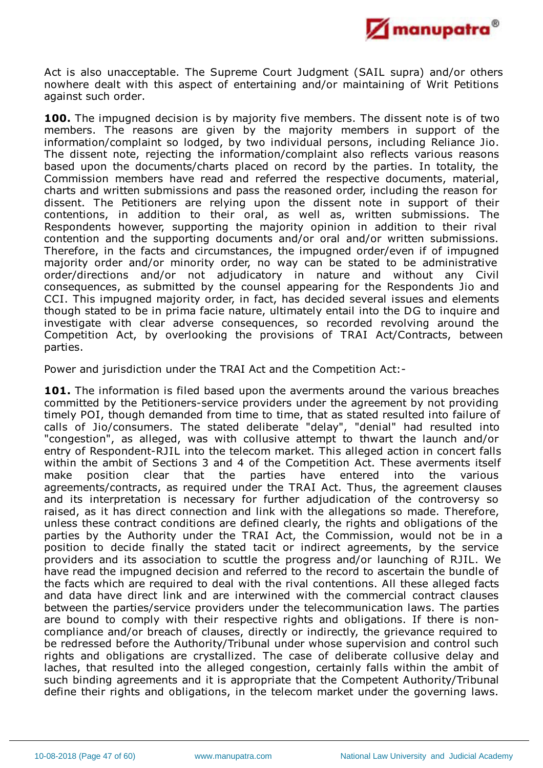

Act is also unacceptable. The Supreme Court Judgment (SAIL supra) and/or others nowhere dealt with this aspect of entertaining and/or maintaining of Writ Petitions against such order.

**100.** The impugned decision is by majority five members. The dissent note is of two members. The reasons are given by the majority members in support of the information/complaint so lodged, by two individual persons, including Reliance Jio. The dissent note, rejecting the information/complaint also reflects various reasons based upon the documents/charts placed on record by the parties. In totality, the Commission members have read and referred the respective documents, material, charts and written submissions and pass the reasoned order, including the reason for dissent. The Petitioners are relying upon the dissent note in support of their contentions, in addition to their oral, as well as, written submissions. The Respondents however, supporting the majority opinion in addition to their rival contention and the supporting documents and/or oral and/or written submissions. Therefore, in the facts and circumstances, the impugned order/even if of impugned majority order and/or minority order, no way can be stated to be administrative order/directions and/or not adjudicatory in nature and without any Civil consequences, as submitted by the counsel appearing for the Respondents Jio and CCI. This impugned majority order, in fact, has decided several issues and elements though stated to be in prima facie nature, ultimately entail into the DG to inquire and investigate with clear adverse consequences, so recorded revolving around the Competition Act, by overlooking the provisions of TRAI Act/Contracts, between parties.

Power and jurisdiction under the TRAI Act and the Competition Act:-

**101.** The information is filed based upon the averments around the various breaches committed by the Petitioners-service providers under the agreement by not providing timely POI, though demanded from time to time, that as stated resulted into failure of calls of Jio/consumers. The stated deliberate "delay", "denial" had resulted into "congestion", as alleged, was with collusive attempt to thwart the launch and/or entry of Respondent-RJIL into the telecom market. This alleged action in concert falls within the ambit of Sections 3 and 4 of the Competition Act. These averments itself make position clear that the parties have entered into the various agreements/contracts, as required under the TRAI Act. Thus, the agreement clauses and its interpretation is necessary for further adjudication of the controversy so raised, as it has direct connection and link with the allegations so made. Therefore, unless these contract conditions are defined clearly, the rights and obligations of the parties by the Authority under the TRAI Act, the Commission, would not be in a position to decide finally the stated tacit or indirect agreements, by the service providers and its association to scuttle the progress and/or launching of RJIL. We have read the impugned decision and referred to the record to ascertain the bundle of the facts which are required to deal with the rival contentions. All these alleged facts and data have direct link and are interwined with the commercial contract clauses between the parties/service providers under the telecommunication laws. The parties are bound to comply with their respective rights and obligations. If there is noncompliance and/or breach of clauses, directly or indirectly, the grievance required to be redressed before the Authority/Tribunal under whose supervision and control such rights and obligations are crystallized. The case of deliberate collusive delay and laches, that resulted into the alleged congestion, certainly falls within the ambit of such binding agreements and it is appropriate that the Competent Authority/Tribunal define their rights and obligations, in the telecom market under the governing laws.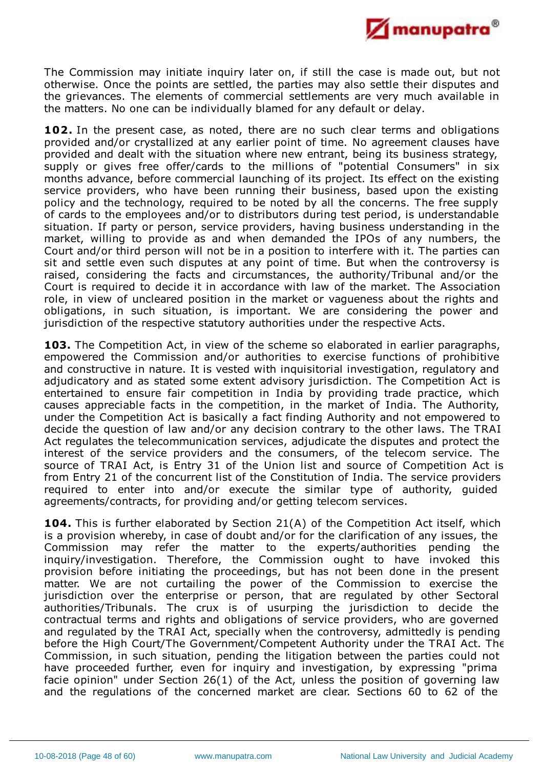

The Commission may initiate inquiry later on, if still the case is made out, but not otherwise. Once the points are settled, the parties may also settle their disputes and the grievances. The elements of commercial settlements are very much available in the matters. No one can be individually blamed for any default or delay.

**102.** In the present case, as noted, there are no such clear terms and obligations provided and/or crystallized at any earlier point of time. No agreement clauses have provided and dealt with the situation where new entrant, being its business strategy, supply or gives free offer/cards to the millions of "potential Consumers" in six months advance, before commercial launching of its project. Its effect on the existing service providers, who have been running their business, based upon the existing policy and the technology, required to be noted by all the concerns. The free supply of cards to the employees and/or to distributors during test period, is understandable situation. If party or person, service providers, having business understanding in the market, willing to provide as and when demanded the IPOs of any numbers, the Court and/or third person will not be in a position to interfere with it. The parties can sit and settle even such disputes at any point of time. But when the controversy is raised, considering the facts and circumstances, the authority/Tribunal and/or the Court is required to decide it in accordance with law of the market. The Association role, in view of uncleared position in the market or vagueness about the rights and obligations, in such situation, is important. We are considering the power and jurisdiction of the respective statutory authorities under the respective Acts.

103. The Competition Act, in view of the scheme so elaborated in earlier paragraphs. empowered the Commission and/or authorities to exercise functions of prohibitive and constructive in nature. It is vested with inquisitorial investigation, regulatory and adjudicatory and as stated some extent advisory jurisdiction. The Competition Act is entertained to ensure fair competition in India by providing trade practice, which causes appreciable facts in the competition, in the market of India. The Authority, under the Competition Act is basically a fact finding Authority and not empowered to decide the question of law and/or any decision contrary to the other laws. The TRAI Act regulates the telecommunication services, adjudicate the disputes and protect the interest of the service providers and the consumers, of the telecom service. The source of TRAI Act, is Entry 31 of the Union list and source of Competition Act is from Entry 21 of the concurrent list of the Constitution of India. The service providers required to enter into and/or execute the similar type of authority, guided agreements/contracts, for providing and/or getting telecom services.

**104.** This is further elaborated by Section 21(A) of the Competition Act itself, which is a provision whereby, in case of doubt and/or for the clarification of any issues, the Commission may refer the matter to the experts/authorities pending the inquiry/investigation. Therefore, the Commission ought to have invoked this provision before initiating the proceedings, but has not been done in the present matter. We are not curtailing the power of the Commission to exercise the jurisdiction over the enterprise or person, that are regulated by other Sectoral authorities/Tribunals. The crux is of usurping the jurisdiction to decide the contractual terms and rights and obligations of service providers, who are governed and regulated by the TRAI Act, specially when the controversy, admittedly is pending before the High Court/The Government/Competent Authority under the TRAI Act. The Commission, in such situation, pending the litigation between the parties could not have proceeded further, even for inquiry and investigation, by expressing "prima facie opinion" under Section 26(1) of the Act, unless the position of governing law and the regulations of the concerned market are clear. Sections 60 to 62 of the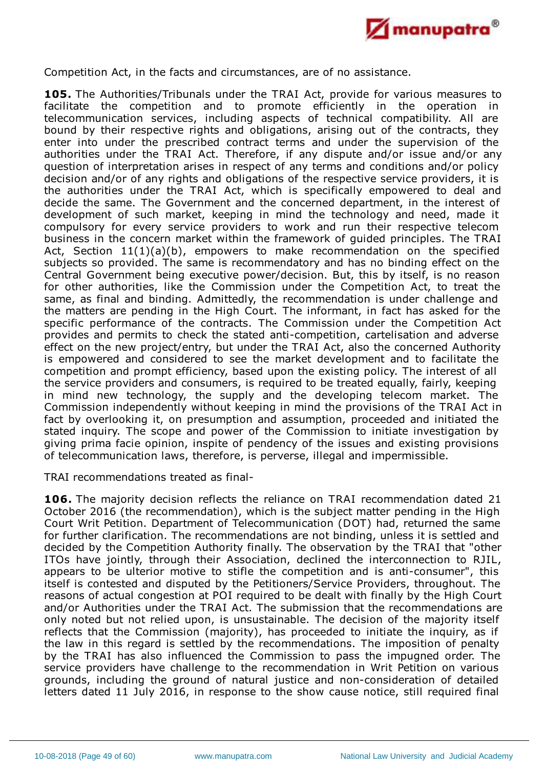

Competition Act, in the facts and circumstances, are of no assistance.

**105.** The Authorities/Tribunals under the TRAI Act, provide for various measures to facilitate the competition and to promote efficiently in the operation in telecommunication services, including aspects of technical compatibility. All are bound by their respective rights and obligations, arising out of the contracts, they enter into under the prescribed contract terms and under the supervision of the authorities under the TRAI Act. Therefore, if any dispute and/or issue and/or any question of interpretation arises in respect of any terms and conditions and/or policy decision and/or of any rights and obligations of the respective service providers, it is the authorities under the TRAI Act, which is specifically empowered to deal and decide the same. The Government and the concerned department, in the interest of development of such market, keeping in mind the technology and need, made it compulsory for every service providers to work and run their respective telecom business in the concern market within the framework of guided principles. The TRAI Act, Section 11(1)(a)(b), empowers to make recommendation on the specified subjects so provided. The same is recommendatory and has no binding effect on the Central Government being executive power/decision. But, this by itself, is no reason for other authorities, like the Commission under the Competition Act, to treat the same, as final and binding. Admittedly, the recommendation is under challenge and the matters are pending in the High Court. The informant, in fact has asked for the specific performance of the contracts. The Commission under the Competition Act provides and permits to check the stated anti-competition, cartelisation and adverse effect on the new project/entry, but under the TRAI Act, also the concerned Authority is empowered and considered to see the market development and to facilitate the competition and prompt efficiency, based upon the existing policy. The interest of all the service providers and consumers, is required to be treated equally, fairly, keeping in mind new technology, the supply and the developing telecom market. The Commission independently without keeping in mind the provisions of the TRAI Act in fact by overlooking it, on presumption and assumption, proceeded and initiated the stated inquiry. The scope and power of the Commission to initiate investigation by giving prima facie opinion, inspite of pendency of the issues and existing provisions of telecommunication laws, therefore, is perverse, illegal and impermissible.

TRAI recommendations treated as final-

**106.** The majority decision reflects the reliance on TRAI recommendation dated 21 October 2016 (the recommendation), which is the subject matter pending in the High Court Writ Petition. Department of Telecommunication (DOT) had, returned the same for further clarification. The recommendations are not binding, unless it is settled and decided by the Competition Authority finally. The observation by the TRAI that "other ITOs have jointly, through their Association, declined the interconnection to RJIL, appears to be ulterior motive to stifle the competition and is anti-consumer", this itself is contested and disputed by the Petitioners/Service Providers, throughout. The reasons of actual congestion at POI required to be dealt with finally by the High Court and/or Authorities under the TRAI Act. The submission that the recommendations are only noted but not relied upon, is unsustainable. The decision of the majority itself reflects that the Commission (majority), has proceeded to initiate the inquiry, as if the law in this regard is settled by the recommendations. The imposition of penalty by the TRAI has also influenced the Commission to pass the impugned order. The service providers have challenge to the recommendation in Writ Petition on various grounds, including the ground of natural justice and non-consideration of detailed letters dated 11 July 2016, in response to the show cause notice, still required final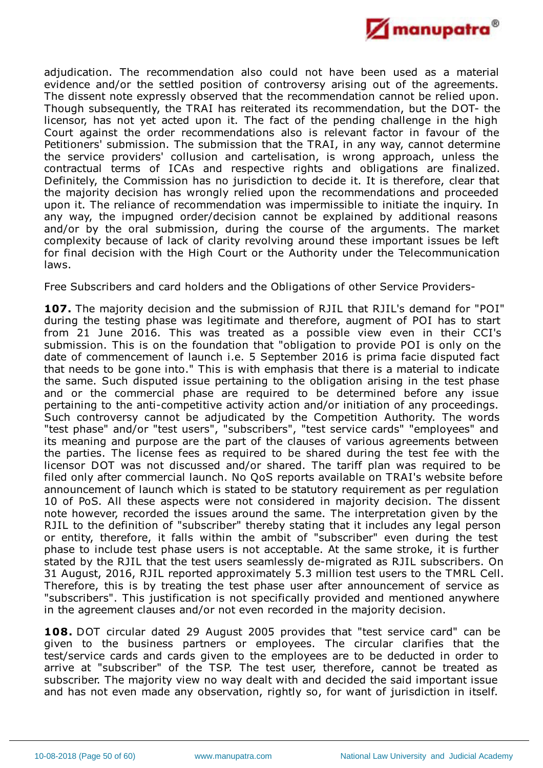

adjudication. The recommendation also could not have been used as a material evidence and/or the settled position of controversy arising out of the agreements. The dissent note expressly observed that the recommendation cannot be relied upon. Though subsequently, the TRAI has reiterated its recommendation, but the DOT- the licensor, has not yet acted upon it. The fact of the pending challenge in the high Court against the order recommendations also is relevant factor in favour of the Petitioners' submission. The submission that the TRAI, in any way, cannot determine the service providers' collusion and cartelisation, is wrong approach, unless the contractual terms of ICAs and respective rights and obligations are finalized. Definitely, the Commission has no jurisdiction to decide it. It is therefore, clear that the majority decision has wrongly relied upon the recommendations and proceeded upon it. The reliance of recommendation was impermissible to initiate the inquiry. In any way, the impugned order/decision cannot be explained by additional reasons and/or by the oral submission, during the course of the arguments. The market complexity because of lack of clarity revolving around these important issues be left for final decision with the High Court or the Authority under the Telecommunication laws.

Free Subscribers and card holders and the Obligations of other Service Providers-

**107.** The majority decision and the submission of RJIL that RJIL's demand for "POI" during the testing phase was legitimate and therefore, augment of POI has to start from 21 June 2016. This was treated as a possible view even in their CCI's submission. This is on the foundation that "obligation to provide POI is only on the date of commencement of launch i.e. 5 September 2016 is prima facie disputed fact that needs to be gone into." This is with emphasis that there is a material to indicate the same. Such disputed issue pertaining to the obligation arising in the test phase and or the commercial phase are required to be determined before any issue pertaining to the anti-competitive activity action and/or initiation of any proceedings. Such controversy cannot be adjudicated by the Competition Authority. The words "test phase" and/or "test users", "subscribers", "test service cards" "employees" and its meaning and purpose are the part of the clauses of various agreements between the parties. The license fees as required to be shared during the test fee with the licensor DOT was not discussed and/or shared. The tariff plan was required to be filed only after commercial launch. No QoS reports available on TRAI's website before announcement of launch which is stated to be statutory requirement as per regulation 10 of PoS. All these aspects were not considered in majority decision. The dissent note however, recorded the issues around the same. The interpretation given by the RJIL to the definition of "subscriber" thereby stating that it includes any legal person or entity, therefore, it falls within the ambit of "subscriber" even during the test phase to include test phase users is not acceptable. At the same stroke, it is further stated by the RJIL that the test users seamlessly de-migrated as RJIL subscribers. On 31 August, 2016, RJIL reported approximately 5.3 million test users to the TMRL Cell. Therefore, this is by treating the test phase user after announcement of service as "subscribers". This justification is not specifically provided and mentioned anywhere in the agreement clauses and/or not even recorded in the majority decision.

**108.** DOT circular dated 29 August 2005 provides that "test service card" can be given to the business partners or employees. The circular clarifies that the test/service cards and cards given to the employees are to be deducted in order to arrive at "subscriber" of the TSP. The test user, therefore, cannot be treated as subscriber. The majority view no way dealt with and decided the said important issue and has not even made any observation, rightly so, for want of jurisdiction in itself.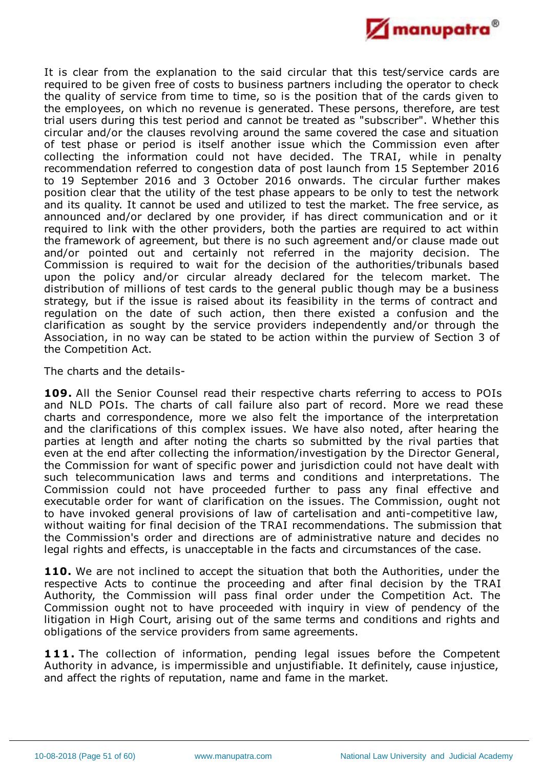

It is clear from the explanation to the said circular that this test/service cards are required to be given free of costs to business partners including the operator to check the quality of service from time to time, so is the position that of the cards given to the employees, on which no revenue is generated. These persons, therefore, are test trial users during this test period and cannot be treated as "subscriber". Whether this circular and/or the clauses revolving around the same covered the case and situation of test phase or period is itself another issue which the Commission even after collecting the information could not have decided. The TRAI, while in penalty recommendation referred to congestion data of post launch from 15 September 2016 to 19 September 2016 and 3 October 2016 onwards. The circular further makes position clear that the utility of the test phase appears to be only to test the network and its quality. It cannot be used and utilized to test the market. The free service, as announced and/or declared by one provider, if has direct communication and or it required to link with the other providers, both the parties are required to act within the framework of agreement, but there is no such agreement and/or clause made out and/or pointed out and certainly not referred in the majority decision. The Commission is required to wait for the decision of the authorities/tribunals based upon the policy and/or circular already declared for the telecom market. The distribution of millions of test cards to the general public though may be a business strategy, but if the issue is raised about its feasibility in the terms of contract and regulation on the date of such action, then there existed a confusion and the clarification as sought by the service providers independently and/or through the Association, in no way can be stated to be action within the purview of Section 3 of the Competition Act.

The charts and the details-

**109.** All the Senior Counsel read their respective charts referring to access to POIs and NLD POIs. The charts of call failure also part of record. More we read these charts and correspondence, more we also felt the importance of the interpretation and the clarifications of this complex issues. We have also noted, after hearing the parties at length and after noting the charts so submitted by the rival parties that even at the end after collecting the information/investigation by the Director General, the Commission for want of specific power and jurisdiction could not have dealt with such telecommunication laws and terms and conditions and interpretations. The Commission could not have proceeded further to pass any final effective and executable order for want of clarification on the issues. The Commission, ought not to have invoked general provisions of law of cartelisation and anti-competitive law, without waiting for final decision of the TRAI recommendations. The submission that the Commission's order and directions are of administrative nature and decides no legal rights and effects, is unacceptable in the facts and circumstances of the case.

**110.** We are not inclined to accept the situation that both the Authorities, under the respective Acts to continue the proceeding and after final decision by the TRAI Authority, the Commission will pass final order under the Competition Act. The Commission ought not to have proceeded with inquiry in view of pendency of the litigation in High Court, arising out of the same terms and conditions and rights and obligations of the service providers from same agreements.

**111.** The collection of information, pending legal issues before the Competent Authority in advance, is impermissible and unjustifiable. It definitely, cause injustice, and affect the rights of reputation, name and fame in the market.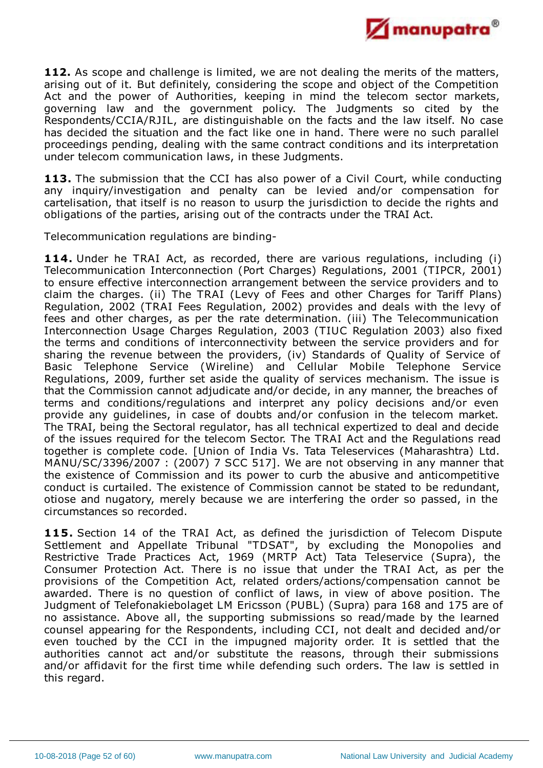

**112.** As scope and challenge is limited, we are not dealing the merits of the matters, arising out of it. But definitely, considering the scope and object of the Competition Act and the power of Authorities, keeping in mind the telecom sector markets, governing law and the government policy. The Judgments so cited by the Respondents/CCIA/RJIL, are distinguishable on the facts and the law itself. No case has decided the situation and the fact like one in hand. There were no such parallel proceedings pending, dealing with the same contract conditions and its interpretation under telecom communication laws, in these Judgments.

**113.** The submission that the CCI has also power of a Civil Court, while conducting any inquiry/investigation and penalty can be levied and/or compensation for cartelisation, that itself is no reason to usurp the jurisdiction to decide the rights and obligations of the parties, arising out of the contracts under the TRAI Act.

Telecommunication regulations are binding-

**114.** Under he TRAI Act, as recorded, there are various regulations, including (i) Telecommunication Interconnection (Port Charges) Regulations, 2001 (TIPCR, 2001) to ensure effective interconnection arrangement between the service providers and to claim the charges. (ii) The TRAI (Levy of Fees and other Charges for Tariff Plans) Regulation, 2002 (TRAI Fees Regulation, 2002) provides and deals with the levy of fees and other charges, as per the rate determination. (iii) The Telecommunication Interconnection Usage Charges Regulation, 2003 (TIUC Regulation 2003) also fixed the terms and conditions of interconnectivity between the service providers and for sharing the revenue between the providers, (iv) Standards of Quality of Service of Basic Telephone Service (Wireline) and Cellular Mobile Telephone Service Regulations, 2009, further set aside the quality of services mechanism. The issue is that the Commission cannot adjudicate and/or decide, in any manner, the breaches of terms and conditions/regulations and interpret any policy decisions and/or even provide any guidelines, in case of doubts and/or confusion in the telecom market. The TRAI, being the Sectoral regulator, has all technical expertized to deal and decide of the issues required for the telecom Sector. The TRAI Act and the Regulations read together is complete code. [Union of India Vs. Tata Teleservices (Maharashtra) Ltd. MANU/SC/3396/2007 : (2007) 7 SCC 517]. We are not observing in any manner that the existence of Commission and its power to curb the abusive and anticompetitive conduct is curtailed. The existence of Commission cannot be stated to be redundant, otiose and nugatory, merely because we are interfering the order so passed, in the circumstances so recorded.

**115.** Section 14 of the TRAI Act, as defined the jurisdiction of Telecom Dispute Settlement and Appellate Tribunal "TDSAT", by excluding the Monopolies and Restrictive Trade Practices Act, 1969 (MRTP Act) Tata Teleservice (Supra), the Consumer Protection Act. There is no issue that under the TRAI Act, as per the provisions of the Competition Act, related orders/actions/compensation cannot be awarded. There is no question of conflict of laws, in view of above position. The Judgment of Telefonakiebolaget LM Ericsson (PUBL) (Supra) para 168 and 175 are of no assistance. Above all, the supporting submissions so read/made by the learned counsel appearing for the Respondents, including CCI, not dealt and decided and/or even touched by the CCI in the impugned majority order. It is settled that the authorities cannot act and/or substitute the reasons, through their submissions and/or affidavit for the first time while defending such orders. The law is settled in this regard.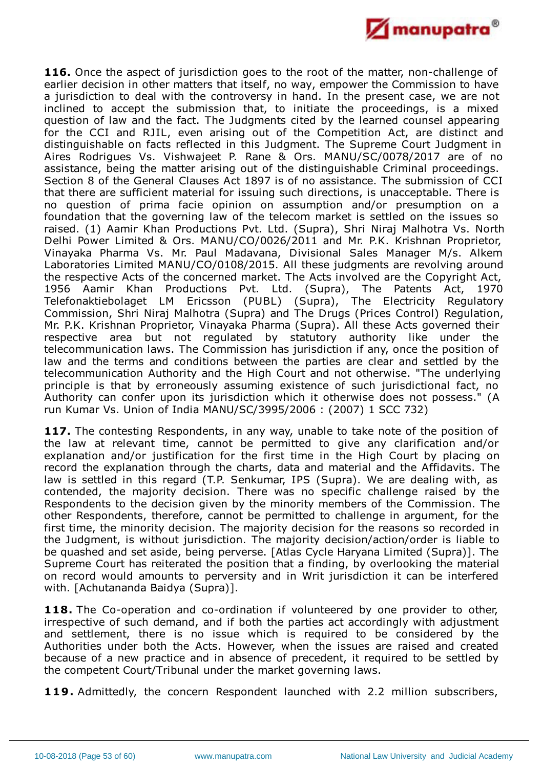

**116.** Once the aspect of jurisdiction goes to the root of the matter, non-challenge of earlier decision in other matters that itself, no way, empower the Commission to have a jurisdiction to deal with the controversy in hand. In the present case, we are not inclined to accept the submission that, to initiate the proceedings, is a mixed question of law and the fact. The Judgments cited by the learned counsel appearing for the CCI and RJIL, even arising out of the Competition Act, are distinct and distinguishable on facts reflected in this Judgment. The Supreme Court Judgment in Aires Rodrigues Vs. Vishwajeet P. Rane & Ors. MANU/SC/0078/2017 are of no assistance, being the matter arising out of the distinguishable Criminal proceedings. Section 8 of the General Clauses Act 1897 is of no assistance. The submission of CCI that there are sufficient material for issuing such directions, is unacceptable. There is no question of prima facie opinion on assumption and/or presumption on a foundation that the governing law of the telecom market is settled on the issues so raised. (1) Aamir Khan Productions Pvt. Ltd. (Supra), Shri Niraj Malhotra Vs. North Delhi Power Limited & Ors. MANU/CO/0026/2011 and Mr. P.K. Krishnan Proprietor, Vinayaka Pharma Vs. Mr. Paul Madavana, Divisional Sales Manager M/s. Alkem Laboratories Limited MANU/CO/0108/2015. All these judgments are revolving around the respective Acts of the concerned market. The Acts involved are the Copyright Act, 1956 Aamir Khan Productions Pvt. Ltd. (Supra), The Patents Act, 1970 Telefonaktiebolaget LM Ericsson (PUBL) (Supra), The Electricity Regulatory Commission, Shri Niraj Malhotra (Supra) and The Drugs (Prices Control) Regulation, Mr. P.K. Krishnan Proprietor, Vinayaka Pharma (Supra). All these Acts governed their respective area but not regulated by statutory authority like under the telecommunication laws. The Commission has jurisdiction if any, once the position of law and the terms and conditions between the parties are clear and settled by the telecommunication Authority and the High Court and not otherwise. "The underlying principle is that by erroneously assuming existence of such jurisdictional fact, no Authority can confer upon its jurisdiction which it otherwise does not possess." (A run Kumar Vs. Union of India MANU/SC/3995/2006 : (2007) 1 SCC 732)

**117.** The contesting Respondents, in any way, unable to take note of the position of the law at relevant time, cannot be permitted to give any clarification and/or explanation and/or justification for the first time in the High Court by placing on record the explanation through the charts, data and material and the Affidavits. The law is settled in this regard (T.P. Senkumar, IPS (Supra). We are dealing with, as contended, the majority decision. There was no specific challenge raised by the Respondents to the decision given by the minority members of the Commission. The other Respondents, therefore, cannot be permitted to challenge in argument, for the first time, the minority decision. The majority decision for the reasons so recorded in the Judgment, is without jurisdiction. The majority decision/action/order is liable to be quashed and set aside, being perverse. [Atlas Cycle Haryana Limited (Supra)]. The Supreme Court has reiterated the position that a finding, by overlooking the material on record would amounts to perversity and in Writ jurisdiction it can be interfered with. [Achutananda Baidya (Supra)].

**118.** The Co-operation and co-ordination if volunteered by one provider to other, irrespective of such demand, and if both the parties act accordingly with adjustment and settlement, there is no issue which is required to be considered by the Authorities under both the Acts. However, when the issues are raised and created because of a new practice and in absence of precedent, it required to be settled by the competent Court/Tribunal under the market governing laws.

**119.** Admittedly, the concern Respondent launched with 2.2 million subscribers,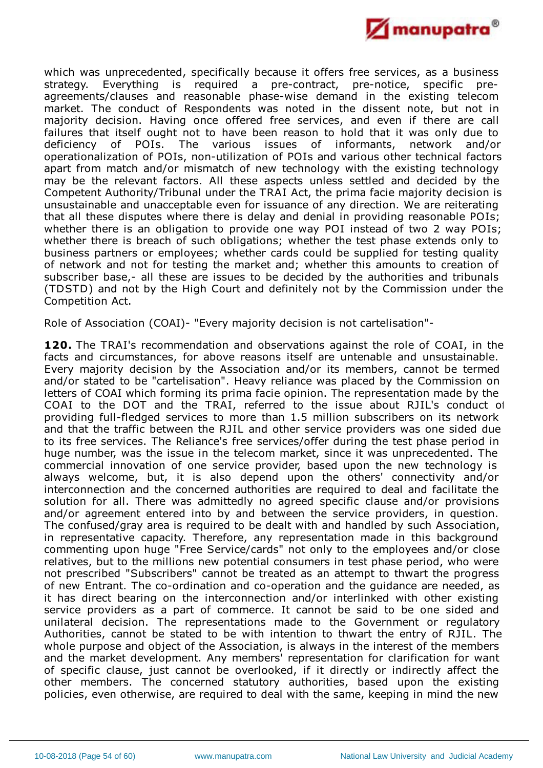

which was unprecedented, specifically because it offers free services, as a business strategy. Everything is required a pre-contract, pre-notice, specific preagreements/clauses and reasonable phase-wise demand in the existing telecom market. The conduct of Respondents was noted in the dissent note, but not in majority decision. Having once offered free services, and even if there are call failures that itself ought not to have been reason to hold that it was only due to deficiency of POIs. The various issues of informants, network and/or operationalization of POIs, non-utilization of POIs and various other technical factors apart from match and/or mismatch of new technology with the existing technology may be the relevant factors. All these aspects unless settled and decided by the Competent Authority/Tribunal under the TRAI Act, the prima facie majority decision is unsustainable and unacceptable even for issuance of any direction. We are reiterating that all these disputes where there is delay and denial in providing reasonable POIs; whether there is an obligation to provide one way POI instead of two 2 way POIs; whether there is breach of such obligations; whether the test phase extends only to business partners or employees; whether cards could be supplied for testing quality of network and not for testing the market and; whether this amounts to creation of subscriber base,- all these are issues to be decided by the authorities and tribunals (TDSTD) and not by the High Court and definitely not by the Commission under the Competition Act.

Role of Association (COAI)- "Every majority decision is not cartelisation"-

**120.** The TRAI's recommendation and observations against the role of COAI, in the facts and circumstances, for above reasons itself are untenable and unsustainable. Every majority decision by the Association and/or its members, cannot be termed and/or stated to be "cartelisation". Heavy reliance was placed by the Commission on letters of COAI which forming its prima facie opinion. The representation made by the COAI to the DOT and the TRAI, referred to the issue about RJIL's conduct of providing full-fledged services to more than 1.5 million subscribers on its network and that the traffic between the RJIL and other service providers was one sided due to its free services. The Reliance's free services/offer during the test phase period in huge number, was the issue in the telecom market, since it was unprecedented. The commercial innovation of one service provider, based upon the new technology is always welcome, but, it is also depend upon the others' connectivity and/or interconnection and the concerned authorities are required to deal and facilitate the solution for all. There was admittedly no agreed specific clause and/or provisions and/or agreement entered into by and between the service providers, in question. The confused/gray area is required to be dealt with and handled by such Association, in representative capacity. Therefore, any representation made in this background commenting upon huge "Free Service/cards" not only to the employees and/or close relatives, but to the millions new potential consumers in test phase period, who were not prescribed "Subscribers" cannot be treated as an attempt to thwart the progress of new Entrant. The co-ordination and co-operation and the guidance are needed, as it has direct bearing on the interconnection and/or interlinked with other existing service providers as a part of commerce. It cannot be said to be one sided and unilateral decision. The representations made to the Government or regulatory Authorities, cannot be stated to be with intention to thwart the entry of RJIL. The whole purpose and object of the Association, is always in the interest of the members and the market development. Any members' representation for clarification for want of specific clause, just cannot be overlooked, if it directly or indirectly affect the other members. The concerned statutory authorities, based upon the existing policies, even otherwise, are required to deal with the same, keeping in mind the new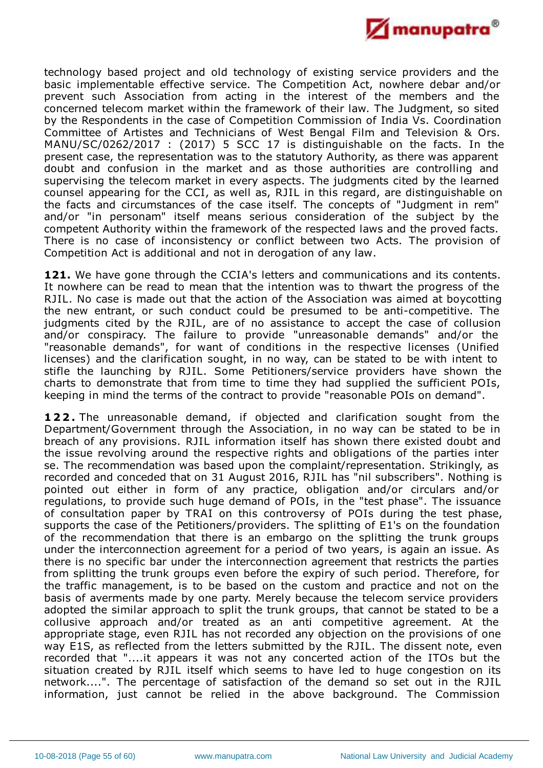

technology based project and old technology of existing service providers and the basic implementable effective service. The Competition Act, nowhere debar and/or prevent such Association from acting in the interest of the members and the concerned telecom market within the framework of their law. The Judgment, so sited by the Respondents in the case of Competition Commission of India Vs. Coordination Committee of Artistes and Technicians of West Bengal Film and Television & Ors. MANU/SC/0262/2017 : (2017) 5 SCC 17 is distinguishable on the facts. In the present case, the representation was to the statutory Authority, as there was apparent doubt and confusion in the market and as those authorities are controlling and supervising the telecom market in every aspects. The judgments cited by the learned counsel appearing for the CCI, as well as, RJIL in this regard, are distinguishable on the facts and circumstances of the case itself. The concepts of "Judgment in rem" and/or "in personam" itself means serious consideration of the subject by the competent Authority within the framework of the respected laws and the proved facts. There is no case of inconsistency or conflict between two Acts. The provision of Competition Act is additional and not in derogation of any law.

**121.** We have gone through the CCIA's letters and communications and its contents. It nowhere can be read to mean that the intention was to thwart the progress of the RJIL. No case is made out that the action of the Association was aimed at boycotting the new entrant, or such conduct could be presumed to be anti-competitive. The judgments cited by the RJIL, are of no assistance to accept the case of collusion and/or conspiracy. The failure to provide "unreasonable demands" and/or the "reasonable demands", for want of conditions in the respective licenses (Unified licenses) and the clarification sought, in no way, can be stated to be with intent to stifle the launching by RJIL. Some Petitioners/service providers have shown the charts to demonstrate that from time to time they had supplied the sufficient POIs, keeping in mind the terms of the contract to provide "reasonable POIs on demand".

**122.** The unreasonable demand, if objected and clarification sought from the Department/Government through the Association, in no way can be stated to be in breach of any provisions. RJIL information itself has shown there existed doubt and the issue revolving around the respective rights and obligations of the parties inter se. The recommendation was based upon the complaint/representation. Strikingly, as recorded and conceded that on 31 August 2016, RJIL has "nil subscribers". Nothing is pointed out either in form of any practice, obligation and/or circulars and/or regulations, to provide such huge demand of POIs, in the "test phase". The issuance of consultation paper by TRAI on this controversy of POIs during the test phase, supports the case of the Petitioners/providers. The splitting of E1's on the foundation of the recommendation that there is an embargo on the splitting the trunk groups under the interconnection agreement for a period of two years, is again an issue. As there is no specific bar under the interconnection agreement that restricts the parties from splitting the trunk groups even before the expiry of such period. Therefore, for the traffic management, is to be based on the custom and practice and not on the basis of averments made by one party. Merely because the telecom service providers adopted the similar approach to split the trunk groups, that cannot be stated to be a collusive approach and/or treated as an anti competitive agreement. At the appropriate stage, even RJIL has not recorded any objection on the provisions of one way E1S, as reflected from the letters submitted by the RJIL. The dissent note, even recorded that "....it appears it was not any concerted action of the ITOs but the situation created by RJIL itself which seems to have led to huge congestion on its network....". The percentage of satisfaction of the demand so set out in the RJIL information, just cannot be relied in the above background. The Commission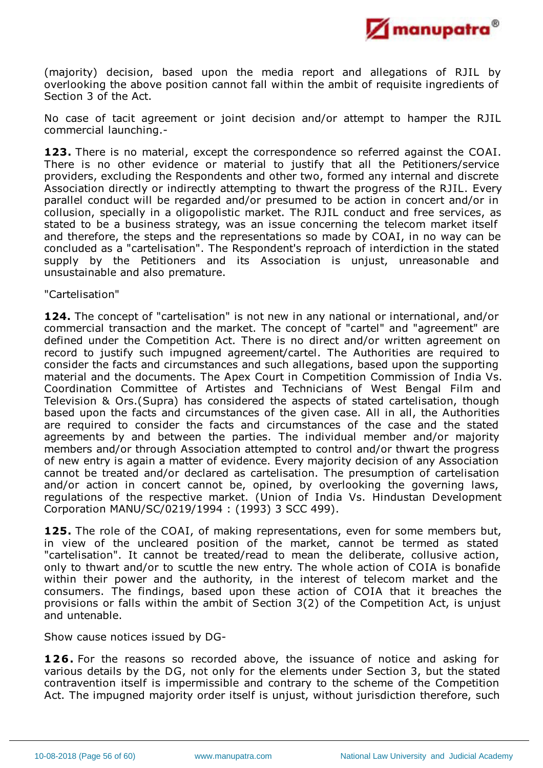

(majority) decision, based upon the media report and allegations of RJIL by overlooking the above position cannot fall within the ambit of requisite ingredients of Section 3 of the Act.

No case of tacit agreement or joint decision and/or attempt to hamper the RJIL commercial launching.-

**123.** There is no material, except the correspondence so referred against the COAI. There is no other evidence or material to justify that all the Petitioners/service providers, excluding the Respondents and other two, formed any internal and discrete Association directly or indirectly attempting to thwart the progress of the RJIL. Every parallel conduct will be regarded and/or presumed to be action in concert and/or in collusion, specially in a oligopolistic market. The RJIL conduct and free services, as stated to be a business strategy, was an issue concerning the telecom market itself and therefore, the steps and the representations so made by COAI, in no way can be concluded as a "cartelisation". The Respondent's reproach of interdiction in the stated supply by the Petitioners and its Association is unjust, unreasonable and unsustainable and also premature.

"Cartelisation"

**124.** The concept of "cartelisation" is not new in any national or international, and/or commercial transaction and the market. The concept of "cartel" and "agreement" are defined under the Competition Act. There is no direct and/or written agreement on record to justify such impugned agreement/cartel. The Authorities are required to consider the facts and circumstances and such allegations, based upon the supporting material and the documents. The Apex Court in Competition Commission of India Vs. Coordination Committee of Artistes and Technicians of West Bengal Film and Television & Ors.(Supra) has considered the aspects of stated cartelisation, though based upon the facts and circumstances of the given case. All in all, the Authorities are required to consider the facts and circumstances of the case and the stated agreements by and between the parties. The individual member and/or majority members and/or through Association attempted to control and/or thwart the progress of new entry is again a matter of evidence. Every majority decision of any Association cannot be treated and/or declared as cartelisation. The presumption of cartelisation and/or action in concert cannot be, opined, by overlooking the governing laws, regulations of the respective market. (Union of India Vs. Hindustan Development Corporation MANU/SC/0219/1994 : (1993) 3 SCC 499).

**125.** The role of the COAI, of making representations, even for some members but, in view of the uncleared position of the market, cannot be termed as stated "cartelisation". It cannot be treated/read to mean the deliberate, collusive action, only to thwart and/or to scuttle the new entry. The whole action of COIA is bonafide within their power and the authority, in the interest of telecom market and the consumers. The findings, based upon these action of COIA that it breaches the provisions or falls within the ambit of Section 3(2) of the Competition Act, is unjust and untenable.

Show cause notices issued by DG-

**126.** For the reasons so recorded above, the issuance of notice and asking for various details by the DG, not only for the elements under Section 3, but the stated contravention itself is impermissible and contrary to the scheme of the Competition Act. The impugned majority order itself is unjust, without jurisdiction therefore, such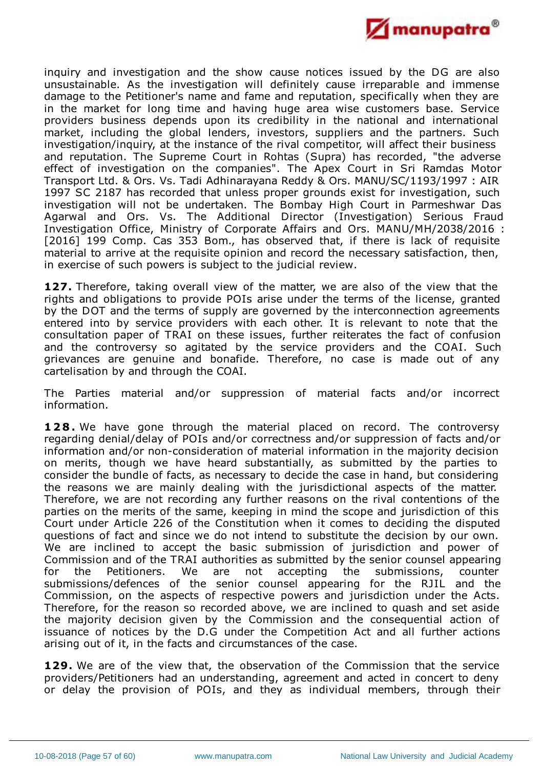

inquiry and investigation and the show cause notices issued by the DG are also unsustainable. As the investigation will definitely cause irreparable and immense damage to the Petitioner's name and fame and reputation, specifically when they are in the market for long time and having huge area wise customers base. Service providers business depends upon its credibility in the national and international market, including the global lenders, investors, suppliers and the partners. Such investigation/inquiry, at the instance of the rival competitor, will affect their business and reputation. The Supreme Court in Rohtas (Supra) has recorded, "the adverse effect of investigation on the companies". The Apex Court in Sri Ramdas Motor Transport Ltd. & Ors. Vs. Tadi Adhinarayana Reddy & Ors. MANU/SC/1193/1997 : AIR 1997 SC 2187 has recorded that unless proper grounds exist for investigation, such investigation will not be undertaken. The Bombay High Court in Parmeshwar Das Agarwal and Ors. Vs. The Additional Director (Investigation) Serious Fraud Investigation Office, Ministry of Corporate Affairs and Ors. MANU/MH/2038/2016 : [2016] 199 Comp. Cas 353 Bom., has observed that, if there is lack of requisite material to arrive at the requisite opinion and record the necessary satisfaction, then, in exercise of such powers is subject to the judicial review.

**127.** Therefore, taking overall view of the matter, we are also of the view that the rights and obligations to provide POIs arise under the terms of the license, granted by the DOT and the terms of supply are governed by the interconnection agreements entered into by service providers with each other. It is relevant to note that the consultation paper of TRAI on these issues, further reiterates the fact of confusion and the controversy so agitated by the service providers and the COAI. Such grievances are genuine and bonafide. Therefore, no case is made out of any cartelisation by and through the COAI.

The Parties material and/or suppression of material facts and/or incorrect information.

**128.** We have gone through the material placed on record. The controversy regarding denial/delay of POIs and/or correctness and/or suppression of facts and/or information and/or non-consideration of material information in the majority decision on merits, though we have heard substantially, as submitted by the parties to consider the bundle of facts, as necessary to decide the case in hand, but considering the reasons we are mainly dealing with the jurisdictional aspects of the matter. Therefore, we are not recording any further reasons on the rival contentions of the parties on the merits of the same, keeping in mind the scope and jurisdiction of this Court under Article 226 of the Constitution when it comes to deciding the disputed questions of fact and since we do not intend to substitute the decision by our own. We are inclined to accept the basic submission of jurisdiction and power of Commission and of the TRAI authorities as submitted by the senior counsel appearing for the Petitioners. We are not accepting the submissions, counter submissions/defences of the senior counsel appearing for the RJIL and the Commission, on the aspects of respective powers and jurisdiction under the Acts. Therefore, for the reason so recorded above, we are inclined to quash and set aside the majority decision given by the Commission and the consequential action of issuance of notices by the D.G under the Competition Act and all further actions arising out of it, in the facts and circumstances of the case.

**129.** We are of the view that, the observation of the Commission that the service providers/Petitioners had an understanding, agreement and acted in concert to deny or delay the provision of POIs, and they as individual members, through their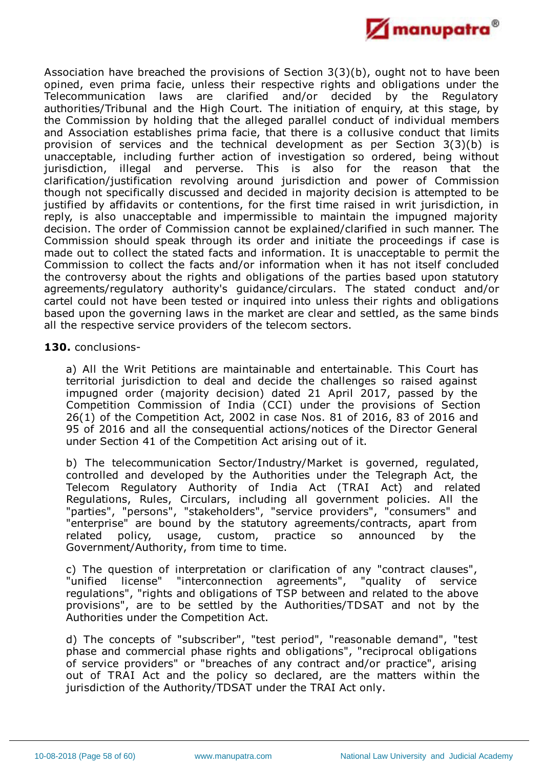

Association have breached the provisions of Section 3(3)(b), ought not to have been opined, even prima facie, unless their respective rights and obligations under the Telecommunication laws are clarified and/or decided by the Regulatory authorities/Tribunal and the High Court. The initiation of enquiry, at this stage, by the Commission by holding that the alleged parallel conduct of individual members and Association establishes prima facie, that there is a collusive conduct that limits provision of services and the technical development as per Section 3(3)(b) is unacceptable, including further action of investigation so ordered, being without jurisdiction, illegal and perverse. This is also for the reason that the clarification/justification revolving around jurisdiction and power of Commission though not specifically discussed and decided in majority decision is attempted to be justified by affidavits or contentions, for the first time raised in writ jurisdiction, in reply, is also unacceptable and impermissible to maintain the impugned majority decision. The order of Commission cannot be explained/clarified in such manner. The Commission should speak through its order and initiate the proceedings if case is made out to collect the stated facts and information. It is unacceptable to permit the Commission to collect the facts and/or information when it has not itself concluded the controversy about the rights and obligations of the parties based upon statutory agreements/regulatory authority's guidance/circulars. The stated conduct and/or cartel could not have been tested or inquired into unless their rights and obligations based upon the governing laws in the market are clear and settled, as the same binds all the respective service providers of the telecom sectors.

**130.** conclusions-

a) All the Writ Petitions are maintainable and entertainable. This Court has territorial jurisdiction to deal and decide the challenges so raised against impugned order (majority decision) dated 21 April 2017, passed by the Competition Commission of India (CCI) under the provisions of Section 26(1) of the Competition Act, 2002 in case Nos. 81 of 2016, 83 of 2016 and 95 of 2016 and all the consequential actions/notices of the Director General under Section 41 of the Competition Act arising out of it.

b) The telecommunication Sector/Industry/Market is governed, regulated, controlled and developed by the Authorities under the Telegraph Act, the Telecom Regulatory Authority of India Act (TRAI Act) and related Regulations, Rules, Circulars, including all government policies. All the "parties", "persons", "stakeholders", "service providers", "consumers" and "enterprise" are bound by the statutory agreements/contracts, apart from related policy, usage, custom, practice so announced by the Government/Authority, from time to time.

c) The question of interpretation or clarification of any "contract clauses", "unified license" "interconnection agreements", "quality of service regulations", "rights and obligations of TSP between and related to the above provisions", are to be settled by the Authorities/TDSAT and not by the Authorities under the Competition Act.

d) The concepts of "subscriber", "test period", "reasonable demand", "test phase and commercial phase rights and obligations", "reciprocal obligations of service providers" or "breaches of any contract and/or practice", arising out of TRAI Act and the policy so declared, are the matters within the jurisdiction of the Authority/TDSAT under the TRAI Act only.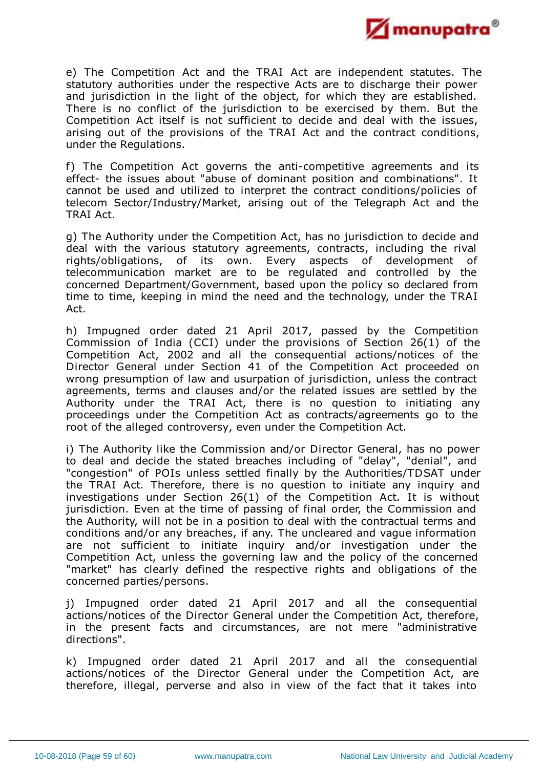

e) The Competition Act and the TRAI Act are independent statutes. The statutory authorities under the respective Acts are to discharge their power and jurisdiction in the light of the object, for which they are established. There is no conflict of the jurisdiction to be exercised by them. But the Competition Act itself is not sufficient to decide and deal with the issues, arising out of the provisions of the TRAI Act and the contract conditions, under the Regulations.

f) The Competition Act governs the anti-competitive agreements and its effect- the issues about "abuse of dominant position and combinations". It cannot be used and utilized to interpret the contract conditions/policies of telecom Sector/Industry/Market, arising out of the Telegraph Act and the TRAI Act.

g) The Authority under the Competition Act, has no jurisdiction to decide and deal with the various statutory agreements, contracts, including the rival rights/obligations, of its own. Every aspects of development of telecommunication market are to be regulated and controlled by the concerned Department/Government, based upon the policy so declared from time to time, keeping in mind the need and the technology, under the TRAI Act.

h) Impugned order dated 21 April 2017, passed by the Competition Commission of India (CCI) under the provisions of Section 26(1) of the Competition Act, 2002 and all the consequential actions/notices of the Director General under Section 41 of the Competition Act proceeded on wrong presumption of law and usurpation of jurisdiction, unless the contract agreements, terms and clauses and/or the related issues are settled by the Authority under the TRAI Act, there is no question to initiating any proceedings under the Competition Act as contracts/agreements go to the root of the alleged controversy, even under the Competition Act.

i) The Authority like the Commission and/or Director General, has no power to deal and decide the stated breaches including of "delay", "denial", and "congestion" of POIs unless settled finally by the Authorities/TDSAT under the TRAI Act. Therefore, there is no question to initiate any inquiry and investigations under Section 26(1) of the Competition Act. It is without jurisdiction. Even at the time of passing of final order, the Commission and the Authority, will not be in a position to deal with the contractual terms and conditions and/or any breaches, if any. The uncleared and vague information are not sufficient to initiate inquiry and/or investigation under the Competition Act, unless the governing law and the policy of the concerned "market" has clearly defined the respective rights and obligations of the concerned parties/persons.

j) Impugned order dated 21 April 2017 and all the consequential actions/notices of the Director General under the Competition Act, therefore, in the present facts and circumstances, are not mere "administrative directions".

k) Impugned order dated 21 April 2017 and all the consequential actions/notices of the Director General under the Competition Act, are therefore, illegal, perverse and also in view of the fact that it takes into